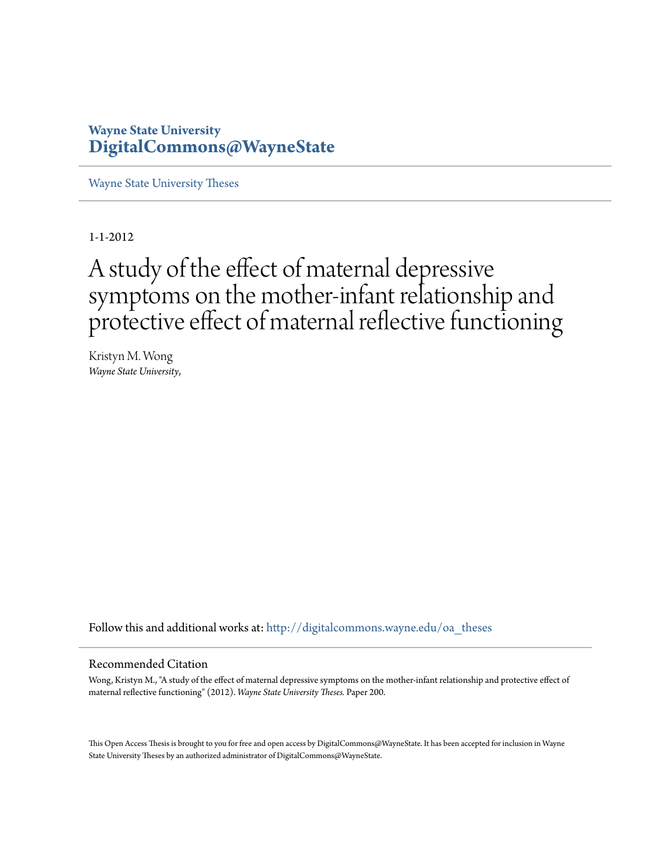# **Wayne State University [DigitalCommons@WayneState](http://digitalcommons.wayne.edu?utm_source=digitalcommons.wayne.edu%2Foa_theses%2F200&utm_medium=PDF&utm_campaign=PDFCoverPages)**

[Wayne State University Theses](http://digitalcommons.wayne.edu/oa_theses?utm_source=digitalcommons.wayne.edu%2Foa_theses%2F200&utm_medium=PDF&utm_campaign=PDFCoverPages)

1-1-2012

# A study of the effect of maternal depressive symptoms on the mother-infant relationship and protective effect of maternal reflective functioning

Kristyn M. Wong *Wayne State University*,

Follow this and additional works at: [http://digitalcommons.wayne.edu/oa\\_theses](http://digitalcommons.wayne.edu/oa_theses?utm_source=digitalcommons.wayne.edu%2Foa_theses%2F200&utm_medium=PDF&utm_campaign=PDFCoverPages)

#### Recommended Citation

Wong, Kristyn M., "A study of the effect of maternal depressive symptoms on the mother-infant relationship and protective effect of maternal reflective functioning" (2012). *Wayne State University Theses.* Paper 200.

This Open Access Thesis is brought to you for free and open access by DigitalCommons@WayneState. It has been accepted for inclusion in Wayne State University Theses by an authorized administrator of DigitalCommons@WayneState.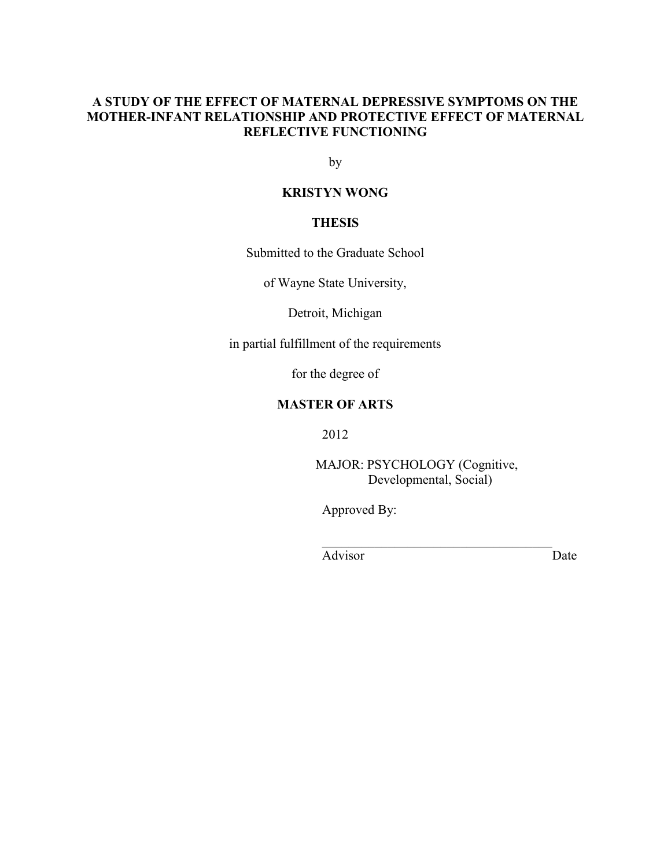# **A STUDY OF THE EFFECT OF MATERNAL DEPRESSIVE SYMPTOMS ON THE MOTHER-INFANT RELATIONSHIP AND PROTECTIVE EFFECT OF MATERNAL REFLECTIVE FUNCTIONING**

by

# **KRISTYN WONG**

# **THESIS**

Submitted to the Graduate School

of Wayne State University,

Detroit, Michigan

in partial fulfillment of the requirements

for the degree of

# **MASTER OF ARTS**

2012

MAJOR: PSYCHOLOGY (Cognitive, Developmental, Social)

 $\mathcal{L}_\text{max}$  , and the set of the set of the set of the set of the set of the set of the set of the set of the set of the set of the set of the set of the set of the set of the set of the set of the set of the set of the

Approved By:

Advisor Date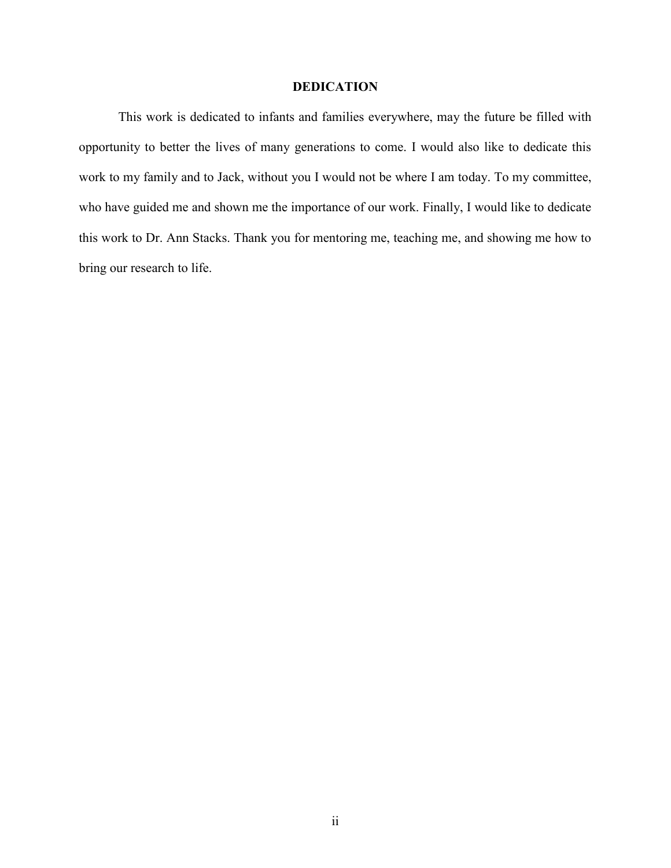# **DEDICATION**

This work is dedicated to infants and families everywhere, may the future be filled with opportunity to better the lives of many generations to come. I would also like to dedicate this work to my family and to Jack, without you I would not be where I am today. To my committee, who have guided me and shown me the importance of our work. Finally, I would like to dedicate this work to Dr. Ann Stacks. Thank you for mentoring me, teaching me, and showing me how to bring our research to life.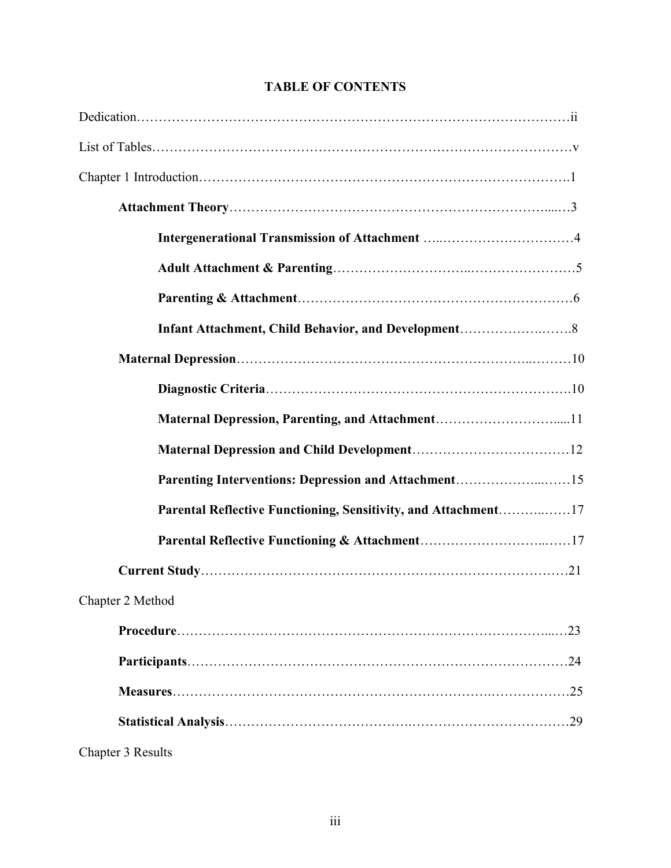| Parenting Interventions: Depression and Attachment15           |     |
|----------------------------------------------------------------|-----|
| Parental Reflective Functioning, Sensitivity, and Attachment17 |     |
|                                                                |     |
|                                                                |     |
| Chapter 2 Method                                               |     |
|                                                                | .23 |
|                                                                | .24 |
|                                                                |     |
|                                                                |     |
| Chapter 3 Results                                              |     |

# **TABLE OF CONTENTS**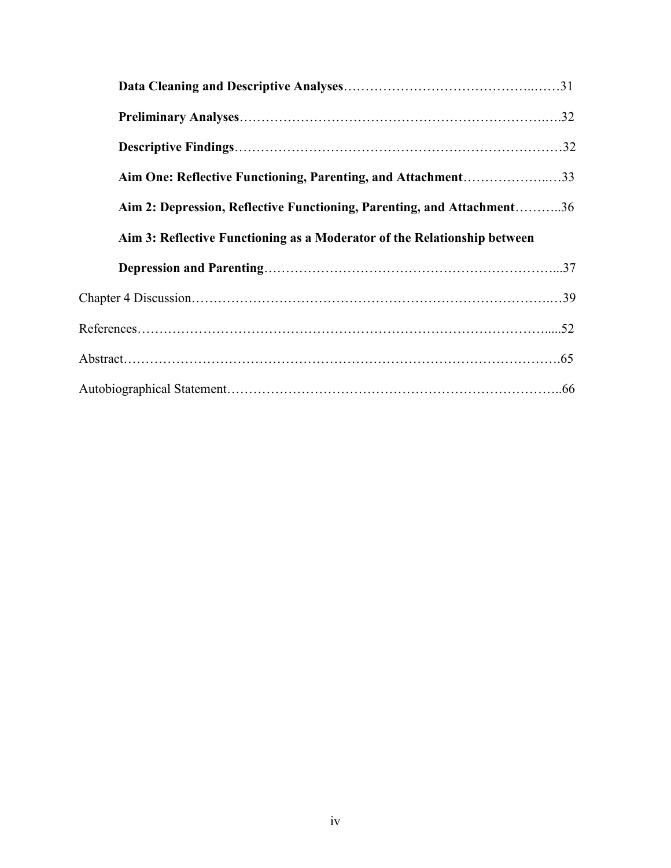| Aim One: Reflective Functioning, Parenting, and Attachment33             |  |
|--------------------------------------------------------------------------|--|
| Aim 2: Depression, Reflective Functioning, Parenting, and Attachment36   |  |
| Aim 3: Reflective Functioning as a Moderator of the Relationship between |  |
|                                                                          |  |
|                                                                          |  |
|                                                                          |  |
|                                                                          |  |
|                                                                          |  |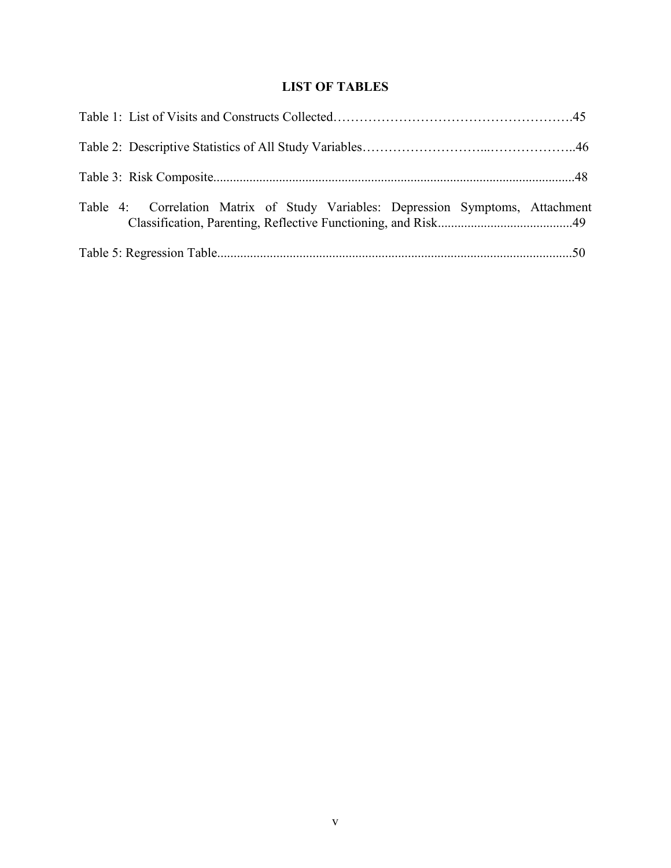# **LIST OF TABLES**

| Table 4: Correlation Matrix of Study Variables: Depression Symptoms, Attachment |  |
|---------------------------------------------------------------------------------|--|
|                                                                                 |  |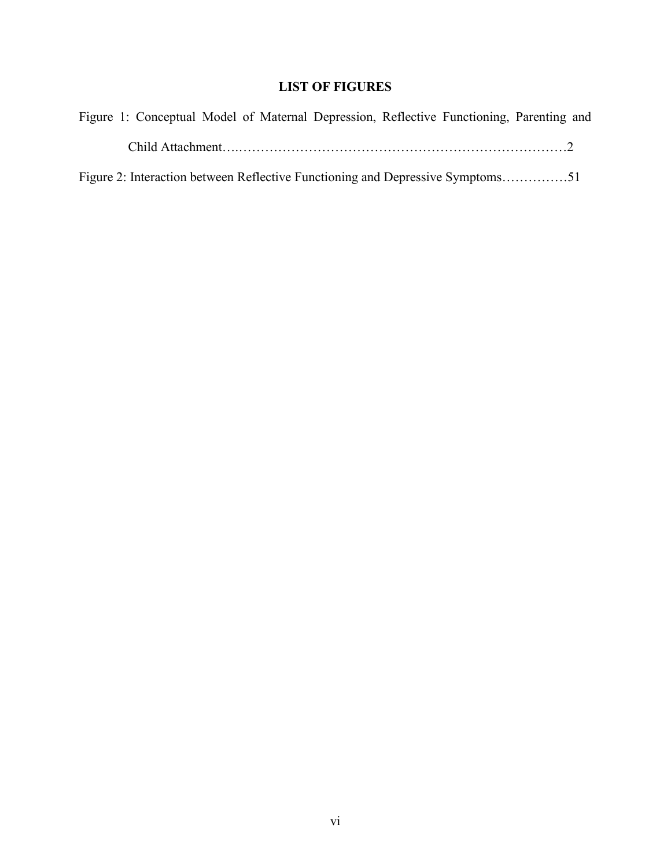# **LIST OF FIGURES**

| Figure 1: Conceptual Model of Maternal Depression, Reflective Functioning, Parenting and |  |
|------------------------------------------------------------------------------------------|--|
|                                                                                          |  |
| Figure 2: Interaction between Reflective Functioning and Depressive Symptoms51           |  |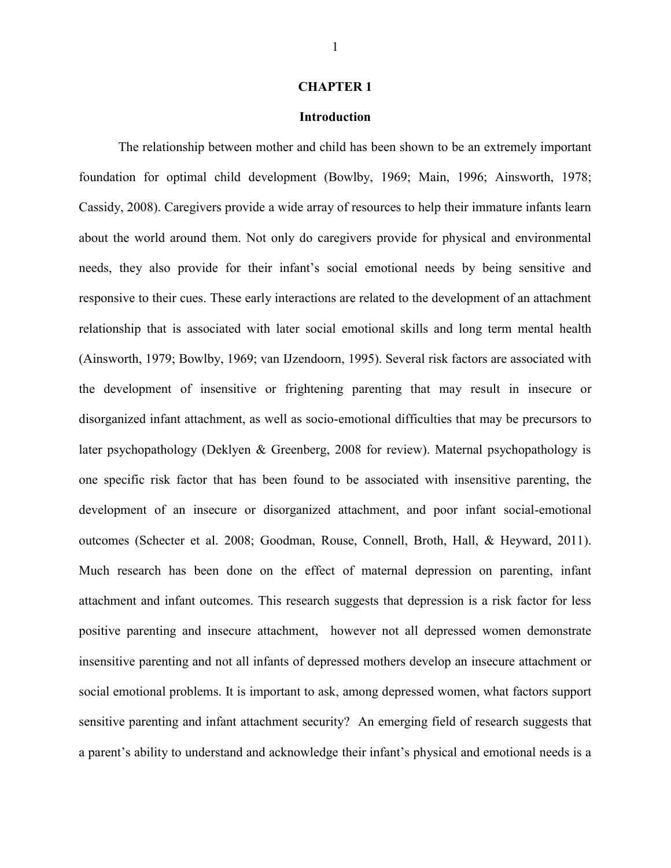#### **CHAPTER 1**

## **Introduction**

The relationship between mother and child has been shown to be an extremely important foundation for optimal child development (Bowlby, 1969; Main, 1996; Ainsworth, 1978; Cassidy, 2008). Caregivers provide a wide array of resources to help their immature infants learn about the world around them. Not only do caregivers provide for physical and environmental needs, they also provide for their infant's social emotional needs by being sensitive and responsive to their cues. These early interactions are related to the development of an attachment relationship that is associated with later social emotional skills and long term mental health (Ainsworth, 1979; Bowlby, 1969; van IJzendoorn, 1995). Several risk factors are associated with the development of insensitive or frightening parenting that may result in insecure or disorganized infant attachment, as well as socio-emotional difficulties that may be precursors to later psychopathology (Deklyen & Greenberg, 2008 for review). Maternal psychopathology is one specific risk factor that has been found to be associated with insensitive parenting, the development of an insecure or disorganized attachment, and poor infant social-emotional outcomes (Schecter et al. 2008; Goodman, Rouse, Connell, Broth, Hall, & Heyward, 2011). Much research has been done on the effect of maternal depression on parenting, infant attachment and infant outcomes. This research suggests that depression is a risk factor for less positive parenting and insecure attachment, however not all depressed women demonstrate insensitive parenting and not all infants of depressed mothers develop an insecure attachment or social emotional problems. It is important to ask, among depressed women, what factors support sensitive parenting and infant attachment security? An emerging field of research suggests that a parent's ability to understand and acknowledge their infant's physical and emotional needs is a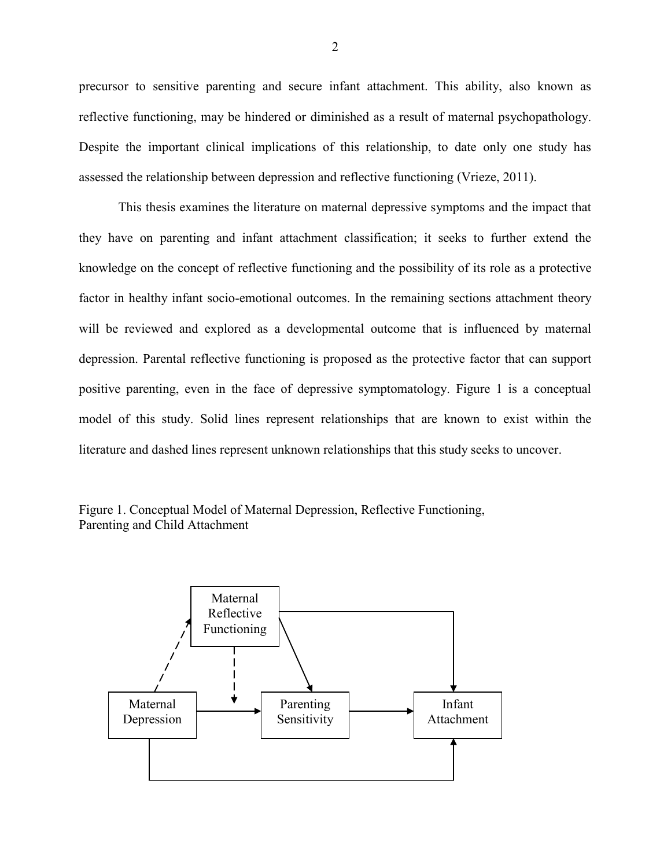precursor to sensitive parenting and secure infant attachment. This ability, also known as reflective functioning, may be hindered or diminished as a result of maternal psychopathology. Despite the important clinical implications of this relationship, to date only one study has assessed the relationship between depression and reflective functioning (Vrieze, 2011).

This thesis examines the literature on maternal depressive symptoms and the impact that they have on parenting and infant attachment classification; it seeks to further extend the knowledge on the concept of reflective functioning and the possibility of its role as a protective factor in healthy infant socio-emotional outcomes. In the remaining sections attachment theory will be reviewed and explored as a developmental outcome that is influenced by maternal depression. Parental reflective functioning is proposed as the protective factor that can support positive parenting, even in the face of depressive symptomatology. Figure 1 is a conceptual model of this study. Solid lines represent relationships that are known to exist within the literature and dashed lines represent unknown relationships that this study seeks to uncover.



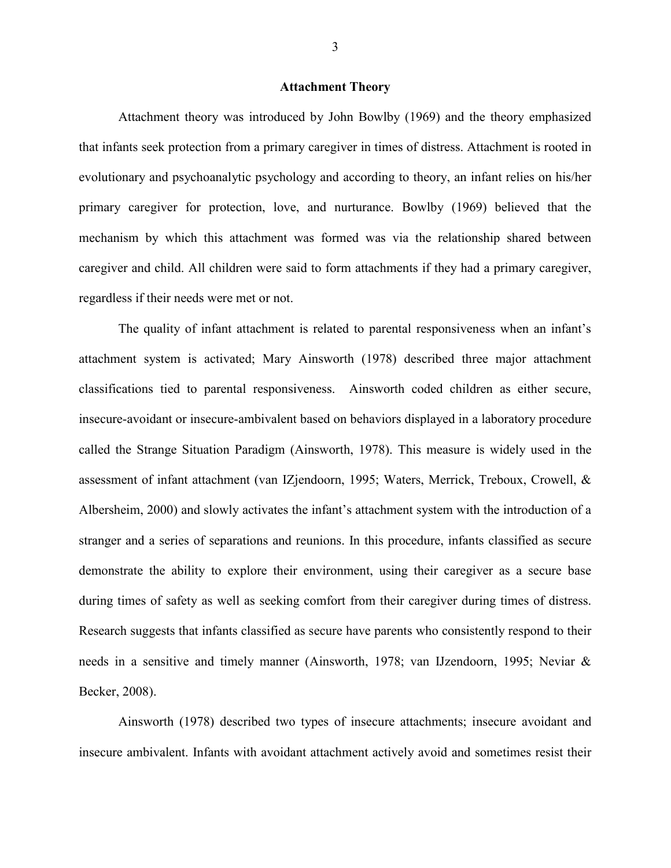#### **Attachment Theory**

Attachment theory was introduced by John Bowlby (1969) and the theory emphasized that infants seek protection from a primary caregiver in times of distress. Attachment is rooted in evolutionary and psychoanalytic psychology and according to theory, an infant relies on his/her primary caregiver for protection, love, and nurturance. Bowlby (1969) believed that the mechanism by which this attachment was formed was via the relationship shared between caregiver and child. All children were said to form attachments if they had a primary caregiver, regardless if their needs were met or not.

The quality of infant attachment is related to parental responsiveness when an infant's attachment system is activated; Mary Ainsworth (1978) described three major attachment classifications tied to parental responsiveness. Ainsworth coded children as either secure, insecure-avoidant or insecure-ambivalent based on behaviors displayed in a laboratory procedure called the Strange Situation Paradigm (Ainsworth, 1978). This measure is widely used in the assessment of infant attachment (van IZjendoorn, 1995; Waters, Merrick, Treboux, Crowell, & Albersheim, 2000) and slowly activates the infant's attachment system with the introduction of a stranger and a series of separations and reunions. In this procedure, infants classified as secure demonstrate the ability to explore their environment, using their caregiver as a secure base during times of safety as well as seeking comfort from their caregiver during times of distress. Research suggests that infants classified as secure have parents who consistently respond to their needs in a sensitive and timely manner (Ainsworth, 1978; van IJzendoorn, 1995; Neviar & Becker, 2008).

Ainsworth (1978) described two types of insecure attachments; insecure avoidant and insecure ambivalent. Infants with avoidant attachment actively avoid and sometimes resist their

3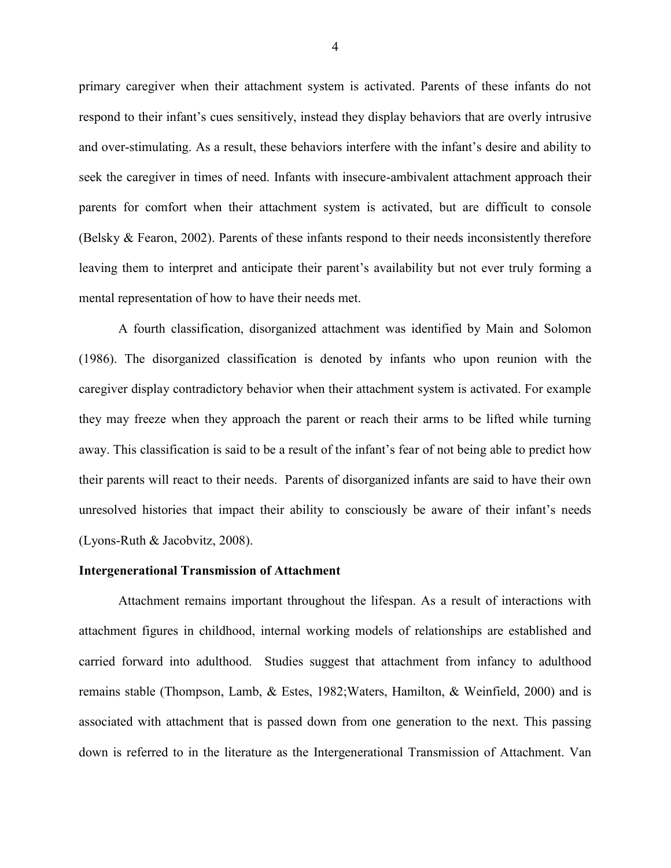primary caregiver when their attachment system is activated. Parents of these infants do not respond to their infant's cues sensitively, instead they display behaviors that are overly intrusive and over-stimulating. As a result, these behaviors interfere with the infant's desire and ability to seek the caregiver in times of need. Infants with insecure-ambivalent attachment approach their parents for comfort when their attachment system is activated, but are difficult to console (Belsky & Fearon, 2002). Parents of these infants respond to their needs inconsistently therefore leaving them to interpret and anticipate their parent's availability but not ever truly forming a mental representation of how to have their needs met.

A fourth classification, disorganized attachment was identified by Main and Solomon (1986). The disorganized classification is denoted by infants who upon reunion with the caregiver display contradictory behavior when their attachment system is activated. For example they may freeze when they approach the parent or reach their arms to be lifted while turning away. This classification is said to be a result of the infant's fear of not being able to predict how their parents will react to their needs. Parents of disorganized infants are said to have their own unresolved histories that impact their ability to consciously be aware of their infant's needs (Lyons-Ruth & Jacobvitz, 2008).

#### **Intergenerational Transmission of Attachment**

Attachment remains important throughout the lifespan. As a result of interactions with attachment figures in childhood, internal working models of relationships are established and carried forward into adulthood. Studies suggest that attachment from infancy to adulthood remains stable (Thompson, Lamb, & Estes, 1982;Waters, Hamilton, & Weinfield, 2000) and is associated with attachment that is passed down from one generation to the next. This passing down is referred to in the literature as the Intergenerational Transmission of Attachment. Van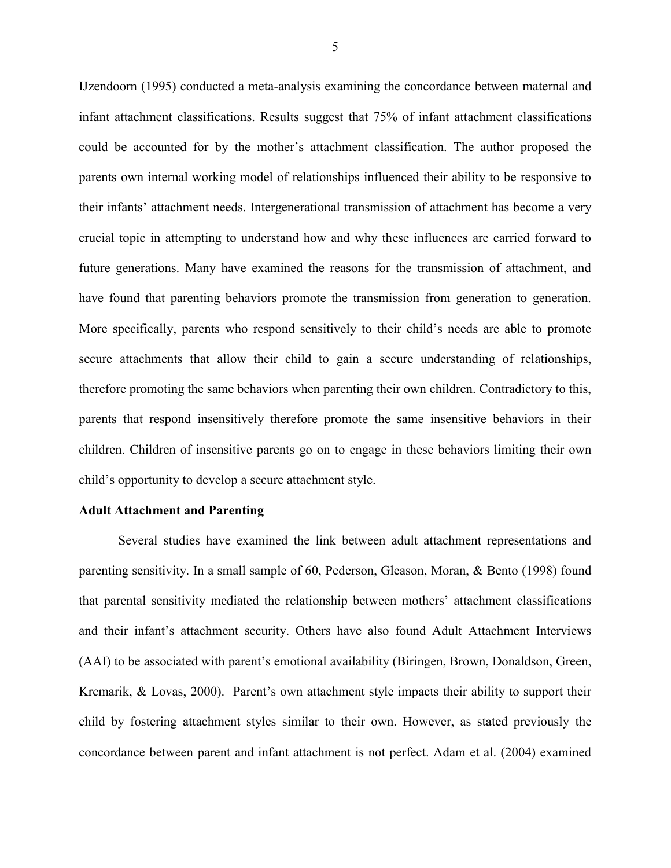IJzendoorn (1995) conducted a meta-analysis examining the concordance between maternal and infant attachment classifications. Results suggest that 75% of infant attachment classifications could be accounted for by the mother's attachment classification. The author proposed the parents own internal working model of relationships influenced their ability to be responsive to their infants' attachment needs. Intergenerational transmission of attachment has become a very crucial topic in attempting to understand how and why these influences are carried forward to future generations. Many have examined the reasons for the transmission of attachment, and have found that parenting behaviors promote the transmission from generation to generation. More specifically, parents who respond sensitively to their child's needs are able to promote secure attachments that allow their child to gain a secure understanding of relationships, therefore promoting the same behaviors when parenting their own children. Contradictory to this, parents that respond insensitively therefore promote the same insensitive behaviors in their children. Children of insensitive parents go on to engage in these behaviors limiting their own child's opportunity to develop a secure attachment style.

#### **Adult Attachment and Parenting**

Several studies have examined the link between adult attachment representations and parenting sensitivity. In a small sample of 60, Pederson, Gleason, Moran, & Bento (1998) found that parental sensitivity mediated the relationship between mothers' attachment classifications and their infant's attachment security. Others have also found Adult Attachment Interviews (AAI) to be associated with parent's emotional availability (Biringen, Brown, Donaldson, Green, Krcmarik, & Lovas, 2000). Parent's own attachment style impacts their ability to support their child by fostering attachment styles similar to their own. However, as stated previously the concordance between parent and infant attachment is not perfect. Adam et al. (2004) examined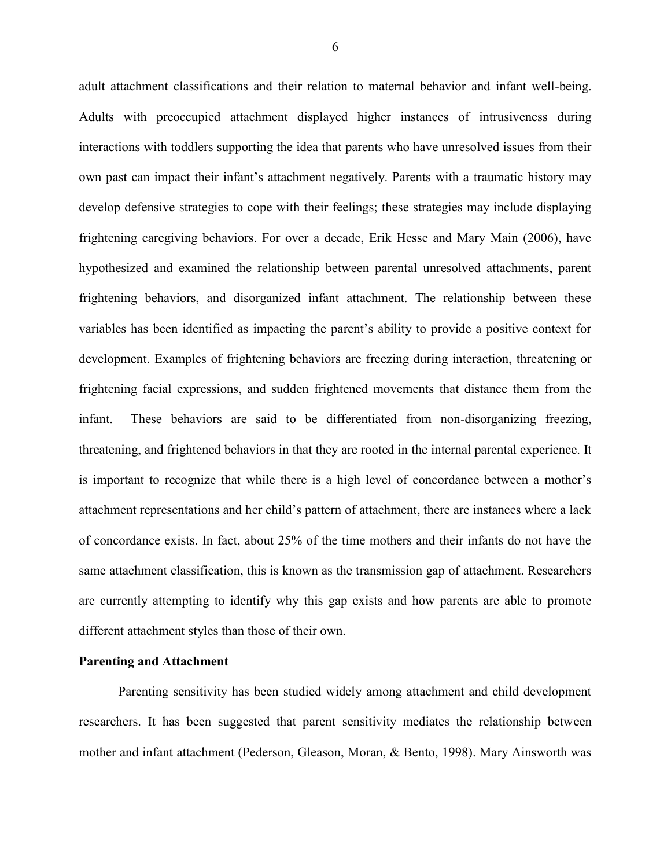adult attachment classifications and their relation to maternal behavior and infant well-being. Adults with preoccupied attachment displayed higher instances of intrusiveness during interactions with toddlers supporting the idea that parents who have unresolved issues from their own past can impact their infant's attachment negatively. Parents with a traumatic history may develop defensive strategies to cope with their feelings; these strategies may include displaying frightening caregiving behaviors. For over a decade, Erik Hesse and Mary Main (2006), have hypothesized and examined the relationship between parental unresolved attachments, parent frightening behaviors, and disorganized infant attachment. The relationship between these variables has been identified as impacting the parent's ability to provide a positive context for development. Examples of frightening behaviors are freezing during interaction, threatening or frightening facial expressions, and sudden frightened movements that distance them from the infant. These behaviors are said to be differentiated from non-disorganizing freezing, threatening, and frightened behaviors in that they are rooted in the internal parental experience. It is important to recognize that while there is a high level of concordance between a mother's attachment representations and her child's pattern of attachment, there are instances where a lack of concordance exists. In fact, about 25% of the time mothers and their infants do not have the same attachment classification, this is known as the transmission gap of attachment. Researchers are currently attempting to identify why this gap exists and how parents are able to promote different attachment styles than those of their own.

#### **Parenting and Attachment**

Parenting sensitivity has been studied widely among attachment and child development researchers. It has been suggested that parent sensitivity mediates the relationship between mother and infant attachment (Pederson, Gleason, Moran, & Bento, 1998). Mary Ainsworth was

6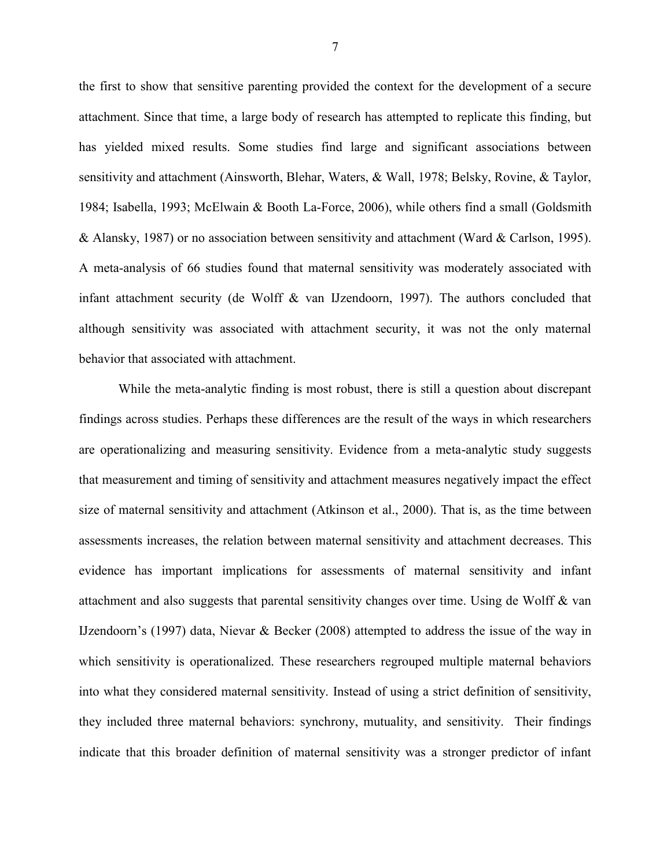the first to show that sensitive parenting provided the context for the development of a secure attachment. Since that time, a large body of research has attempted to replicate this finding, but has yielded mixed results. Some studies find large and significant associations between sensitivity and attachment (Ainsworth, Blehar, Waters, & Wall, 1978; Belsky, Rovine, & Taylor, 1984; Isabella, 1993; McElwain & Booth La-Force, 2006), while others find a small (Goldsmith & Alansky, 1987) or no association between sensitivity and attachment (Ward & Carlson, 1995). A meta-analysis of 66 studies found that maternal sensitivity was moderately associated with infant attachment security (de Wolff & van IJzendoorn, 1997). The authors concluded that although sensitivity was associated with attachment security, it was not the only maternal behavior that associated with attachment.

While the meta-analytic finding is most robust, there is still a question about discrepant findings across studies. Perhaps these differences are the result of the ways in which researchers are operationalizing and measuring sensitivity. Evidence from a meta-analytic study suggests that measurement and timing of sensitivity and attachment measures negatively impact the effect size of maternal sensitivity and attachment (Atkinson et al., 2000). That is, as the time between assessments increases, the relation between maternal sensitivity and attachment decreases. This evidence has important implications for assessments of maternal sensitivity and infant attachment and also suggests that parental sensitivity changes over time. Using de Wolff & van IJzendoorn's (1997) data, Nievar & Becker (2008) attempted to address the issue of the way in which sensitivity is operationalized. These researchers regrouped multiple maternal behaviors into what they considered maternal sensitivity. Instead of using a strict definition of sensitivity, they included three maternal behaviors: synchrony, mutuality, and sensitivity. Their findings indicate that this broader definition of maternal sensitivity was a stronger predictor of infant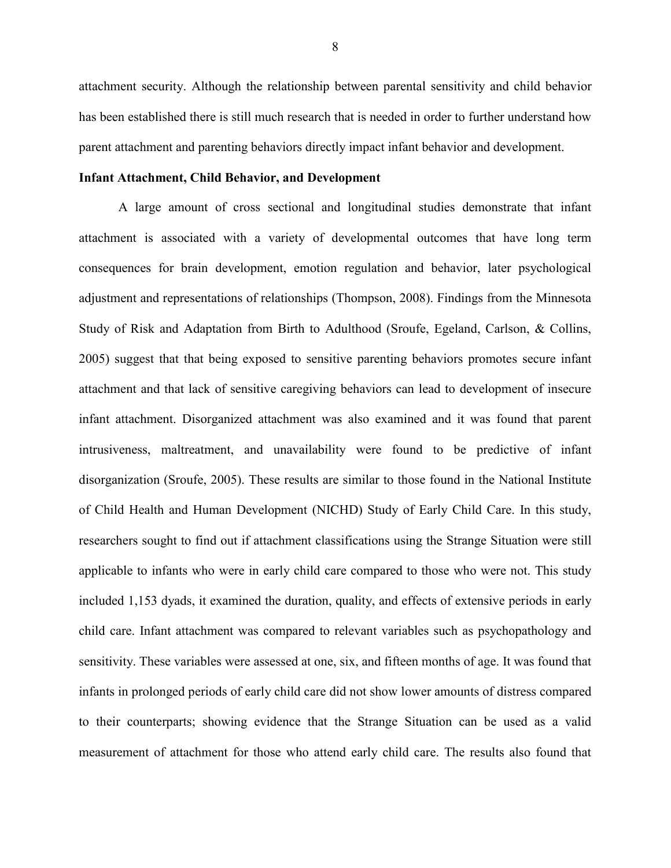attachment security. Although the relationship between parental sensitivity and child behavior has been established there is still much research that is needed in order to further understand how parent attachment and parenting behaviors directly impact infant behavior and development.

#### **Infant Attachment, Child Behavior, and Development**

A large amount of cross sectional and longitudinal studies demonstrate that infant attachment is associated with a variety of developmental outcomes that have long term consequences for brain development, emotion regulation and behavior, later psychological adjustment and representations of relationships (Thompson, 2008). Findings from the Minnesota Study of Risk and Adaptation from Birth to Adulthood (Sroufe, Egeland, Carlson, & Collins, 2005) suggest that that being exposed to sensitive parenting behaviors promotes secure infant attachment and that lack of sensitive caregiving behaviors can lead to development of insecure infant attachment. Disorganized attachment was also examined and it was found that parent intrusiveness, maltreatment, and unavailability were found to be predictive of infant disorganization (Sroufe, 2005). These results are similar to those found in the National Institute of Child Health and Human Development (NICHD) Study of Early Child Care. In this study, researchers sought to find out if attachment classifications using the Strange Situation were still applicable to infants who were in early child care compared to those who were not. This study included 1,153 dyads, it examined the duration, quality, and effects of extensive periods in early child care. Infant attachment was compared to relevant variables such as psychopathology and sensitivity. These variables were assessed at one, six, and fifteen months of age. It was found that infants in prolonged periods of early child care did not show lower amounts of distress compared to their counterparts; showing evidence that the Strange Situation can be used as a valid measurement of attachment for those who attend early child care. The results also found that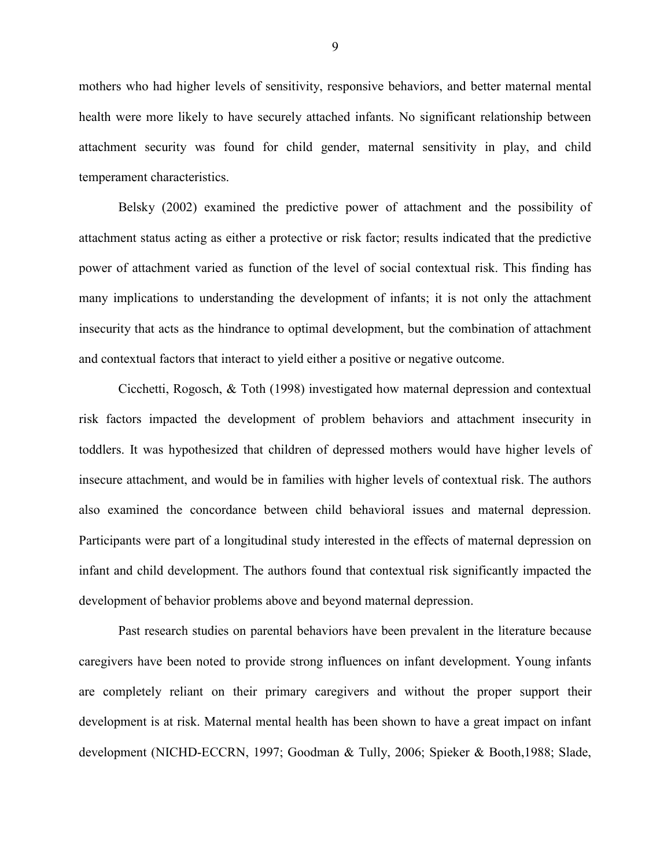mothers who had higher levels of sensitivity, responsive behaviors, and better maternal mental health were more likely to have securely attached infants. No significant relationship between attachment security was found for child gender, maternal sensitivity in play, and child temperament characteristics.

Belsky (2002) examined the predictive power of attachment and the possibility of attachment status acting as either a protective or risk factor; results indicated that the predictive power of attachment varied as function of the level of social contextual risk. This finding has many implications to understanding the development of infants; it is not only the attachment insecurity that acts as the hindrance to optimal development, but the combination of attachment and contextual factors that interact to yield either a positive or negative outcome.

Cicchetti, Rogosch, & Toth (1998) investigated how maternal depression and contextual risk factors impacted the development of problem behaviors and attachment insecurity in toddlers. It was hypothesized that children of depressed mothers would have higher levels of insecure attachment, and would be in families with higher levels of contextual risk. The authors also examined the concordance between child behavioral issues and maternal depression. Participants were part of a longitudinal study interested in the effects of maternal depression on infant and child development. The authors found that contextual risk significantly impacted the development of behavior problems above and beyond maternal depression.

Past research studies on parental behaviors have been prevalent in the literature because caregivers have been noted to provide strong influences on infant development. Young infants are completely reliant on their primary caregivers and without the proper support their development is at risk. Maternal mental health has been shown to have a great impact on infant development (NICHD-ECCRN, 1997; Goodman & Tully, 2006; Spieker & Booth,1988; Slade,

9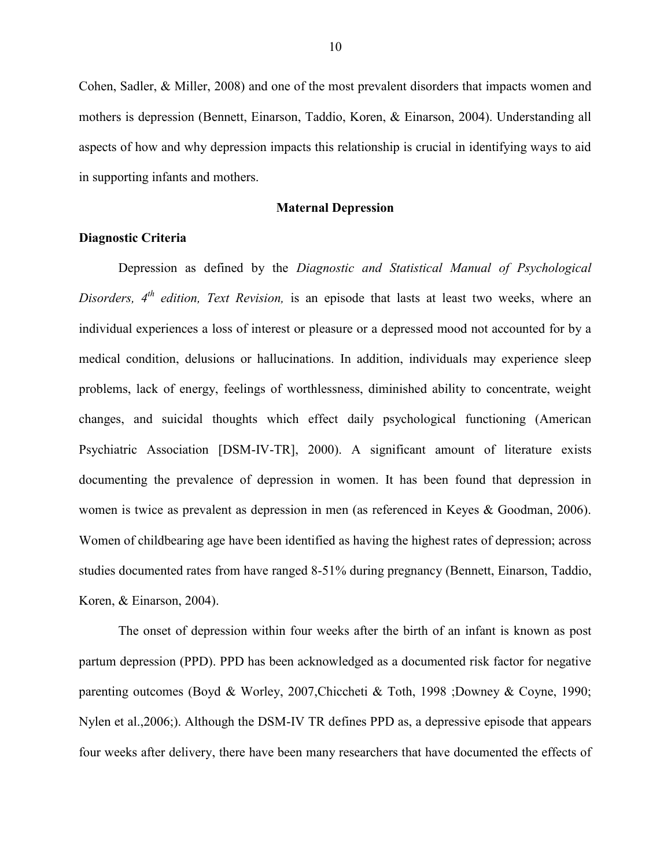Cohen, Sadler, & Miller, 2008) and one of the most prevalent disorders that impacts women and mothers is depression (Bennett, Einarson, Taddio, Koren, & Einarson, 2004). Understanding all aspects of how and why depression impacts this relationship is crucial in identifying ways to aid in supporting infants and mothers.

#### **Maternal Depression**

#### **Diagnostic Criteria**

Depression as defined by the *Diagnostic and Statistical Manual of Psychological Disorders, 4th edition, Text Revision,* is an episode that lasts at least two weeks, where an individual experiences a loss of interest or pleasure or a depressed mood not accounted for by a medical condition, delusions or hallucinations. In addition, individuals may experience sleep problems, lack of energy, feelings of worthlessness, diminished ability to concentrate, weight changes, and suicidal thoughts which effect daily psychological functioning (American Psychiatric Association [DSM-IV-TR], 2000). A significant amount of literature exists documenting the prevalence of depression in women. It has been found that depression in women is twice as prevalent as depression in men (as referenced in Keyes & Goodman, 2006). Women of childbearing age have been identified as having the highest rates of depression; across studies documented rates from have ranged 8-51% during pregnancy (Bennett, Einarson, Taddio, Koren, & Einarson, 2004).

The onset of depression within four weeks after the birth of an infant is known as post partum depression (PPD). PPD has been acknowledged as a documented risk factor for negative parenting outcomes (Boyd & Worley, 2007,Chiccheti & Toth, 1998 ;Downey & Coyne, 1990; Nylen et al.,2006;). Although the DSM-IV TR defines PPD as, a depressive episode that appears four weeks after delivery, there have been many researchers that have documented the effects of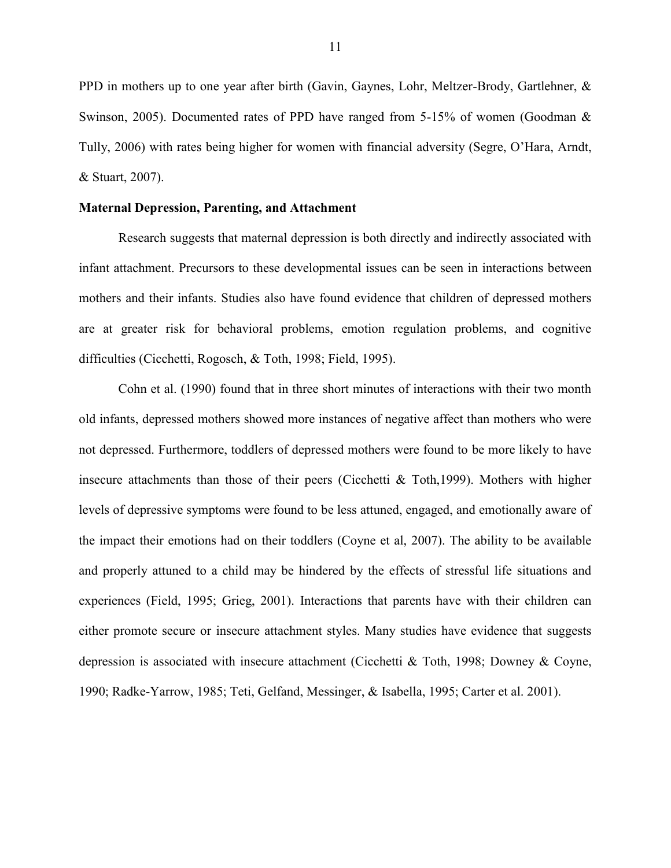PPD in mothers up to one year after birth (Gavin, Gaynes, Lohr, Meltzer-Brody, Gartlehner, & Swinson, 2005). Documented rates of PPD have ranged from 5-15% of women (Goodman & Tully, 2006) with rates being higher for women with financial adversity (Segre, O'Hara, Arndt, & Stuart, 2007).

#### **Maternal Depression, Parenting, and Attachment**

Research suggests that maternal depression is both directly and indirectly associated with infant attachment. Precursors to these developmental issues can be seen in interactions between mothers and their infants. Studies also have found evidence that children of depressed mothers are at greater risk for behavioral problems, emotion regulation problems, and cognitive difficulties (Cicchetti, Rogosch, & Toth, 1998; Field, 1995).

Cohn et al. (1990) found that in three short minutes of interactions with their two month old infants, depressed mothers showed more instances of negative affect than mothers who were not depressed. Furthermore, toddlers of depressed mothers were found to be more likely to have insecure attachments than those of their peers (Cicchetti & Toth,1999). Mothers with higher levels of depressive symptoms were found to be less attuned, engaged, and emotionally aware of the impact their emotions had on their toddlers (Coyne et al, 2007). The ability to be available and properly attuned to a child may be hindered by the effects of stressful life situations and experiences (Field, 1995; Grieg, 2001). Interactions that parents have with their children can either promote secure or insecure attachment styles. Many studies have evidence that suggests depression is associated with insecure attachment (Cicchetti & Toth, 1998; Downey & Coyne, 1990; Radke-Yarrow, 1985; Teti, Gelfand, Messinger, & Isabella, 1995; Carter et al. 2001).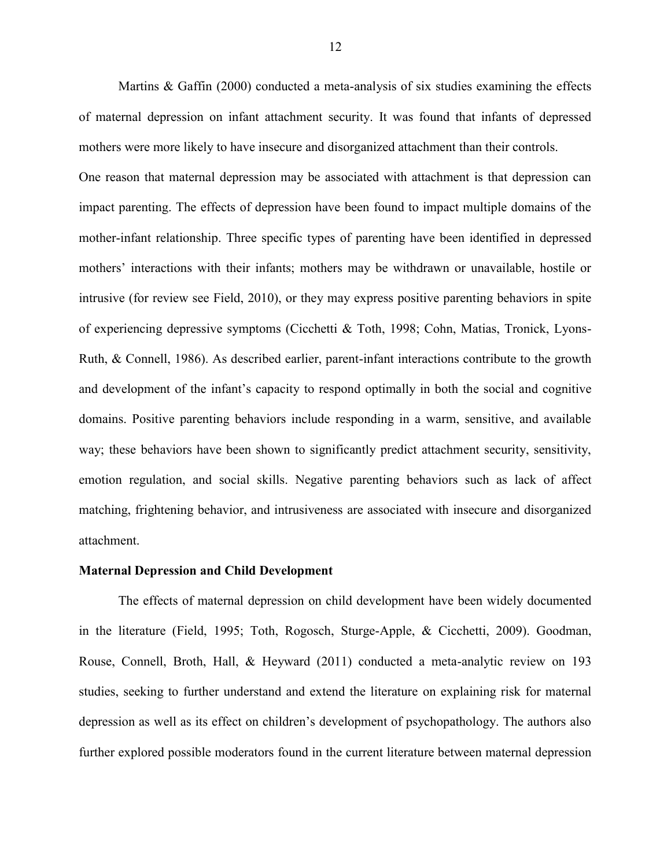Martins & Gaffin (2000) conducted a meta-analysis of six studies examining the effects of maternal depression on infant attachment security. It was found that infants of depressed mothers were more likely to have insecure and disorganized attachment than their controls.

One reason that maternal depression may be associated with attachment is that depression can impact parenting. The effects of depression have been found to impact multiple domains of the mother-infant relationship. Three specific types of parenting have been identified in depressed mothers' interactions with their infants; mothers may be withdrawn or unavailable, hostile or intrusive (for review see Field, 2010), or they may express positive parenting behaviors in spite of experiencing depressive symptoms (Cicchetti & Toth, 1998; Cohn, Matias, Tronick, Lyons-Ruth, & Connell, 1986). As described earlier, parent-infant interactions contribute to the growth and development of the infant's capacity to respond optimally in both the social and cognitive domains. Positive parenting behaviors include responding in a warm, sensitive, and available way; these behaviors have been shown to significantly predict attachment security, sensitivity, emotion regulation, and social skills. Negative parenting behaviors such as lack of affect matching, frightening behavior, and intrusiveness are associated with insecure and disorganized attachment.

#### **Maternal Depression and Child Development**

The effects of maternal depression on child development have been widely documented in the literature (Field, 1995; Toth, Rogosch, Sturge-Apple, & Cicchetti, 2009). Goodman, Rouse, Connell, Broth, Hall, & Heyward (2011) conducted a meta-analytic review on 193 studies, seeking to further understand and extend the literature on explaining risk for maternal depression as well as its effect on children's development of psychopathology. The authors also further explored possible moderators found in the current literature between maternal depression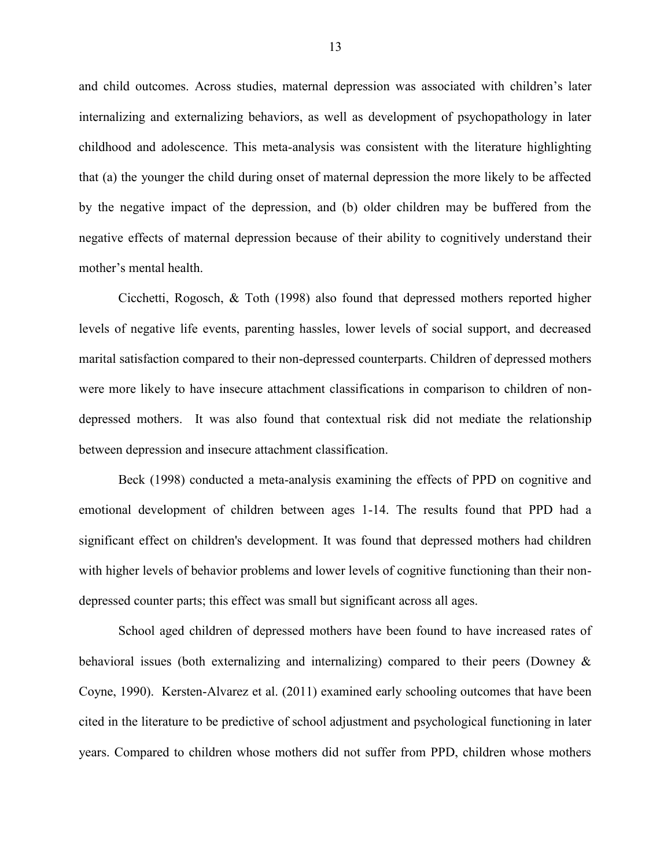and child outcomes. Across studies, maternal depression was associated with children's later internalizing and externalizing behaviors, as well as development of psychopathology in later childhood and adolescence. This meta-analysis was consistent with the literature highlighting that (a) the younger the child during onset of maternal depression the more likely to be affected by the negative impact of the depression, and (b) older children may be buffered from the negative effects of maternal depression because of their ability to cognitively understand their mother's mental health.

Cicchetti, Rogosch, & Toth (1998) also found that depressed mothers reported higher levels of negative life events, parenting hassles, lower levels of social support, and decreased marital satisfaction compared to their non-depressed counterparts. Children of depressed mothers were more likely to have insecure attachment classifications in comparison to children of nondepressed mothers. It was also found that contextual risk did not mediate the relationship between depression and insecure attachment classification.

Beck (1998) conducted a meta-analysis examining the effects of PPD on cognitive and emotional development of children between ages 1-14. The results found that PPD had a significant effect on children's development. It was found that depressed mothers had children with higher levels of behavior problems and lower levels of cognitive functioning than their nondepressed counter parts; this effect was small but significant across all ages.

School aged children of depressed mothers have been found to have increased rates of behavioral issues (both externalizing and internalizing) compared to their peers (Downey & Coyne, 1990). Kersten-Alvarez et al. (2011) examined early schooling outcomes that have been cited in the literature to be predictive of school adjustment and psychological functioning in later years. Compared to children whose mothers did not suffer from PPD, children whose mothers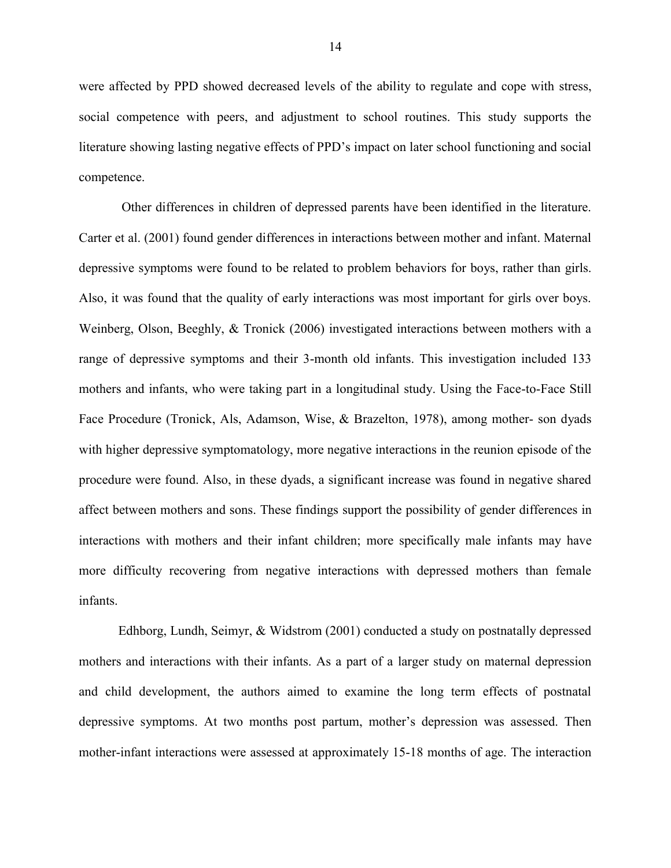were affected by PPD showed decreased levels of the ability to regulate and cope with stress, social competence with peers, and adjustment to school routines. This study supports the literature showing lasting negative effects of PPD's impact on later school functioning and social competence.

Other differences in children of depressed parents have been identified in the literature. Carter et al. (2001) found gender differences in interactions between mother and infant. Maternal depressive symptoms were found to be related to problem behaviors for boys, rather than girls. Also, it was found that the quality of early interactions was most important for girls over boys. Weinberg, Olson, Beeghly, & Tronick (2006) investigated interactions between mothers with a range of depressive symptoms and their 3-month old infants. This investigation included 133 mothers and infants, who were taking part in a longitudinal study. Using the Face-to-Face Still Face Procedure (Tronick, Als, Adamson, Wise, & Brazelton, 1978), among mother- son dyads with higher depressive symptomatology, more negative interactions in the reunion episode of the procedure were found. Also, in these dyads, a significant increase was found in negative shared affect between mothers and sons. These findings support the possibility of gender differences in interactions with mothers and their infant children; more specifically male infants may have more difficulty recovering from negative interactions with depressed mothers than female infants.

Edhborg, Lundh, Seimyr, & Widstrom (2001) conducted a study on postnatally depressed mothers and interactions with their infants. As a part of a larger study on maternal depression and child development, the authors aimed to examine the long term effects of postnatal depressive symptoms. At two months post partum, mother's depression was assessed. Then mother-infant interactions were assessed at approximately 15-18 months of age. The interaction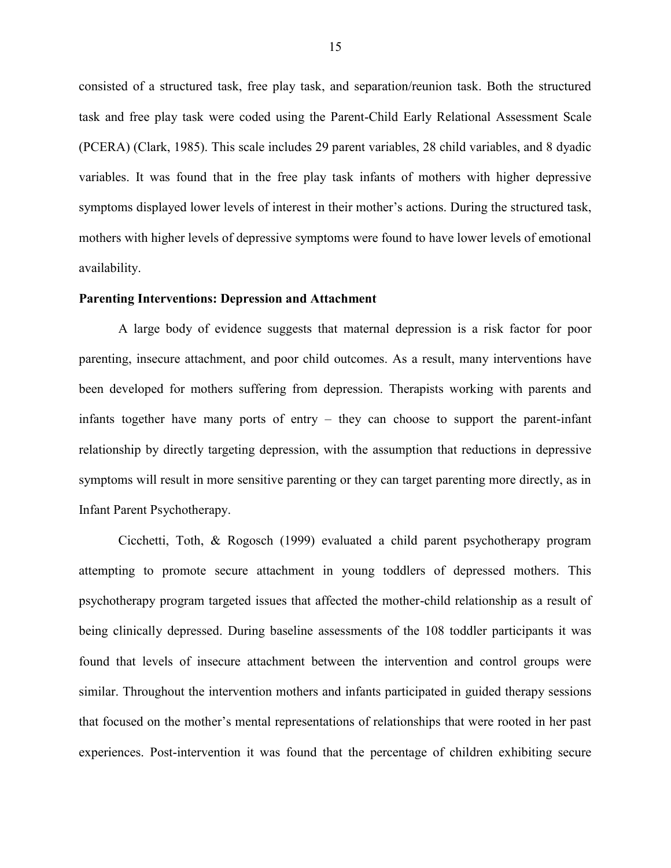consisted of a structured task, free play task, and separation/reunion task. Both the structured task and free play task were coded using the Parent-Child Early Relational Assessment Scale (PCERA) (Clark, 1985). This scale includes 29 parent variables, 28 child variables, and 8 dyadic variables. It was found that in the free play task infants of mothers with higher depressive symptoms displayed lower levels of interest in their mother's actions. During the structured task, mothers with higher levels of depressive symptoms were found to have lower levels of emotional availability.

#### **Parenting Interventions: Depression and Attachment**

A large body of evidence suggests that maternal depression is a risk factor for poor parenting, insecure attachment, and poor child outcomes. As a result, many interventions have been developed for mothers suffering from depression. Therapists working with parents and infants together have many ports of entry – they can choose to support the parent-infant relationship by directly targeting depression, with the assumption that reductions in depressive symptoms will result in more sensitive parenting or they can target parenting more directly, as in Infant Parent Psychotherapy.

Cicchetti, Toth, & Rogosch (1999) evaluated a child parent psychotherapy program attempting to promote secure attachment in young toddlers of depressed mothers. This psychotherapy program targeted issues that affected the mother-child relationship as a result of being clinically depressed. During baseline assessments of the 108 toddler participants it was found that levels of insecure attachment between the intervention and control groups were similar. Throughout the intervention mothers and infants participated in guided therapy sessions that focused on the mother's mental representations of relationships that were rooted in her past experiences. Post-intervention it was found that the percentage of children exhibiting secure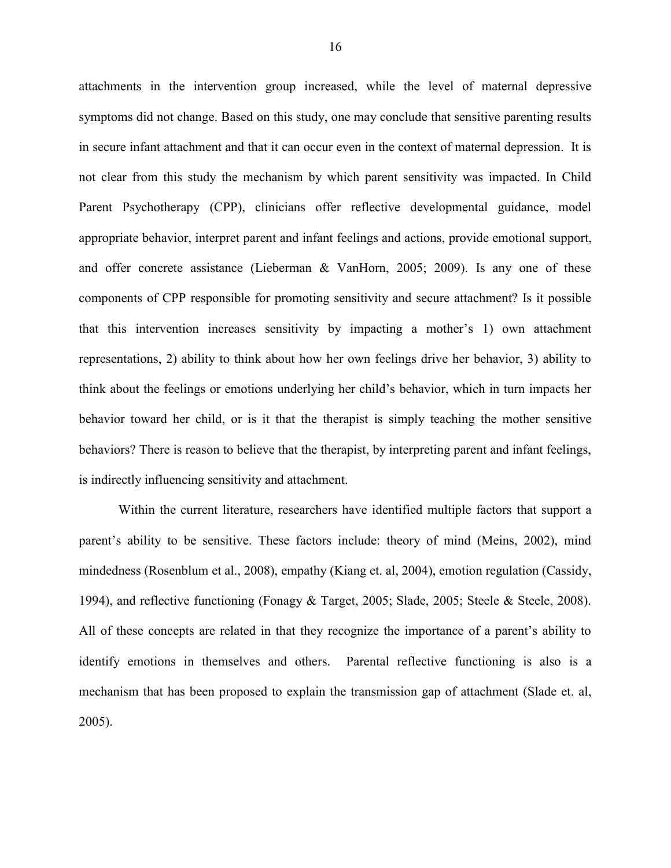attachments in the intervention group increased, while the level of maternal depressive symptoms did not change. Based on this study, one may conclude that sensitive parenting results in secure infant attachment and that it can occur even in the context of maternal depression. It is not clear from this study the mechanism by which parent sensitivity was impacted. In Child Parent Psychotherapy (CPP), clinicians offer reflective developmental guidance, model appropriate behavior, interpret parent and infant feelings and actions, provide emotional support, and offer concrete assistance (Lieberman & VanHorn, 2005; 2009). Is any one of these components of CPP responsible for promoting sensitivity and secure attachment? Is it possible that this intervention increases sensitivity by impacting a mother's 1) own attachment representations, 2) ability to think about how her own feelings drive her behavior, 3) ability to think about the feelings or emotions underlying her child's behavior, which in turn impacts her behavior toward her child, or is it that the therapist is simply teaching the mother sensitive behaviors? There is reason to believe that the therapist, by interpreting parent and infant feelings, is indirectly influencing sensitivity and attachment.

Within the current literature, researchers have identified multiple factors that support a parent's ability to be sensitive. These factors include: theory of mind (Meins, 2002), mind mindedness (Rosenblum et al., 2008), empathy (Kiang et. al, 2004), emotion regulation (Cassidy, 1994), and reflective functioning (Fonagy & Target, 2005; Slade, 2005; Steele & Steele, 2008). All of these concepts are related in that they recognize the importance of a parent's ability to identify emotions in themselves and others. Parental reflective functioning is also is a mechanism that has been proposed to explain the transmission gap of attachment (Slade et. al, 2005).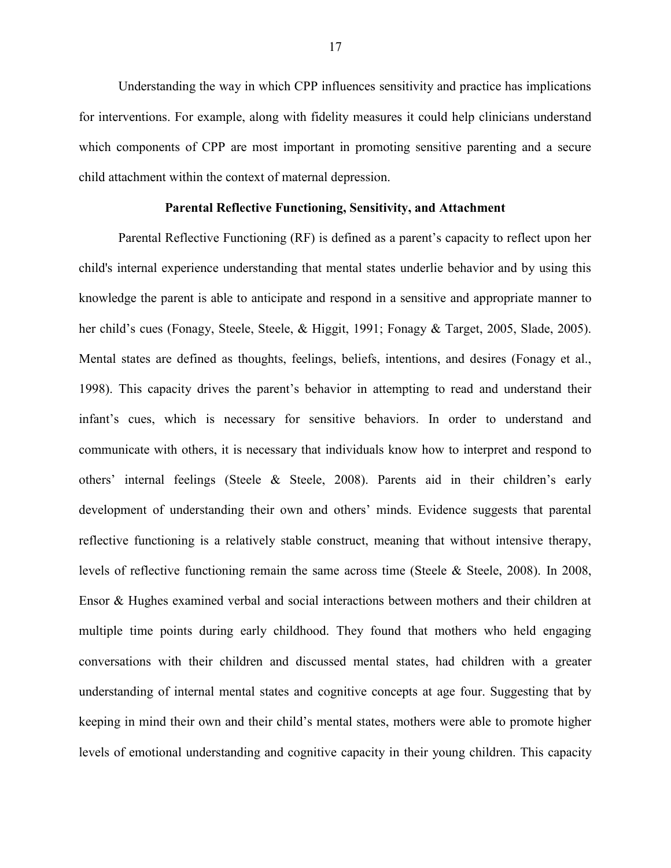Understanding the way in which CPP influences sensitivity and practice has implications for interventions. For example, along with fidelity measures it could help clinicians understand which components of CPP are most important in promoting sensitive parenting and a secure child attachment within the context of maternal depression.

#### **Parental Reflective Functioning, Sensitivity, and Attachment**

Parental Reflective Functioning (RF) is defined as a parent's capacity to reflect upon her child's internal experience understanding that mental states underlie behavior and by using this knowledge the parent is able to anticipate and respond in a sensitive and appropriate manner to her child's cues (Fonagy, Steele, Steele, & Higgit, 1991; Fonagy & Target, 2005, Slade, 2005). Mental states are defined as thoughts, feelings, beliefs, intentions, and desires (Fonagy et al., 1998). This capacity drives the parent's behavior in attempting to read and understand their infant's cues, which is necessary for sensitive behaviors. In order to understand and communicate with others, it is necessary that individuals know how to interpret and respond to others' internal feelings (Steele & Steele, 2008). Parents aid in their children's early development of understanding their own and others' minds. Evidence suggests that parental reflective functioning is a relatively stable construct, meaning that without intensive therapy, levels of reflective functioning remain the same across time (Steele & Steele, 2008). In 2008, Ensor & Hughes examined verbal and social interactions between mothers and their children at multiple time points during early childhood. They found that mothers who held engaging conversations with their children and discussed mental states, had children with a greater understanding of internal mental states and cognitive concepts at age four. Suggesting that by keeping in mind their own and their child's mental states, mothers were able to promote higher levels of emotional understanding and cognitive capacity in their young children. This capacity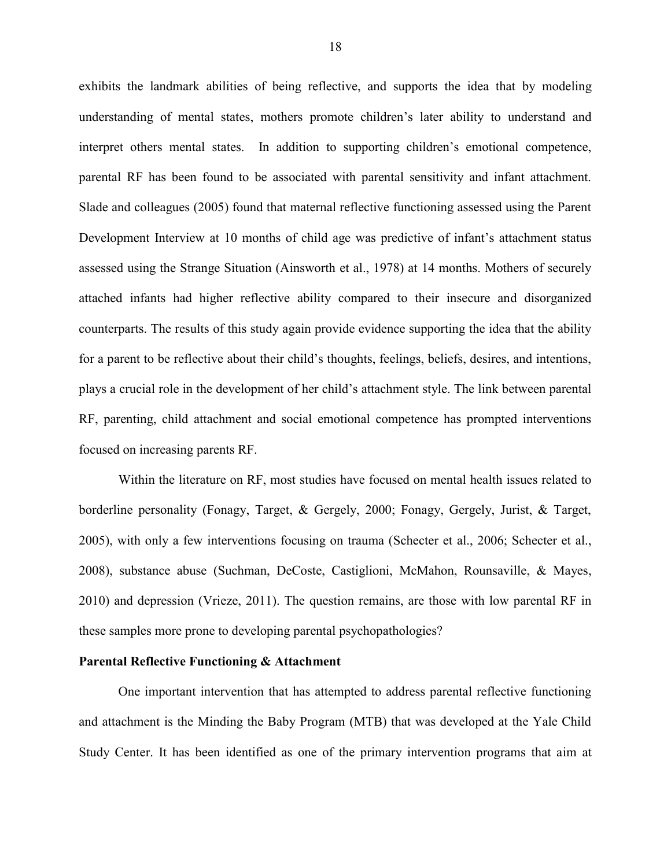exhibits the landmark abilities of being reflective, and supports the idea that by modeling understanding of mental states, mothers promote children's later ability to understand and interpret others mental states. In addition to supporting children's emotional competence, parental RF has been found to be associated with parental sensitivity and infant attachment. Slade and colleagues (2005) found that maternal reflective functioning assessed using the Parent Development Interview at 10 months of child age was predictive of infant's attachment status assessed using the Strange Situation (Ainsworth et al., 1978) at 14 months. Mothers of securely attached infants had higher reflective ability compared to their insecure and disorganized counterparts. The results of this study again provide evidence supporting the idea that the ability for a parent to be reflective about their child's thoughts, feelings, beliefs, desires, and intentions, plays a crucial role in the development of her child's attachment style. The link between parental RF, parenting, child attachment and social emotional competence has prompted interventions focused on increasing parents RF.

Within the literature on RF, most studies have focused on mental health issues related to borderline personality (Fonagy, Target, & Gergely, 2000; Fonagy, Gergely, Jurist, & Target, 2005), with only a few interventions focusing on trauma (Schecter et al., 2006; Schecter et al., 2008), substance abuse (Suchman, DeCoste, Castiglioni, McMahon, Rounsaville, & Mayes, 2010) and depression (Vrieze, 2011). The question remains, are those with low parental RF in these samples more prone to developing parental psychopathologies?

#### **Parental Reflective Functioning & Attachment**

One important intervention that has attempted to address parental reflective functioning and attachment is the Minding the Baby Program (MTB) that was developed at the Yale Child Study Center. It has been identified as one of the primary intervention programs that aim at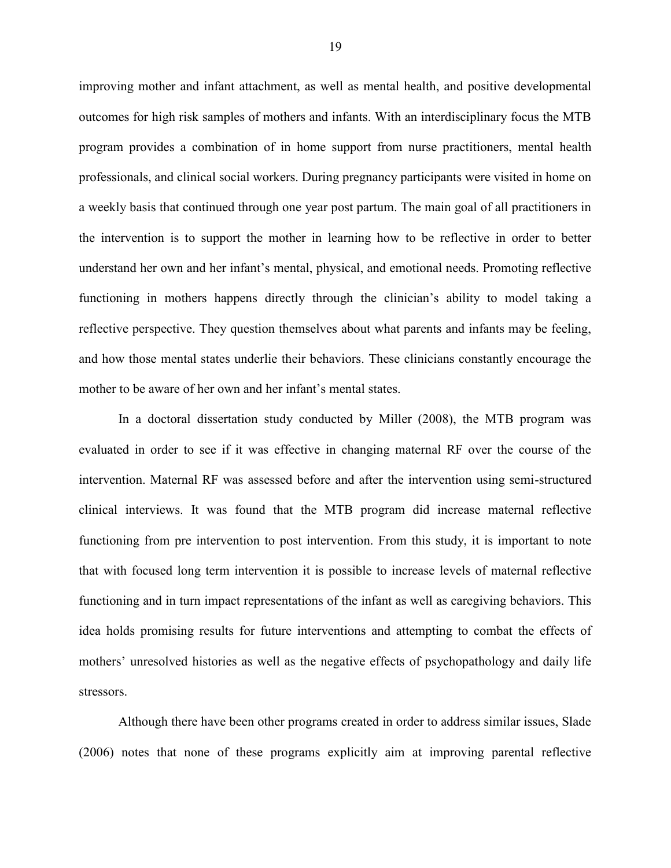improving mother and infant attachment, as well as mental health, and positive developmental outcomes for high risk samples of mothers and infants. With an interdisciplinary focus the MTB program provides a combination of in home support from nurse practitioners, mental health professionals, and clinical social workers. During pregnancy participants were visited in home on a weekly basis that continued through one year post partum. The main goal of all practitioners in the intervention is to support the mother in learning how to be reflective in order to better understand her own and her infant's mental, physical, and emotional needs. Promoting reflective functioning in mothers happens directly through the clinician's ability to model taking a reflective perspective. They question themselves about what parents and infants may be feeling, and how those mental states underlie their behaviors. These clinicians constantly encourage the mother to be aware of her own and her infant's mental states.

In a doctoral dissertation study conducted by Miller (2008), the MTB program was evaluated in order to see if it was effective in changing maternal RF over the course of the intervention. Maternal RF was assessed before and after the intervention using semi-structured clinical interviews. It was found that the MTB program did increase maternal reflective functioning from pre intervention to post intervention. From this study, it is important to note that with focused long term intervention it is possible to increase levels of maternal reflective functioning and in turn impact representations of the infant as well as caregiving behaviors. This idea holds promising results for future interventions and attempting to combat the effects of mothers' unresolved histories as well as the negative effects of psychopathology and daily life stressors.

Although there have been other programs created in order to address similar issues, Slade (2006) notes that none of these programs explicitly aim at improving parental reflective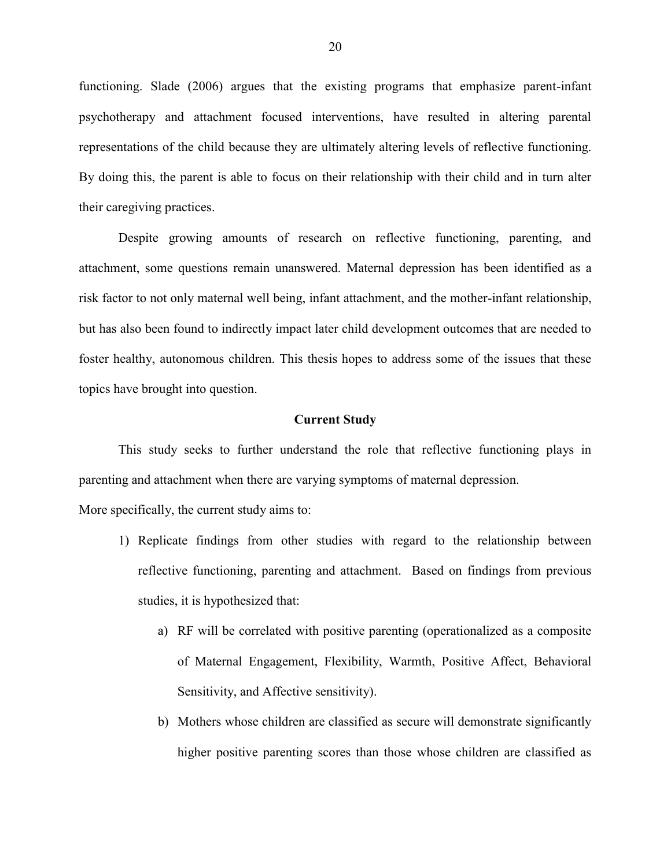functioning. Slade (2006) argues that the existing programs that emphasize parent-infant psychotherapy and attachment focused interventions, have resulted in altering parental representations of the child because they are ultimately altering levels of reflective functioning. By doing this, the parent is able to focus on their relationship with their child and in turn alter their caregiving practices.

Despite growing amounts of research on reflective functioning, parenting, and attachment, some questions remain unanswered. Maternal depression has been identified as a risk factor to not only maternal well being, infant attachment, and the mother-infant relationship, but has also been found to indirectly impact later child development outcomes that are needed to foster healthy, autonomous children. This thesis hopes to address some of the issues that these topics have brought into question.

#### **Current Study**

This study seeks to further understand the role that reflective functioning plays in parenting and attachment when there are varying symptoms of maternal depression.

More specifically, the current study aims to:

- 1) Replicate findings from other studies with regard to the relationship between reflective functioning, parenting and attachment. Based on findings from previous studies, it is hypothesized that:
	- a) RF will be correlated with positive parenting (operationalized as a composite of Maternal Engagement, Flexibility, Warmth, Positive Affect, Behavioral Sensitivity, and Affective sensitivity).
	- b) Mothers whose children are classified as secure will demonstrate significantly higher positive parenting scores than those whose children are classified as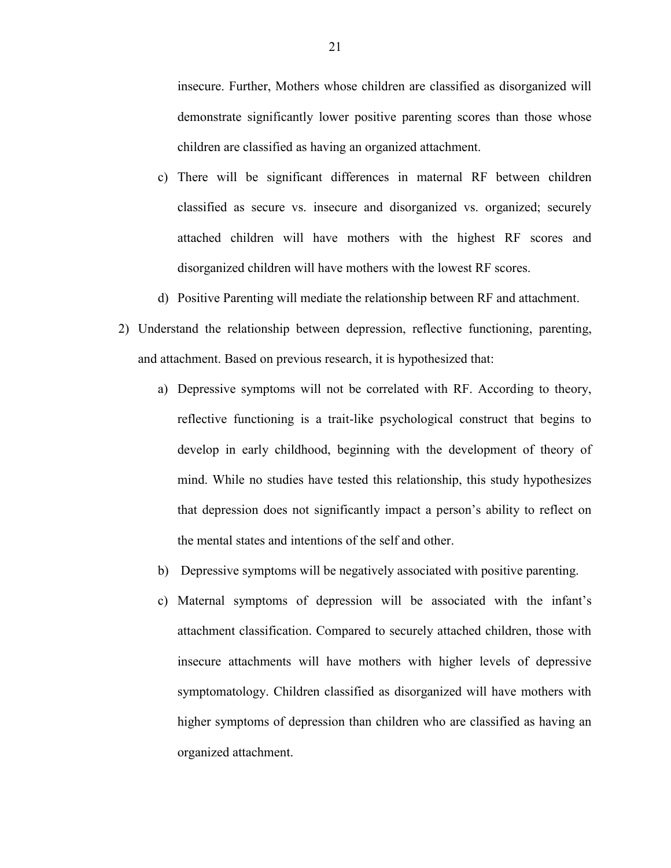insecure. Further, Mothers whose children are classified as disorganized will demonstrate significantly lower positive parenting scores than those whose children are classified as having an organized attachment.

- c) There will be significant differences in maternal RF between children classified as secure vs. insecure and disorganized vs. organized; securely attached children will have mothers with the highest RF scores and disorganized children will have mothers with the lowest RF scores.
- d) Positive Parenting will mediate the relationship between RF and attachment.
- 2) Understand the relationship between depression, reflective functioning, parenting, and attachment. Based on previous research, it is hypothesized that:
	- a) Depressive symptoms will not be correlated with RF. According to theory, reflective functioning is a trait-like psychological construct that begins to develop in early childhood, beginning with the development of theory of mind. While no studies have tested this relationship, this study hypothesizes that depression does not significantly impact a person's ability to reflect on the mental states and intentions of the self and other.
	- b) Depressive symptoms will be negatively associated with positive parenting.
	- c) Maternal symptoms of depression will be associated with the infant's attachment classification. Compared to securely attached children, those with insecure attachments will have mothers with higher levels of depressive symptomatology. Children classified as disorganized will have mothers with higher symptoms of depression than children who are classified as having an organized attachment.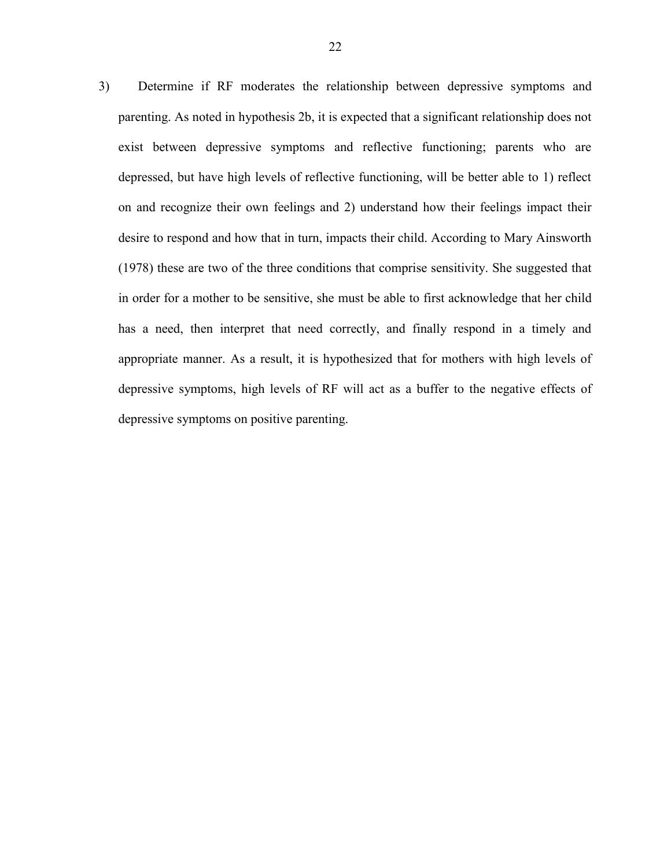3) Determine if RF moderates the relationship between depressive symptoms and parenting. As noted in hypothesis 2b, it is expected that a significant relationship does not exist between depressive symptoms and reflective functioning; parents who are depressed, but have high levels of reflective functioning, will be better able to 1) reflect on and recognize their own feelings and 2) understand how their feelings impact their desire to respond and how that in turn, impacts their child. According to Mary Ainsworth (1978) these are two of the three conditions that comprise sensitivity. She suggested that in order for a mother to be sensitive, she must be able to first acknowledge that her child has a need, then interpret that need correctly, and finally respond in a timely and appropriate manner. As a result, it is hypothesized that for mothers with high levels of depressive symptoms, high levels of RF will act as a buffer to the negative effects of depressive symptoms on positive parenting.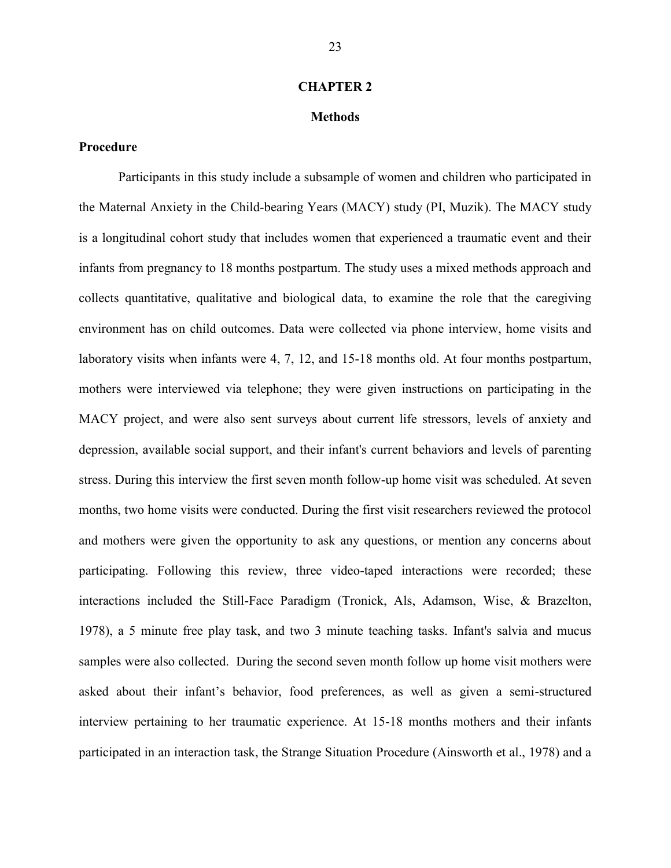#### **CHAPTER 2**

## **Methods**

## **Procedure**

Participants in this study include a subsample of women and children who participated in the Maternal Anxiety in the Child-bearing Years (MACY) study (PI, Muzik). The MACY study is a longitudinal cohort study that includes women that experienced a traumatic event and their infants from pregnancy to 18 months postpartum. The study uses a mixed methods approach and collects quantitative, qualitative and biological data, to examine the role that the caregiving environment has on child outcomes. Data were collected via phone interview, home visits and laboratory visits when infants were 4, 7, 12, and 15-18 months old. At four months postpartum, mothers were interviewed via telephone; they were given instructions on participating in the MACY project, and were also sent surveys about current life stressors, levels of anxiety and depression, available social support, and their infant's current behaviors and levels of parenting stress. During this interview the first seven month follow-up home visit was scheduled. At seven months, two home visits were conducted. During the first visit researchers reviewed the protocol and mothers were given the opportunity to ask any questions, or mention any concerns about participating. Following this review, three video-taped interactions were recorded; these interactions included the Still-Face Paradigm (Tronick, Als, Adamson, Wise, & Brazelton, 1978), a 5 minute free play task, and two 3 minute teaching tasks. Infant's salvia and mucus samples were also collected. During the second seven month follow up home visit mothers were asked about their infant's behavior, food preferences, as well as given a semi-structured interview pertaining to her traumatic experience. At 15-18 months mothers and their infants participated in an interaction task, the Strange Situation Procedure (Ainsworth et al., 1978) and a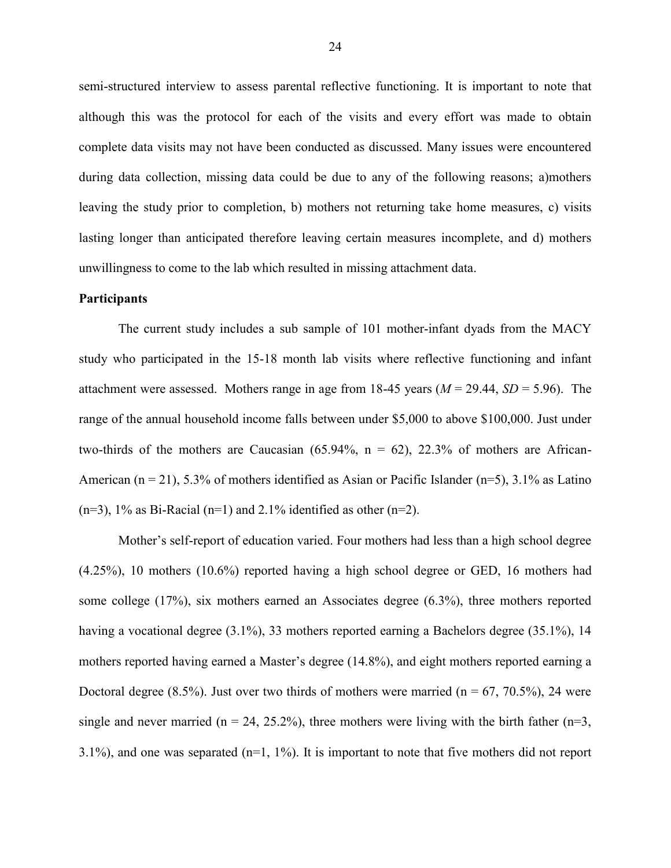semi-structured interview to assess parental reflective functioning. It is important to note that although this was the protocol for each of the visits and every effort was made to obtain complete data visits may not have been conducted as discussed. Many issues were encountered during data collection, missing data could be due to any of the following reasons; a)mothers leaving the study prior to completion, b) mothers not returning take home measures, c) visits lasting longer than anticipated therefore leaving certain measures incomplete, and d) mothers unwillingness to come to the lab which resulted in missing attachment data.

#### **Participants**

The current study includes a sub sample of 101 mother-infant dyads from the MACY study who participated in the 15-18 month lab visits where reflective functioning and infant attachment were assessed. Mothers range in age from 18-45 years  $(M = 29.44, SD = 5.96)$ . The range of the annual household income falls between under \$5,000 to above \$100,000. Just under two-thirds of the mothers are Caucasian  $(65.94\%, n = 62)$ , 22.3% of mothers are African-American ( $n = 21$ ), 5.3% of mothers identified as Asian or Pacific Islander ( $n=5$ ), 3.1% as Latino  $(n=3)$ , 1% as Bi-Racial  $(n=1)$  and 2.1% identified as other  $(n=2)$ .

Mother's self-report of education varied. Four mothers had less than a high school degree (4.25%), 10 mothers (10.6%) reported having a high school degree or GED, 16 mothers had some college (17%), six mothers earned an Associates degree (6.3%), three mothers reported having a vocational degree (3.1%), 33 mothers reported earning a Bachelors degree (35.1%), 14 mothers reported having earned a Master's degree (14.8%), and eight mothers reported earning a Doctoral degree  $(8.5\%)$ . Just over two thirds of mothers were married  $(n = 67, 70.5\%)$ , 24 were single and never married ( $n = 24, 25.2\%$ ), three mothers were living with the birth father ( $n=3$ , 3.1%), and one was separated  $(n=1, 1\%)$ . It is important to note that five mothers did not report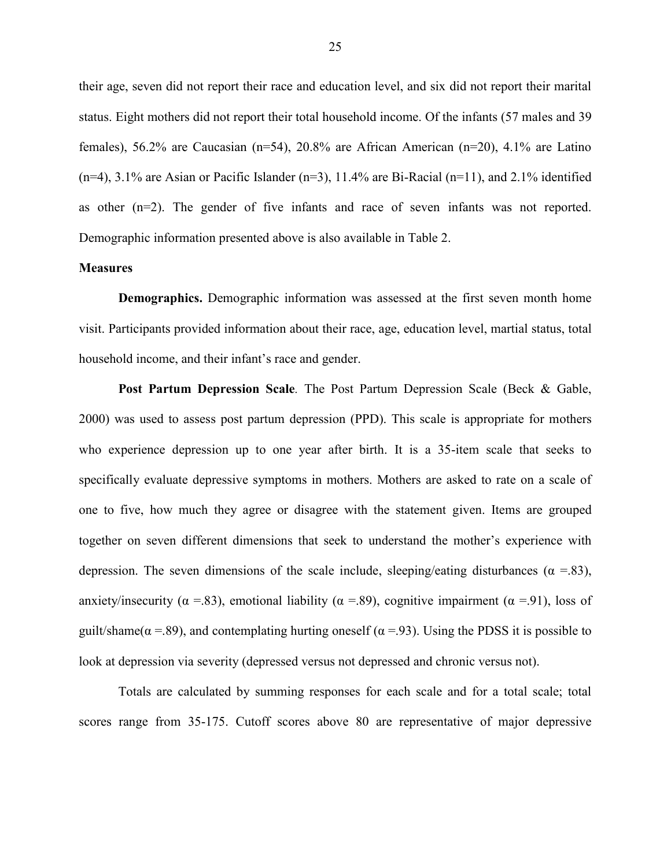their age, seven did not report their race and education level, and six did not report their marital status. Eight mothers did not report their total household income. Of the infants (57 males and 39 females), 56.2% are Caucasian (n=54), 20.8% are African American (n=20), 4.1% are Latino  $(n=4)$ , 3.1% are Asian or Pacific Islander  $(n=3)$ , 11.4% are Bi-Racial  $(n=11)$ , and 2.1% identified as other (n=2). The gender of five infants and race of seven infants was not reported. Demographic information presented above is also available in Table 2.

## **Measures**

**Demographics.** Demographic information was assessed at the first seven month home visit. Participants provided information about their race, age, education level, martial status, total household income, and their infant's race and gender.

**Post Partum Depression Scale***.* The Post Partum Depression Scale (Beck & Gable, 2000) was used to assess post partum depression (PPD). This scale is appropriate for mothers who experience depression up to one year after birth. It is a 35-item scale that seeks to specifically evaluate depressive symptoms in mothers. Mothers are asked to rate on a scale of one to five, how much they agree or disagree with the statement given. Items are grouped together on seven different dimensions that seek to understand the mother's experience with depression. The seven dimensions of the scale include, sleeping/eating disturbances ( $\alpha = 83$ ), anxiety/insecurity ( $\alpha$  =.83), emotional liability ( $\alpha$  =.89), cognitive impairment ( $\alpha$  =.91), loss of guilt/shame( $\alpha$  =.89), and contemplating hurting oneself ( $\alpha$  =.93). Using the PDSS it is possible to look at depression via severity (depressed versus not depressed and chronic versus not).

Totals are calculated by summing responses for each scale and for a total scale; total scores range from 35-175. Cutoff scores above 80 are representative of major depressive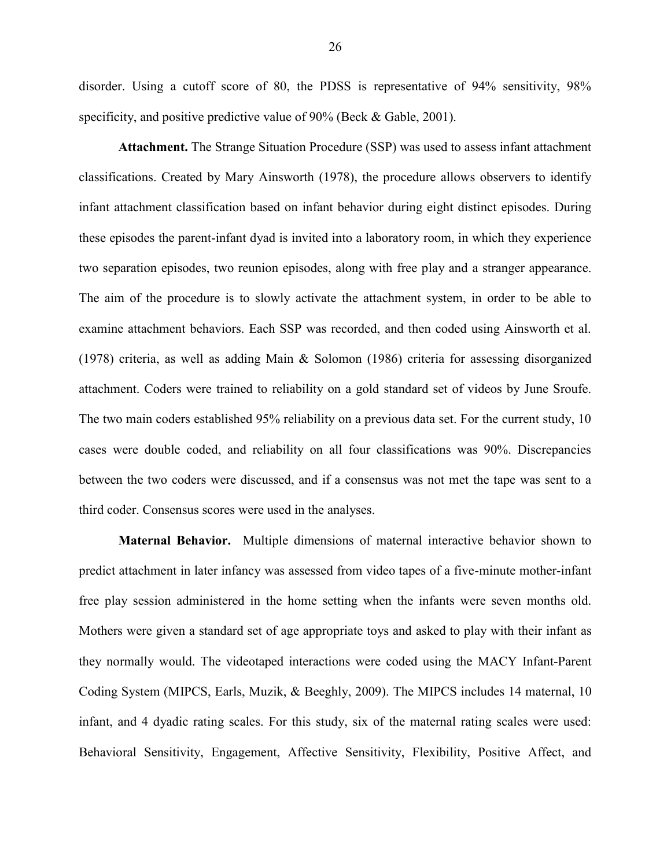disorder. Using a cutoff score of 80, the PDSS is representative of 94% sensitivity, 98% specificity, and positive predictive value of 90% (Beck & Gable, 2001).

**Attachment.** The Strange Situation Procedure (SSP) was used to assess infant attachment classifications. Created by Mary Ainsworth (1978), the procedure allows observers to identify infant attachment classification based on infant behavior during eight distinct episodes. During these episodes the parent-infant dyad is invited into a laboratory room, in which they experience two separation episodes, two reunion episodes, along with free play and a stranger appearance. The aim of the procedure is to slowly activate the attachment system, in order to be able to examine attachment behaviors. Each SSP was recorded, and then coded using Ainsworth et al. (1978) criteria, as well as adding Main & Solomon (1986) criteria for assessing disorganized attachment. Coders were trained to reliability on a gold standard set of videos by June Sroufe. The two main coders established 95% reliability on a previous data set. For the current study, 10 cases were double coded, and reliability on all four classifications was 90%. Discrepancies between the two coders were discussed, and if a consensus was not met the tape was sent to a third coder. Consensus scores were used in the analyses.

**Maternal Behavior.** Multiple dimensions of maternal interactive behavior shown to predict attachment in later infancy was assessed from video tapes of a five-minute mother-infant free play session administered in the home setting when the infants were seven months old. Mothers were given a standard set of age appropriate toys and asked to play with their infant as they normally would. The videotaped interactions were coded using the MACY Infant-Parent Coding System (MIPCS, Earls, Muzik, & Beeghly, 2009). The MIPCS includes 14 maternal, 10 infant, and 4 dyadic rating scales. For this study, six of the maternal rating scales were used: Behavioral Sensitivity, Engagement, Affective Sensitivity, Flexibility, Positive Affect, and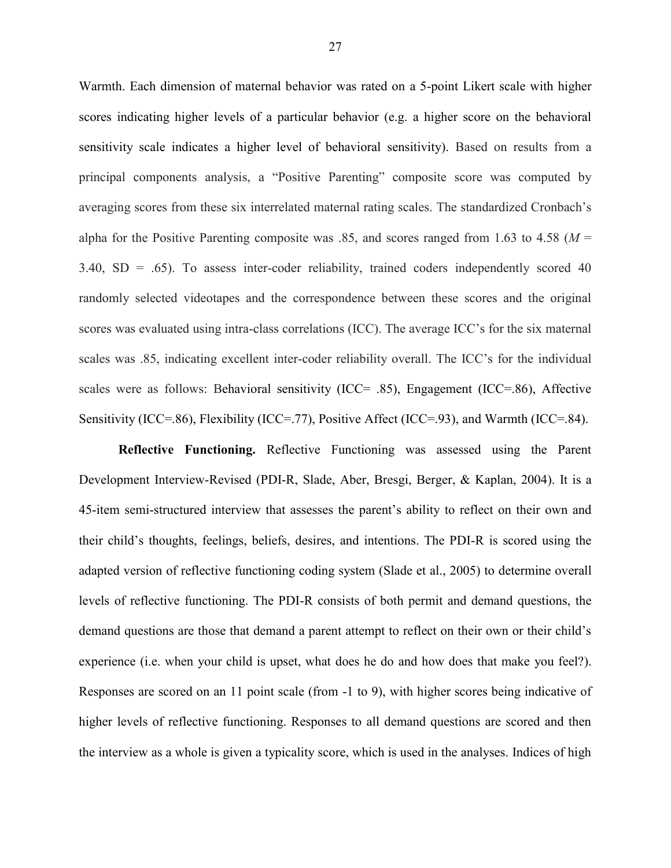Warmth. Each dimension of maternal behavior was rated on a 5-point Likert scale with higher scores indicating higher levels of a particular behavior (e.g. a higher score on the behavioral sensitivity scale indicates a higher level of behavioral sensitivity). Based on results from a principal components analysis, a "Positive Parenting" composite score was computed by averaging scores from these six interrelated maternal rating scales. The standardized Cronbach's alpha for the Positive Parenting composite was .85, and scores ranged from 1.63 to 4.58 ( $M =$  $3.40$ ,  $SD = .65$ ). To assess inter-coder reliability, trained coders independently scored 40 randomly selected videotapes and the correspondence between these scores and the original scores was evaluated using intra-class correlations (ICC). The average ICC's for the six maternal scales was .85, indicating excellent inter-coder reliability overall. The ICC's for the individual scales were as follows: Behavioral sensitivity (ICC= .85), Engagement (ICC=.86), Affective Sensitivity (ICC=.86), Flexibility (ICC=.77), Positive Affect (ICC=.93), and Warmth (ICC=.84).

**Reflective Functioning.** Reflective Functioning was assessed using the Parent Development Interview-Revised (PDI-R, Slade, Aber, Bresgi, Berger, & Kaplan, 2004). It is a 45-item semi-structured interview that assesses the parent's ability to reflect on their own and their child's thoughts, feelings, beliefs, desires, and intentions. The PDI-R is scored using the adapted version of reflective functioning coding system (Slade et al., 2005) to determine overall levels of reflective functioning. The PDI-R consists of both permit and demand questions, the demand questions are those that demand a parent attempt to reflect on their own or their child's experience (i.e. when your child is upset, what does he do and how does that make you feel?). Responses are scored on an 11 point scale (from -1 to 9), with higher scores being indicative of higher levels of reflective functioning. Responses to all demand questions are scored and then the interview as a whole is given a typicality score, which is used in the analyses. Indices of high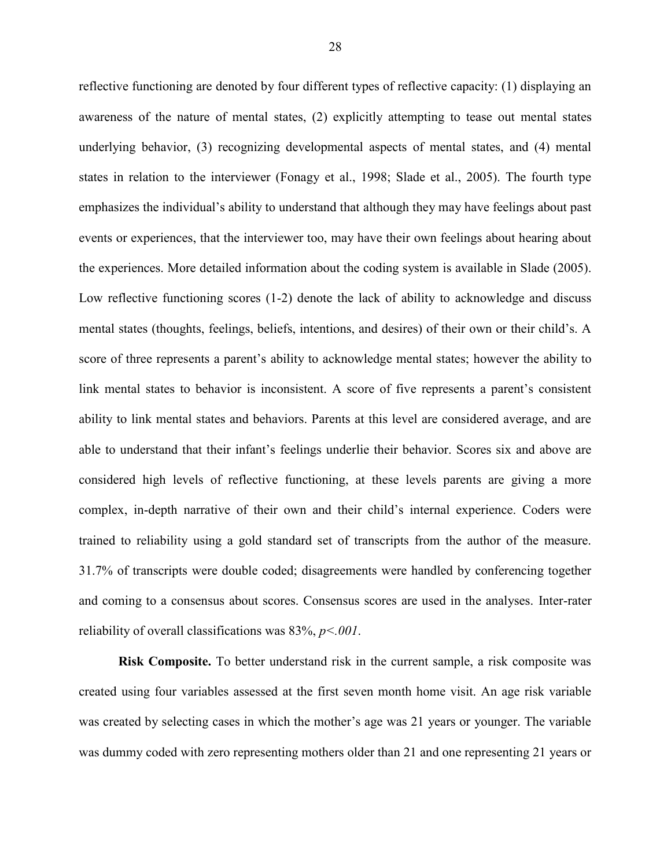reflective functioning are denoted by four different types of reflective capacity: (1) displaying an awareness of the nature of mental states, (2) explicitly attempting to tease out mental states underlying behavior, (3) recognizing developmental aspects of mental states, and (4) mental states in relation to the interviewer (Fonagy et al., 1998; Slade et al., 2005). The fourth type emphasizes the individual's ability to understand that although they may have feelings about past events or experiences, that the interviewer too, may have their own feelings about hearing about the experiences. More detailed information about the coding system is available in Slade (2005). Low reflective functioning scores (1-2) denote the lack of ability to acknowledge and discuss mental states (thoughts, feelings, beliefs, intentions, and desires) of their own or their child's. A score of three represents a parent's ability to acknowledge mental states; however the ability to link mental states to behavior is inconsistent. A score of five represents a parent's consistent ability to link mental states and behaviors. Parents at this level are considered average, and are able to understand that their infant's feelings underlie their behavior. Scores six and above are considered high levels of reflective functioning, at these levels parents are giving a more complex, in-depth narrative of their own and their child's internal experience. Coders were trained to reliability using a gold standard set of transcripts from the author of the measure. 31.7% of transcripts were double coded; disagreements were handled by conferencing together and coming to a consensus about scores. Consensus scores are used in the analyses. Inter-rater reliability of overall classifications was 83%, *p<.001*.

**Risk Composite.** To better understand risk in the current sample, a risk composite was created using four variables assessed at the first seven month home visit. An age risk variable was created by selecting cases in which the mother's age was 21 years or younger. The variable was dummy coded with zero representing mothers older than 21 and one representing 21 years or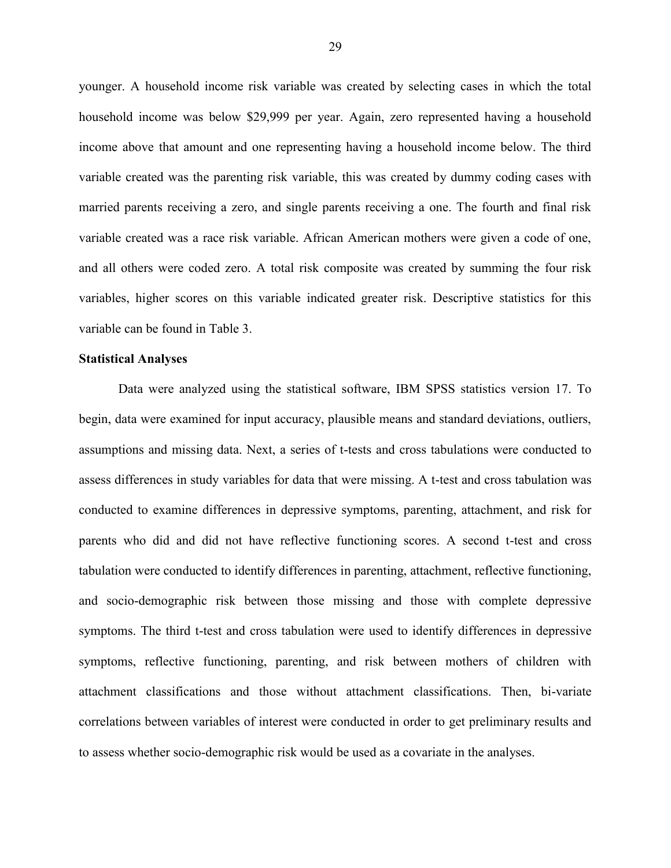younger. A household income risk variable was created by selecting cases in which the total household income was below \$29,999 per year. Again, zero represented having a household income above that amount and one representing having a household income below. The third variable created was the parenting risk variable, this was created by dummy coding cases with married parents receiving a zero, and single parents receiving a one. The fourth and final risk variable created was a race risk variable. African American mothers were given a code of one, and all others were coded zero. A total risk composite was created by summing the four risk variables, higher scores on this variable indicated greater risk. Descriptive statistics for this variable can be found in Table 3.

#### **Statistical Analyses**

Data were analyzed using the statistical software, IBM SPSS statistics version 17. To begin, data were examined for input accuracy, plausible means and standard deviations, outliers, assumptions and missing data. Next, a series of t-tests and cross tabulations were conducted to assess differences in study variables for data that were missing. A t-test and cross tabulation was conducted to examine differences in depressive symptoms, parenting, attachment, and risk for parents who did and did not have reflective functioning scores. A second t-test and cross tabulation were conducted to identify differences in parenting, attachment, reflective functioning, and socio-demographic risk between those missing and those with complete depressive symptoms. The third t-test and cross tabulation were used to identify differences in depressive symptoms, reflective functioning, parenting, and risk between mothers of children with attachment classifications and those without attachment classifications. Then, bi-variate correlations between variables of interest were conducted in order to get preliminary results and to assess whether socio-demographic risk would be used as a covariate in the analyses.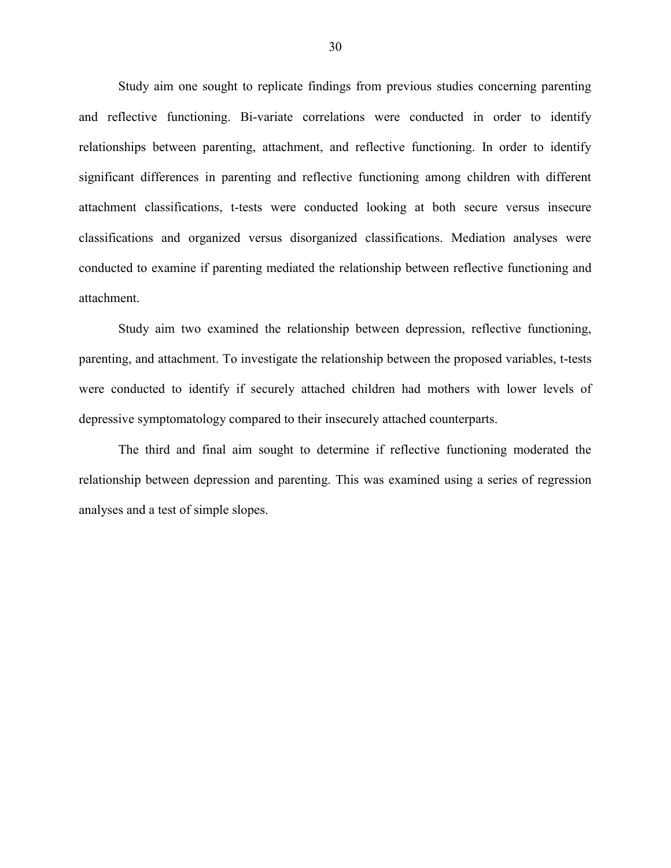Study aim one sought to replicate findings from previous studies concerning parenting and reflective functioning. Bi-variate correlations were conducted in order to identify relationships between parenting, attachment, and reflective functioning. In order to identify significant differences in parenting and reflective functioning among children with different attachment classifications, t-tests were conducted looking at both secure versus insecure classifications and organized versus disorganized classifications. Mediation analyses were conducted to examine if parenting mediated the relationship between reflective functioning and attachment.

Study aim two examined the relationship between depression, reflective functioning, parenting, and attachment. To investigate the relationship between the proposed variables, t-tests were conducted to identify if securely attached children had mothers with lower levels of depressive symptomatology compared to their insecurely attached counterparts.

The third and final aim sought to determine if reflective functioning moderated the relationship between depression and parenting. This was examined using a series of regression analyses and a test of simple slopes.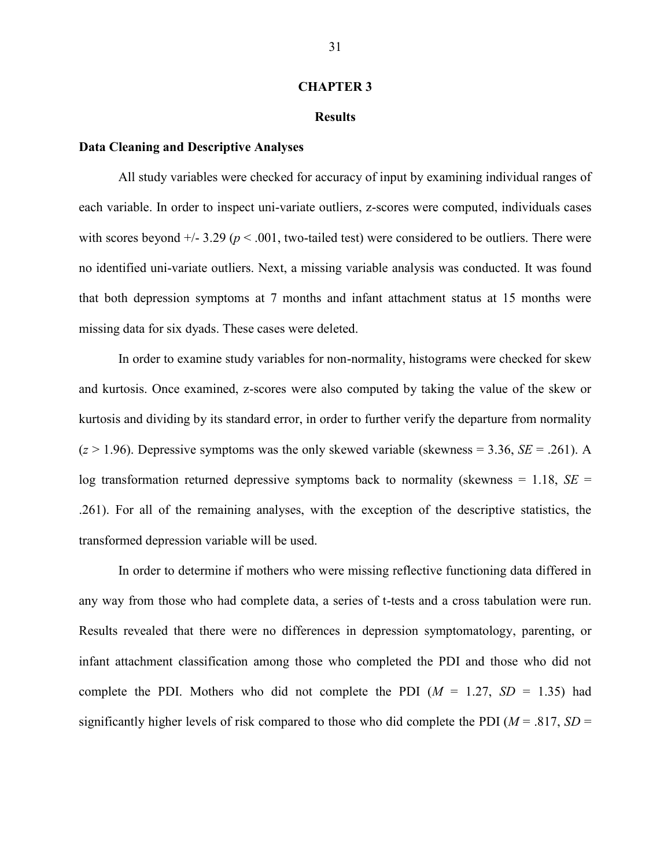#### **CHAPTER 3**

#### **Results**

## **Data Cleaning and Descriptive Analyses**

All study variables were checked for accuracy of input by examining individual ranges of each variable. In order to inspect uni-variate outliers, z-scores were computed, individuals cases with scores beyond  $+/- 3.29$  ( $p < .001$ , two-tailed test) were considered to be outliers. There were no identified uni-variate outliers. Next, a missing variable analysis was conducted. It was found that both depression symptoms at 7 months and infant attachment status at 15 months were missing data for six dyads. These cases were deleted.

In order to examine study variables for non-normality, histograms were checked for skew and kurtosis. Once examined, z-scores were also computed by taking the value of the skew or kurtosis and dividing by its standard error, in order to further verify the departure from normality  $(z > 1.96)$ . Depressive symptoms was the only skewed variable (skewness = 3.36, *SE* = .261). A log transformation returned depressive symptoms back to normality (skewness = 1.18, *SE* = .261). For all of the remaining analyses, with the exception of the descriptive statistics, the transformed depression variable will be used.

In order to determine if mothers who were missing reflective functioning data differed in any way from those who had complete data, a series of t-tests and a cross tabulation were run. Results revealed that there were no differences in depression symptomatology, parenting, or infant attachment classification among those who completed the PDI and those who did not complete the PDI. Mothers who did not complete the PDI  $(M = 1.27, SD = 1.35)$  had significantly higher levels of risk compared to those who did complete the PDI ( $M = .817$ ,  $SD =$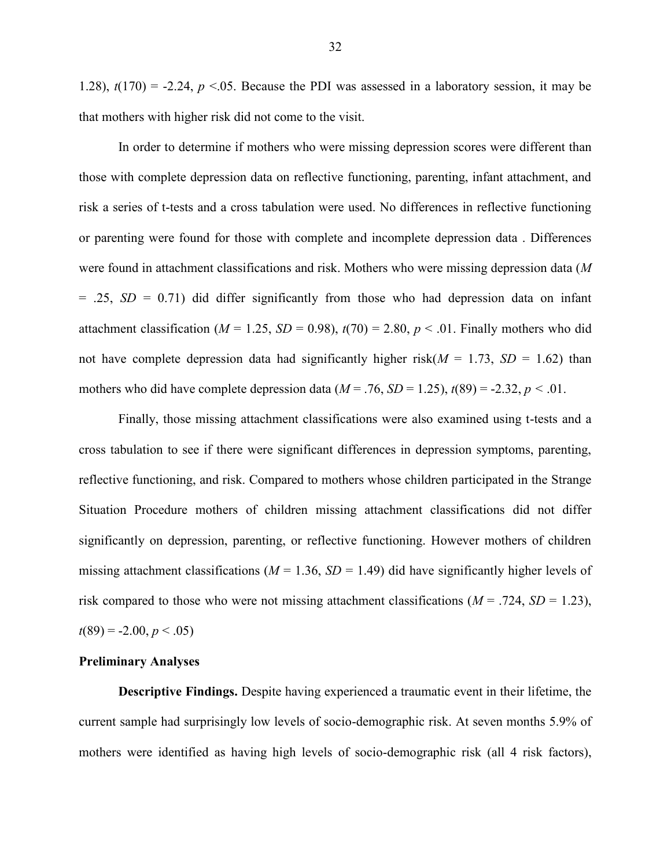1.28),  $t(170) = -2.24$ ,  $p < 0.05$ . Because the PDI was assessed in a laboratory session, it may be that mothers with higher risk did not come to the visit.

In order to determine if mothers who were missing depression scores were different than those with complete depression data on reflective functioning, parenting, infant attachment, and risk a series of t-tests and a cross tabulation were used. No differences in reflective functioning or parenting were found for those with complete and incomplete depression data . Differences were found in attachment classifications and risk. Mothers who were missing depression data (*M*   $= .25$ ,  $SD = 0.71$ ) did differ significantly from those who had depression data on infant attachment classification ( $M = 1.25$ ,  $SD = 0.98$ ),  $t(70) = 2.80$ ,  $p < .01$ . Finally mothers who did not have complete depression data had significantly higher risk( $M = 1.73$ ,  $SD = 1.62$ ) than mothers who did have complete depression data ( $M = .76$ ,  $SD = 1.25$ ),  $t(89) = -2.32$ ,  $p < .01$ .

Finally, those missing attachment classifications were also examined using t-tests and a cross tabulation to see if there were significant differences in depression symptoms, parenting, reflective functioning, and risk. Compared to mothers whose children participated in the Strange Situation Procedure mothers of children missing attachment classifications did not differ significantly on depression, parenting, or reflective functioning. However mothers of children missing attachment classifications ( $M = 1.36$ ,  $SD = 1.49$ ) did have significantly higher levels of risk compared to those who were not missing attachment classifications  $(M = .724, SD = 1.23)$ ,  $t(89) = -2.00, p < .05$ 

## **Preliminary Analyses**

**Descriptive Findings.** Despite having experienced a traumatic event in their lifetime, the current sample had surprisingly low levels of socio-demographic risk. At seven months 5.9% of mothers were identified as having high levels of socio-demographic risk (all 4 risk factors),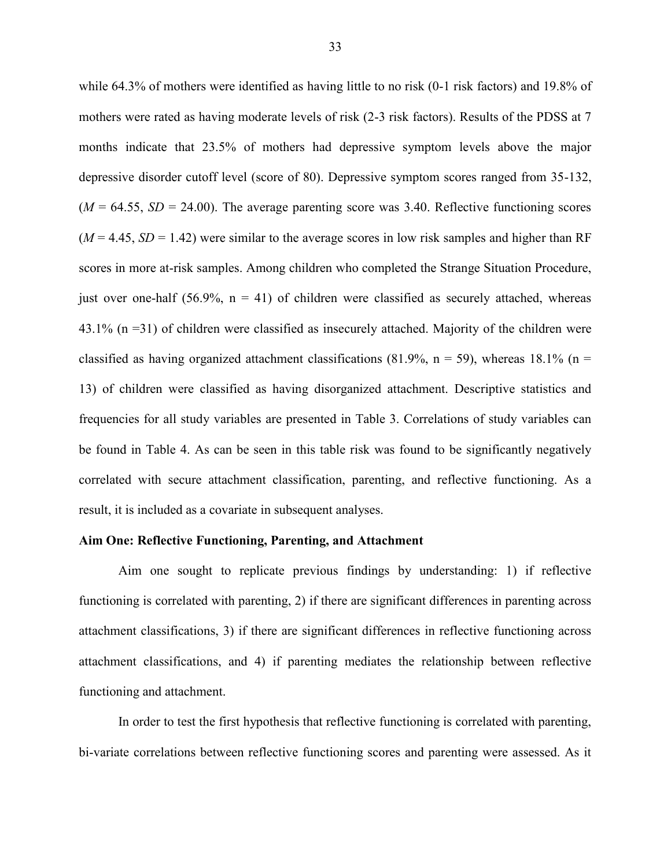while 64.3% of mothers were identified as having little to no risk (0-1 risk factors) and 19.8% of mothers were rated as having moderate levels of risk (2-3 risk factors). Results of the PDSS at 7 months indicate that 23.5% of mothers had depressive symptom levels above the major depressive disorder cutoff level (score of 80). Depressive symptom scores ranged from 35-132,  $(M = 64.55, SD = 24.00)$ . The average parenting score was 3.40. Reflective functioning scores  $(M = 4.45, SD = 1.42)$  were similar to the average scores in low risk samples and higher than RF scores in more at-risk samples. Among children who completed the Strange Situation Procedure, just over one-half (56.9%,  $n = 41$ ) of children were classified as securely attached, whereas 43.1% (n =31) of children were classified as insecurely attached. Majority of the children were classified as having organized attachment classifications (81.9%,  $n = 59$ ), whereas 18.1% ( $n =$ 13) of children were classified as having disorganized attachment. Descriptive statistics and frequencies for all study variables are presented in Table 3. Correlations of study variables can be found in Table 4. As can be seen in this table risk was found to be significantly negatively correlated with secure attachment classification, parenting, and reflective functioning. As a result, it is included as a covariate in subsequent analyses.

# **Aim One: Reflective Functioning, Parenting, and Attachment**

Aim one sought to replicate previous findings by understanding: 1) if reflective functioning is correlated with parenting, 2) if there are significant differences in parenting across attachment classifications, 3) if there are significant differences in reflective functioning across attachment classifications, and 4) if parenting mediates the relationship between reflective functioning and attachment.

In order to test the first hypothesis that reflective functioning is correlated with parenting, bi-variate correlations between reflective functioning scores and parenting were assessed. As it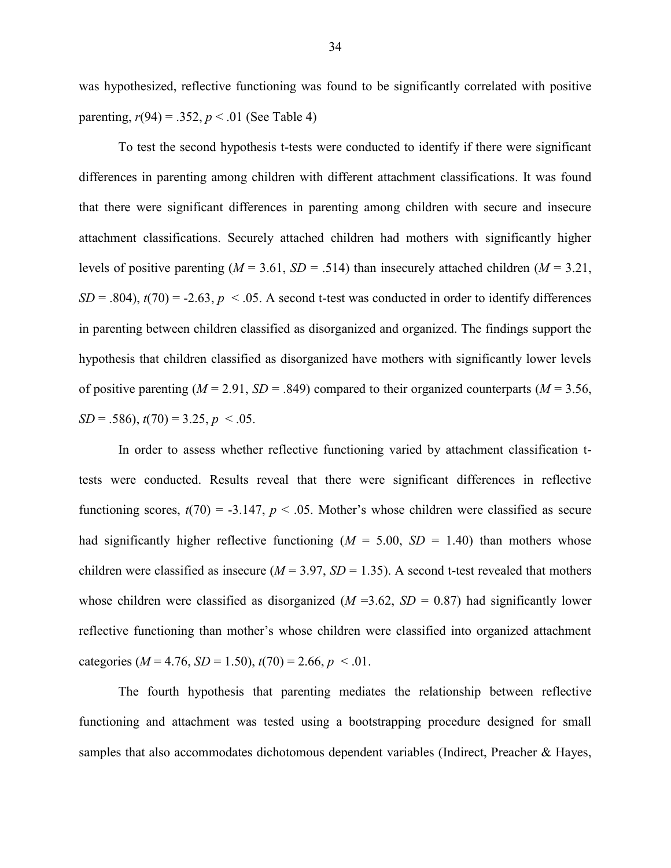was hypothesized, reflective functioning was found to be significantly correlated with positive parenting,  $r(94) = .352$ ,  $p < .01$  (See Table 4)

To test the second hypothesis t-tests were conducted to identify if there were significant differences in parenting among children with different attachment classifications. It was found that there were significant differences in parenting among children with secure and insecure attachment classifications. Securely attached children had mothers with significantly higher levels of positive parenting ( $M = 3.61$ ,  $SD = .514$ ) than insecurely attached children ( $M = 3.21$ ,  $SD = .804$ ),  $t(70) = -2.63$ ,  $p < .05$ . A second t-test was conducted in order to identify differences in parenting between children classified as disorganized and organized. The findings support the hypothesis that children classified as disorganized have mothers with significantly lower levels of positive parenting ( $M = 2.91$ ,  $SD = .849$ ) compared to their organized counterparts ( $M = 3.56$ ,  $SD = .586$ ,  $t(70) = 3.25$ ,  $p < .05$ .

In order to assess whether reflective functioning varied by attachment classification ttests were conducted. Results reveal that there were significant differences in reflective functioning scores,  $t(70) = -3.147$ ,  $p < .05$ . Mother's whose children were classified as secure had significantly higher reflective functioning  $(M = 5.00, SD = 1.40)$  than mothers whose children were classified as insecure  $(M = 3.97, SD = 1.35)$ . A second t-test revealed that mothers whose children were classified as disorganized ( $M = 3.62$ ,  $SD = 0.87$ ) had significantly lower reflective functioning than mother's whose children were classified into organized attachment categories ( $M = 4.76$ ,  $SD = 1.50$ ),  $t(70) = 2.66$ ,  $p < .01$ .

The fourth hypothesis that parenting mediates the relationship between reflective functioning and attachment was tested using a bootstrapping procedure designed for small samples that also accommodates dichotomous dependent variables (Indirect, Preacher & Hayes,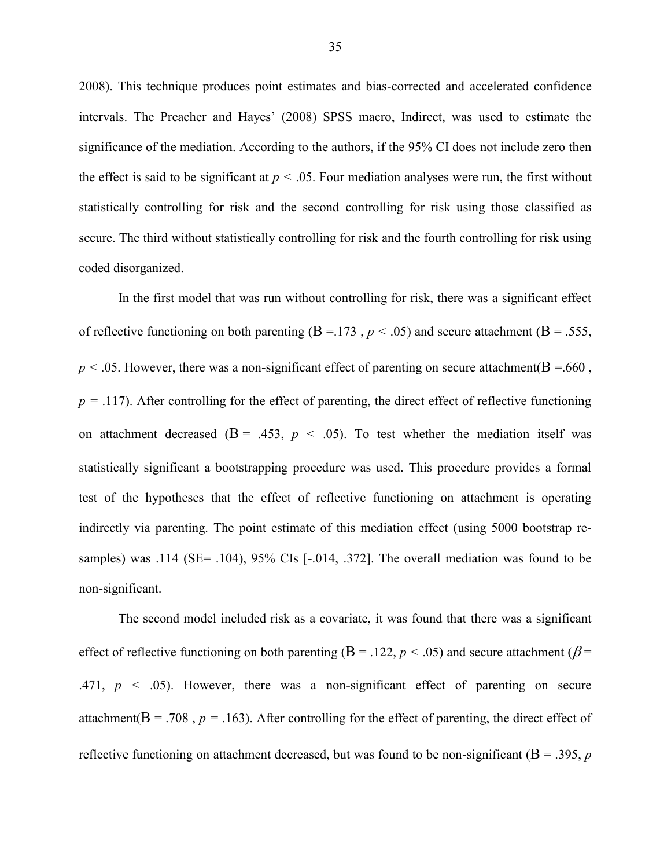2008). This technique produces point estimates and bias-corrected and accelerated confidence intervals. The Preacher and Hayes' (2008) SPSS macro, Indirect, was used to estimate the significance of the mediation. According to the authors, if the 95% CI does not include zero then the effect is said to be significant at  $p < .05$ . Four mediation analyses were run, the first without statistically controlling for risk and the second controlling for risk using those classified as secure. The third without statistically controlling for risk and the fourth controlling for risk using coded disorganized.

In the first model that was run without controlling for risk, there was a significant effect of reflective functioning on both parenting ( $B = 173$ ,  $p < .05$ ) and secure attachment ( $B = .555$ ,  $p < .05$ . However, there was a non-significant effect of parenting on secure attachment( $B = .660$ ,  $p = .117$ ). After controlling for the effect of parenting, the direct effect of reflective functioning on attachment decreased  $(B = .453, p < .05)$ . To test whether the mediation itself was statistically significant a bootstrapping procedure was used. This procedure provides a formal test of the hypotheses that the effect of reflective functioning on attachment is operating indirectly via parenting. The point estimate of this mediation effect (using 5000 bootstrap resamples) was .114 (SE= .104), 95% CIs [-.014, .372]. The overall mediation was found to be non-significant.

The second model included risk as a covariate, it was found that there was a significant effect of reflective functioning on both parenting ( $B = 0.122$ ,  $p < 0.05$ ) and secure attachment ( $\beta = 0.122$ .471,  $p \leq 0.05$ ). However, there was a non-significant effect of parenting on secure attachment( $B = .708$ ,  $p = .163$ ). After controlling for the effect of parenting, the direct effect of reflective functioning on attachment decreased, but was found to be non-significant ( $B = .395$ , *p*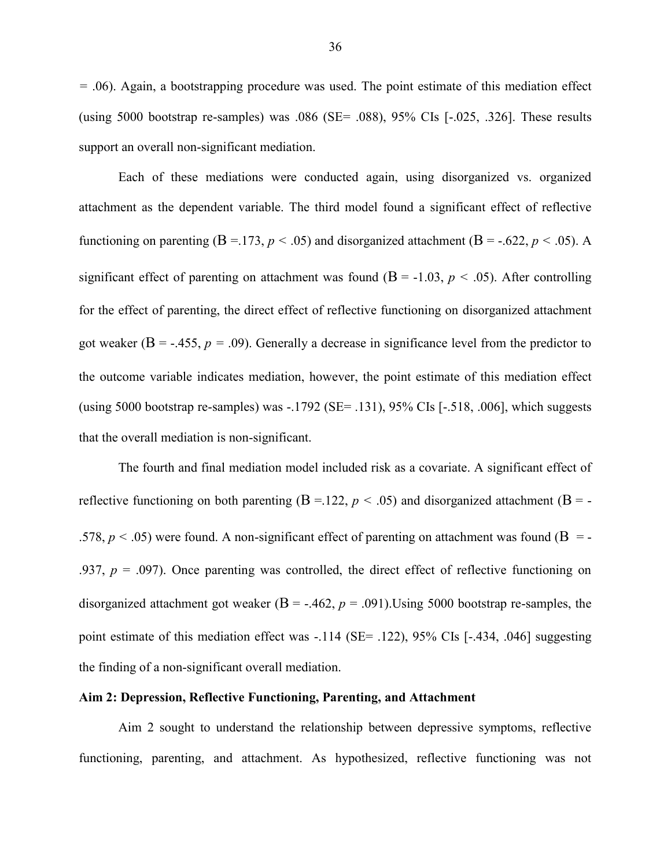*=* .06). Again, a bootstrapping procedure was used. The point estimate of this mediation effect (using 5000 bootstrap re-samples) was  $.086$  (SE=  $.088$ ), 95% CIs  $[-.025, .326]$ . These results support an overall non-significant mediation.

Each of these mediations were conducted again, using disorganized vs. organized attachment as the dependent variable. The third model found a significant effect of reflective functioning on parenting  $(B = 173, p < .05)$  and disorganized attachment  $(B = -.622, p < .05)$ . A significant effect of parenting on attachment was found  $(B = -1.03, p < .05)$ . After controlling for the effect of parenting, the direct effect of reflective functioning on disorganized attachment got weaker ( $B = -0.455$ ,  $p = 0.09$ ). Generally a decrease in significance level from the predictor to the outcome variable indicates mediation, however, the point estimate of this mediation effect (using 5000 bootstrap re-samples) was -.1792 (SE= .131), 95% CIs [-.518, .006], which suggests that the overall mediation is non-significant.

The fourth and final mediation model included risk as a covariate. A significant effect of reflective functioning on both parenting  $(B = 122, p < .05)$  and disorganized attachment  $(B = -122, p < .05)$ .578,  $p < .05$ ) were found. A non-significant effect of parenting on attachment was found ( $B = -$ .937,  $p = .097$ ). Once parenting was controlled, the direct effect of reflective functioning on disorganized attachment got weaker  $(B = -0.462, p = 0.091)$ . Using 5000 bootstrap re-samples, the point estimate of this mediation effect was -.114 (SE= .122), 95% CIs [-.434, .046] suggesting the finding of a non-significant overall mediation.

#### **Aim 2: Depression, Reflective Functioning, Parenting, and Attachment**

Aim 2 sought to understand the relationship between depressive symptoms, reflective functioning, parenting, and attachment. As hypothesized, reflective functioning was not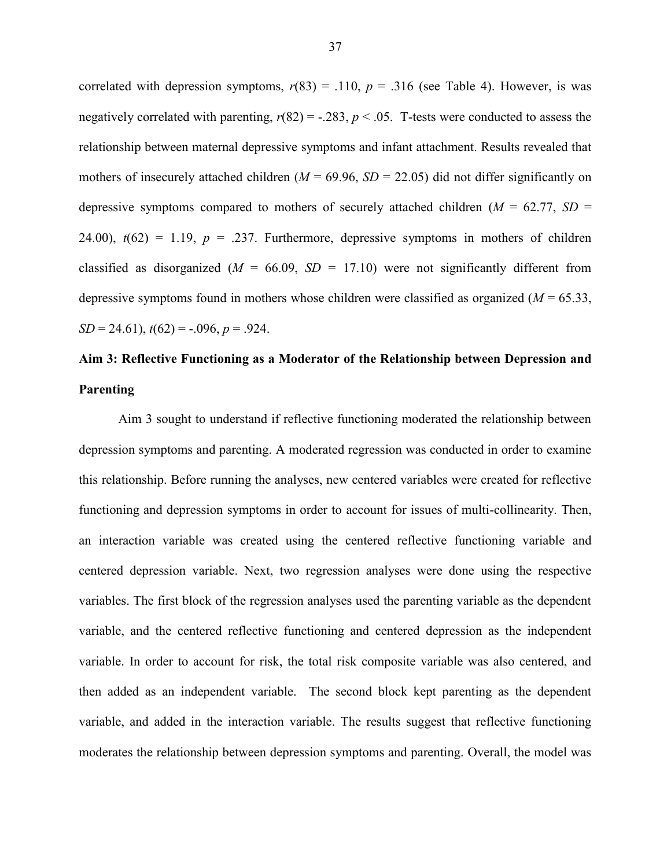correlated with depression symptoms,  $r(83) = .110$ ,  $p = .316$  (see Table 4). However, is was negatively correlated with parenting,  $r(82) = -.283$ ,  $p < .05$ . T-tests were conducted to assess the relationship between maternal depressive symptoms and infant attachment. Results revealed that mothers of insecurely attached children ( $M = 69.96$ ,  $SD = 22.05$ ) did not differ significantly on depressive symptoms compared to mothers of securely attached children  $(M = 62.77, SD =$ 24.00),  $t(62) = 1.19$ ,  $p = .237$ . Furthermore, depressive symptoms in mothers of children classified as disorganized  $(M = 66.09, SD = 17.10)$  were not significantly different from depressive symptoms found in mothers whose children were classified as organized  $(M = 65.33)$ ,  $SD = 24.61$ ,  $t(62) = -.096$ ,  $p = .924$ .

# **Aim 3: Reflective Functioning as a Moderator of the Relationship between Depression and Parenting**

Aim 3 sought to understand if reflective functioning moderated the relationship between depression symptoms and parenting. A moderated regression was conducted in order to examine this relationship. Before running the analyses, new centered variables were created for reflective functioning and depression symptoms in order to account for issues of multi-collinearity. Then, an interaction variable was created using the centered reflective functioning variable and centered depression variable. Next, two regression analyses were done using the respective variables. The first block of the regression analyses used the parenting variable as the dependent variable, and the centered reflective functioning and centered depression as the independent variable. In order to account for risk, the total risk composite variable was also centered, and then added as an independent variable. The second block kept parenting as the dependent variable, and added in the interaction variable. The results suggest that reflective functioning moderates the relationship between depression symptoms and parenting. Overall, the model was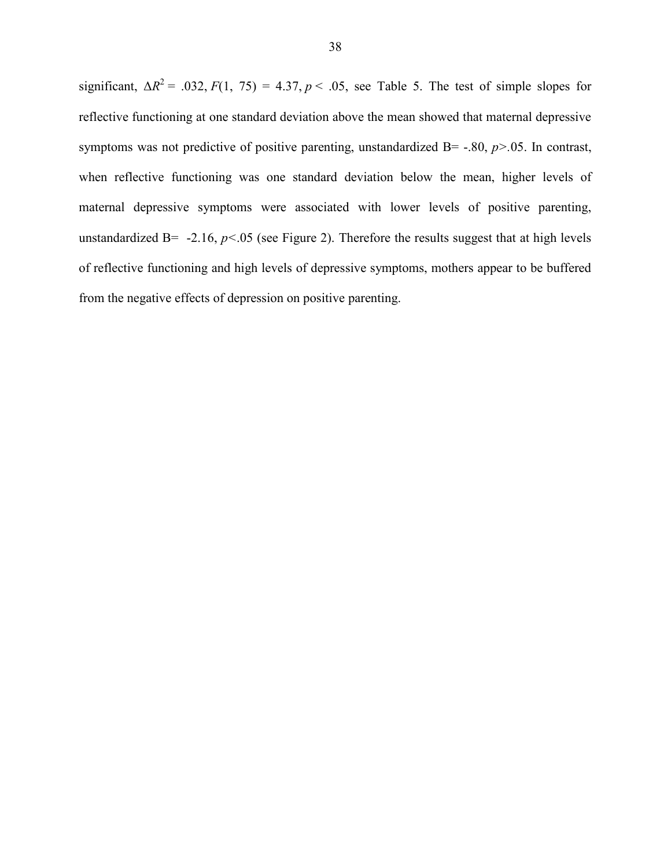significant,  $\Delta R^2 = .032$ ,  $F(1, 75) = 4.37$ ,  $p < .05$ , see Table 5. The test of simple slopes for reflective functioning at one standard deviation above the mean showed that maternal depressive symptoms was not predictive of positive parenting, unstandardized  $B = -0.80$ ,  $p > 0.05$ . In contrast, when reflective functioning was one standard deviation below the mean, higher levels of maternal depressive symptoms were associated with lower levels of positive parenting, unstandardized B=  $-2.16$ ,  $p<0.05$  (see Figure 2). Therefore the results suggest that at high levels of reflective functioning and high levels of depressive symptoms, mothers appear to be buffered from the negative effects of depression on positive parenting.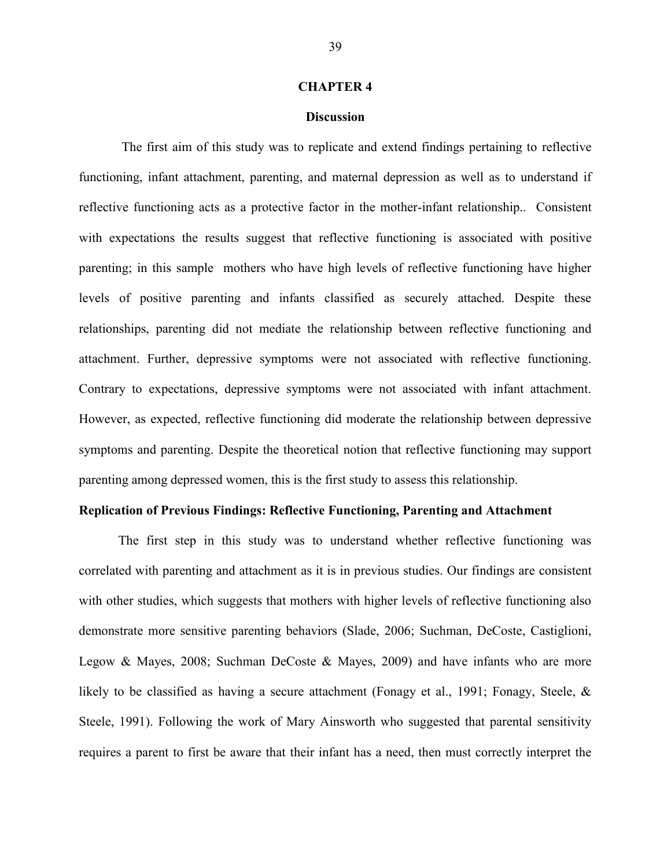#### **CHAPTER 4**

#### **Discussion**

The first aim of this study was to replicate and extend findings pertaining to reflective functioning, infant attachment, parenting, and maternal depression as well as to understand if reflective functioning acts as a protective factor in the mother-infant relationship.. Consistent with expectations the results suggest that reflective functioning is associated with positive parenting; in this sample mothers who have high levels of reflective functioning have higher levels of positive parenting and infants classified as securely attached. Despite these relationships, parenting did not mediate the relationship between reflective functioning and attachment. Further, depressive symptoms were not associated with reflective functioning. Contrary to expectations, depressive symptoms were not associated with infant attachment. However, as expected, reflective functioning did moderate the relationship between depressive symptoms and parenting. Despite the theoretical notion that reflective functioning may support parenting among depressed women, this is the first study to assess this relationship.

# **Replication of Previous Findings: Reflective Functioning, Parenting and Attachment**

The first step in this study was to understand whether reflective functioning was correlated with parenting and attachment as it is in previous studies. Our findings are consistent with other studies, which suggests that mothers with higher levels of reflective functioning also demonstrate more sensitive parenting behaviors (Slade, 2006; Suchman, DeCoste, Castiglioni, Legow & Mayes, 2008; Suchman DeCoste & Mayes, 2009) and have infants who are more likely to be classified as having a secure attachment (Fonagy et al., 1991; Fonagy, Steele, & Steele, 1991). Following the work of Mary Ainsworth who suggested that parental sensitivity requires a parent to first be aware that their infant has a need, then must correctly interpret the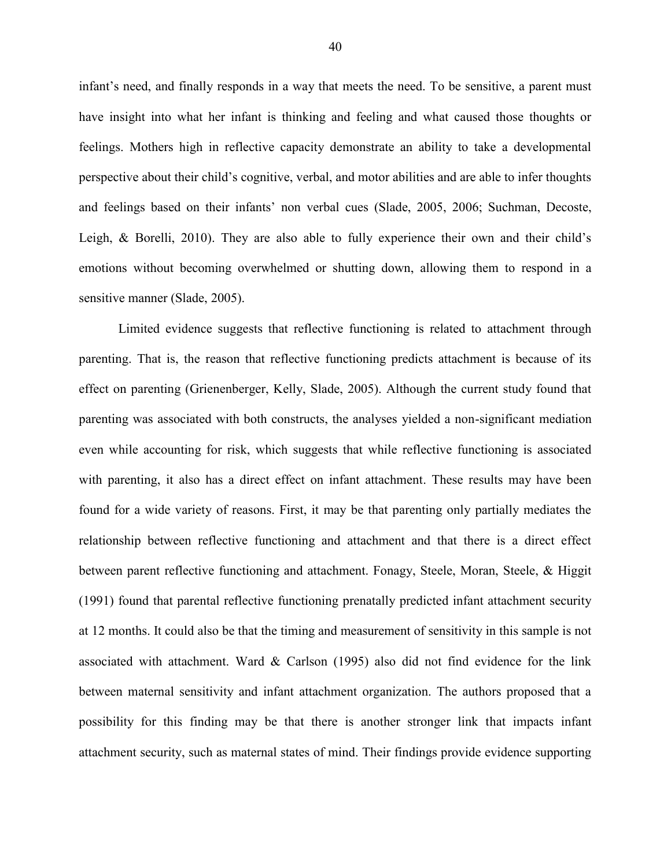infant's need, and finally responds in a way that meets the need. To be sensitive, a parent must have insight into what her infant is thinking and feeling and what caused those thoughts or feelings. Mothers high in reflective capacity demonstrate an ability to take a developmental perspective about their child's cognitive, verbal, and motor abilities and are able to infer thoughts and feelings based on their infants' non verbal cues (Slade, 2005, 2006; Suchman, Decoste, Leigh, & Borelli, 2010). They are also able to fully experience their own and their child's emotions without becoming overwhelmed or shutting down, allowing them to respond in a sensitive manner (Slade, 2005).

Limited evidence suggests that reflective functioning is related to attachment through parenting. That is, the reason that reflective functioning predicts attachment is because of its effect on parenting (Grienenberger, Kelly, Slade, 2005). Although the current study found that parenting was associated with both constructs, the analyses yielded a non-significant mediation even while accounting for risk, which suggests that while reflective functioning is associated with parenting, it also has a direct effect on infant attachment. These results may have been found for a wide variety of reasons. First, it may be that parenting only partially mediates the relationship between reflective functioning and attachment and that there is a direct effect between parent reflective functioning and attachment. Fonagy, Steele, Moran, Steele, & Higgit (1991) found that parental reflective functioning prenatally predicted infant attachment security at 12 months. It could also be that the timing and measurement of sensitivity in this sample is not associated with attachment. Ward  $\&$  Carlson (1995) also did not find evidence for the link between maternal sensitivity and infant attachment organization. The authors proposed that a possibility for this finding may be that there is another stronger link that impacts infant attachment security, such as maternal states of mind. Their findings provide evidence supporting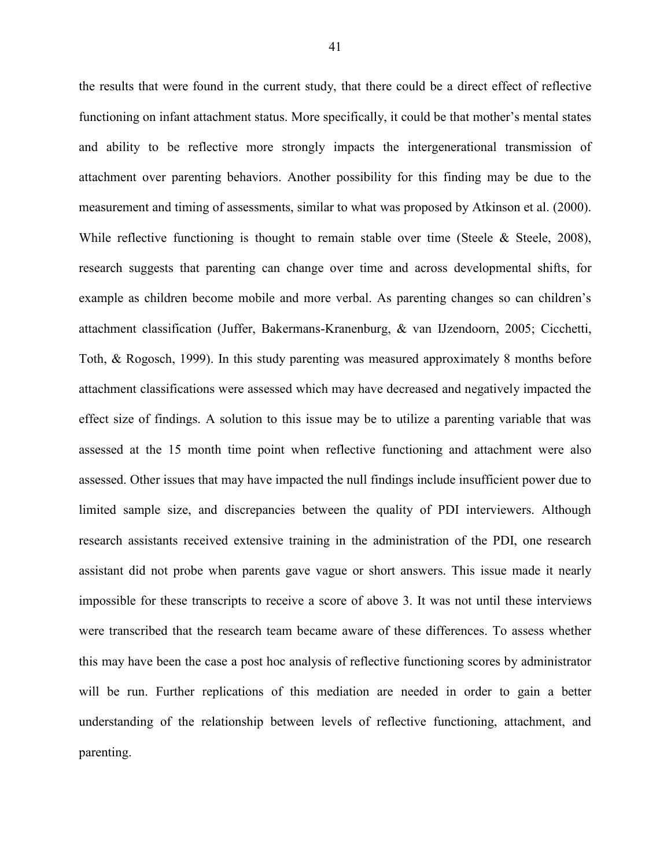the results that were found in the current study, that there could be a direct effect of reflective functioning on infant attachment status. More specifically, it could be that mother's mental states and ability to be reflective more strongly impacts the intergenerational transmission of attachment over parenting behaviors. Another possibility for this finding may be due to the measurement and timing of assessments, similar to what was proposed by Atkinson et al. (2000). While reflective functioning is thought to remain stable over time (Steele & Steele, 2008), research suggests that parenting can change over time and across developmental shifts, for example as children become mobile and more verbal. As parenting changes so can children's attachment classification (Juffer, Bakermans-Kranenburg, & van IJzendoorn, 2005; Cicchetti, Toth, & Rogosch, 1999). In this study parenting was measured approximately 8 months before attachment classifications were assessed which may have decreased and negatively impacted the effect size of findings. A solution to this issue may be to utilize a parenting variable that was assessed at the 15 month time point when reflective functioning and attachment were also assessed. Other issues that may have impacted the null findings include insufficient power due to limited sample size, and discrepancies between the quality of PDI interviewers. Although research assistants received extensive training in the administration of the PDI, one research assistant did not probe when parents gave vague or short answers. This issue made it nearly impossible for these transcripts to receive a score of above 3. It was not until these interviews were transcribed that the research team became aware of these differences. To assess whether this may have been the case a post hoc analysis of reflective functioning scores by administrator will be run. Further replications of this mediation are needed in order to gain a better understanding of the relationship between levels of reflective functioning, attachment, and parenting.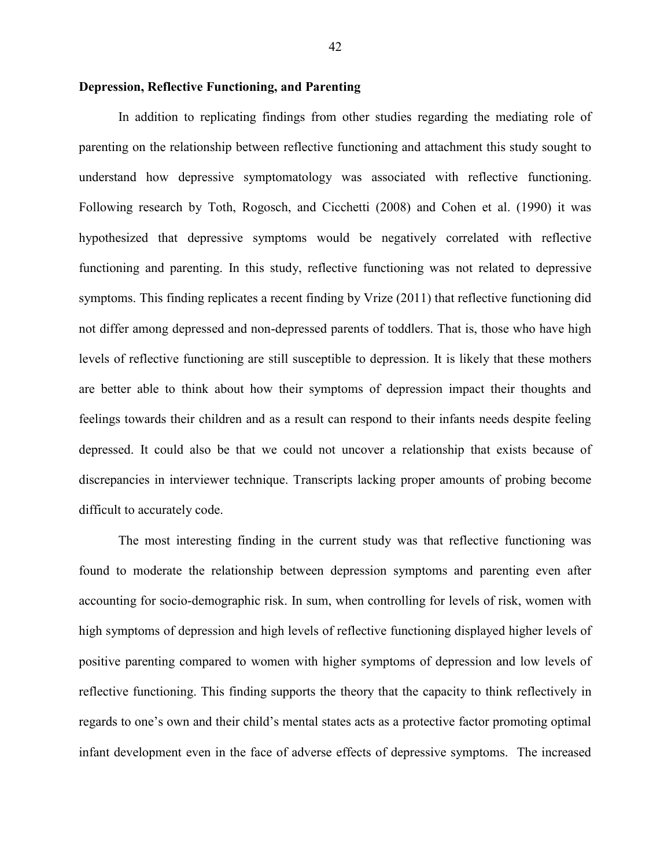## **Depression, Reflective Functioning, and Parenting**

In addition to replicating findings from other studies regarding the mediating role of parenting on the relationship between reflective functioning and attachment this study sought to understand how depressive symptomatology was associated with reflective functioning. Following research by Toth, Rogosch, and Cicchetti (2008) and Cohen et al. (1990) it was hypothesized that depressive symptoms would be negatively correlated with reflective functioning and parenting. In this study, reflective functioning was not related to depressive symptoms. This finding replicates a recent finding by Vrize (2011) that reflective functioning did not differ among depressed and non-depressed parents of toddlers. That is, those who have high levels of reflective functioning are still susceptible to depression. It is likely that these mothers are better able to think about how their symptoms of depression impact their thoughts and feelings towards their children and as a result can respond to their infants needs despite feeling depressed. It could also be that we could not uncover a relationship that exists because of discrepancies in interviewer technique. Transcripts lacking proper amounts of probing become difficult to accurately code.

The most interesting finding in the current study was that reflective functioning was found to moderate the relationship between depression symptoms and parenting even after accounting for socio-demographic risk. In sum, when controlling for levels of risk, women with high symptoms of depression and high levels of reflective functioning displayed higher levels of positive parenting compared to women with higher symptoms of depression and low levels of reflective functioning. This finding supports the theory that the capacity to think reflectively in regards to one's own and their child's mental states acts as a protective factor promoting optimal infant development even in the face of adverse effects of depressive symptoms. The increased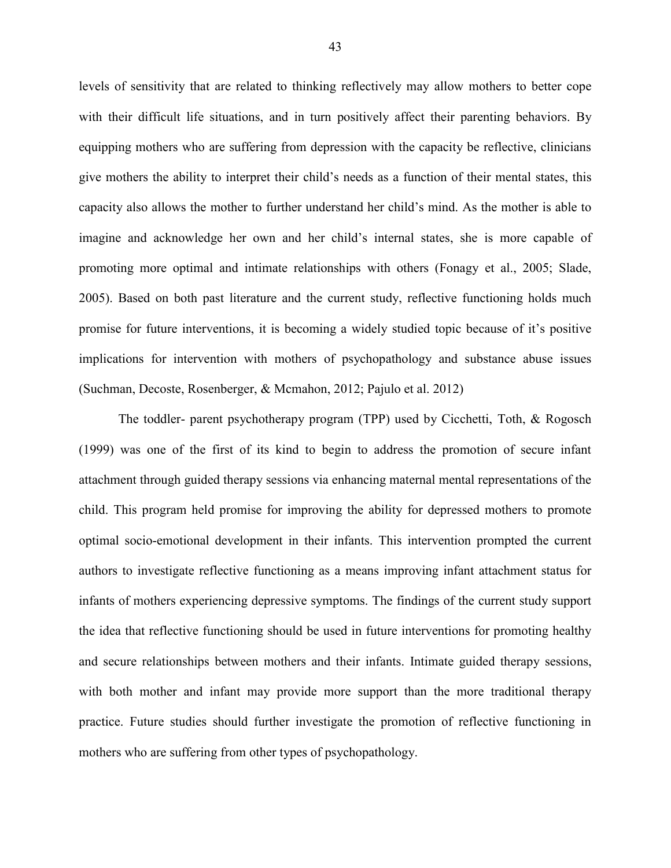levels of sensitivity that are related to thinking reflectively may allow mothers to better cope with their difficult life situations, and in turn positively affect their parenting behaviors. By equipping mothers who are suffering from depression with the capacity be reflective, clinicians give mothers the ability to interpret their child's needs as a function of their mental states, this capacity also allows the mother to further understand her child's mind. As the mother is able to imagine and acknowledge her own and her child's internal states, she is more capable of promoting more optimal and intimate relationships with others (Fonagy et al., 2005; Slade, 2005). Based on both past literature and the current study, reflective functioning holds much promise for future interventions, it is becoming a widely studied topic because of it's positive implications for intervention with mothers of psychopathology and substance abuse issues (Suchman, Decoste, Rosenberger, & Mcmahon, 2012; Pajulo et al. 2012)

The toddler- parent psychotherapy program (TPP) used by Cicchetti, Toth, & Rogosch (1999) was one of the first of its kind to begin to address the promotion of secure infant attachment through guided therapy sessions via enhancing maternal mental representations of the child. This program held promise for improving the ability for depressed mothers to promote optimal socio-emotional development in their infants. This intervention prompted the current authors to investigate reflective functioning as a means improving infant attachment status for infants of mothers experiencing depressive symptoms. The findings of the current study support the idea that reflective functioning should be used in future interventions for promoting healthy and secure relationships between mothers and their infants. Intimate guided therapy sessions, with both mother and infant may provide more support than the more traditional therapy practice. Future studies should further investigate the promotion of reflective functioning in mothers who are suffering from other types of psychopathology.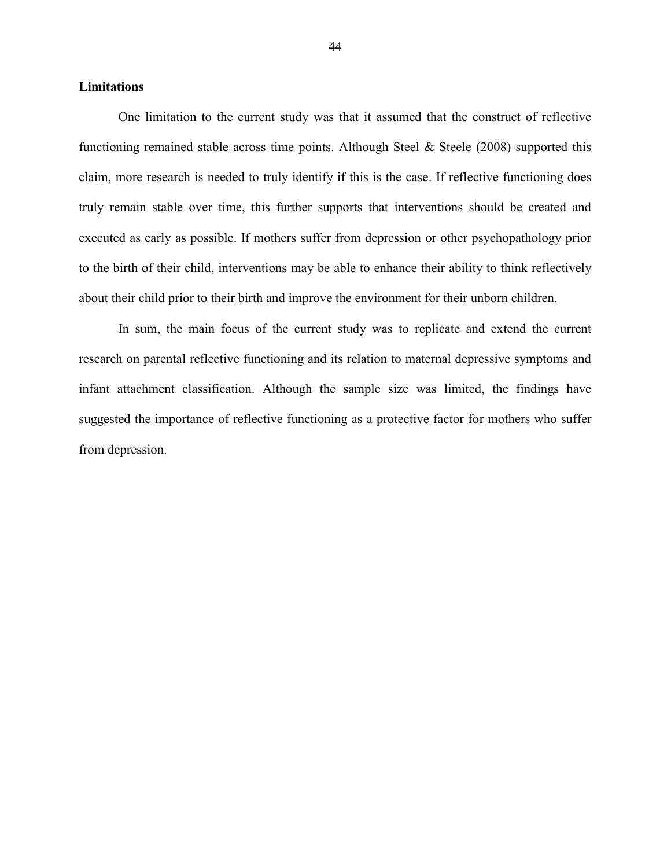# **Limitations**

One limitation to the current study was that it assumed that the construct of reflective functioning remained stable across time points. Although Steel  $\&$  Steele (2008) supported this claim, more research is needed to truly identify if this is the case. If reflective functioning does truly remain stable over time, this further supports that interventions should be created and executed as early as possible. If mothers suffer from depression or other psychopathology prior to the birth of their child, interventions may be able to enhance their ability to think reflectively about their child prior to their birth and improve the environment for their unborn children.

In sum, the main focus of the current study was to replicate and extend the current research on parental reflective functioning and its relation to maternal depressive symptoms and infant attachment classification. Although the sample size was limited, the findings have suggested the importance of reflective functioning as a protective factor for mothers who suffer from depression.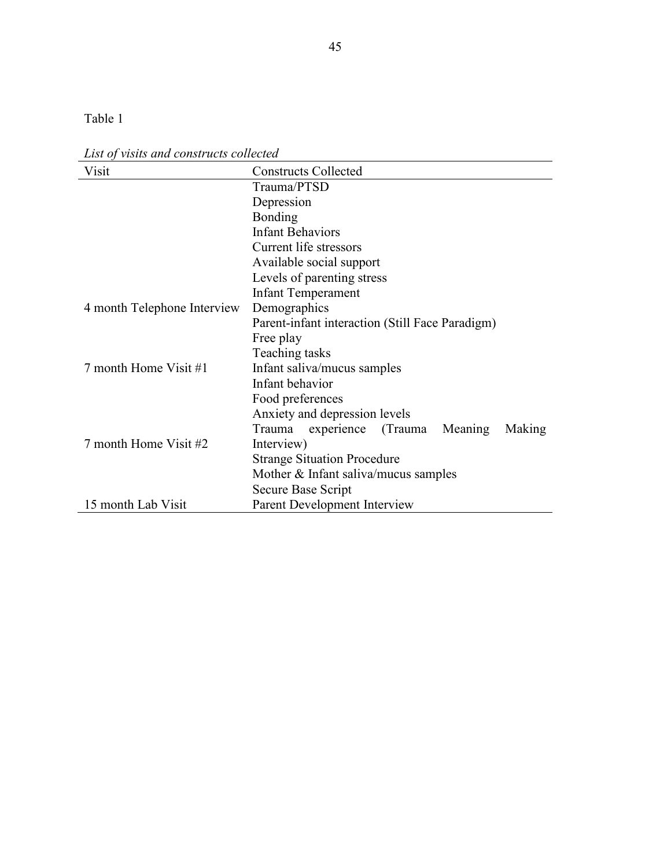Table 1

*List of visits and constructs collected*

| Visit                       | <b>Constructs Collected</b>                           |  |  |  |
|-----------------------------|-------------------------------------------------------|--|--|--|
|                             | Trauma/PTSD                                           |  |  |  |
|                             | Depression                                            |  |  |  |
|                             | <b>Bonding</b>                                        |  |  |  |
|                             | <b>Infant Behaviors</b>                               |  |  |  |
|                             | Current life stressors                                |  |  |  |
|                             | Available social support                              |  |  |  |
|                             | Levels of parenting stress                            |  |  |  |
|                             | <b>Infant Temperament</b>                             |  |  |  |
| 4 month Telephone Interview | Demographics                                          |  |  |  |
|                             | Parent-infant interaction (Still Face Paradigm)       |  |  |  |
|                             | Free play                                             |  |  |  |
|                             | Teaching tasks                                        |  |  |  |
| 7 month Home Visit #1       | Infant saliva/mucus samples                           |  |  |  |
|                             | Infant behavior                                       |  |  |  |
|                             | Food preferences                                      |  |  |  |
|                             | Anxiety and depression levels                         |  |  |  |
|                             | Trauma<br>(Trauma)<br>Meaning<br>Making<br>experience |  |  |  |
| 7 month Home Visit #2       | Interview)                                            |  |  |  |
|                             | <b>Strange Situation Procedure</b>                    |  |  |  |
|                             | Mother $&$ Infant saliva/mucus samples                |  |  |  |
|                             | Secure Base Script                                    |  |  |  |
| 15 month Lab Visit          | Parent Development Interview                          |  |  |  |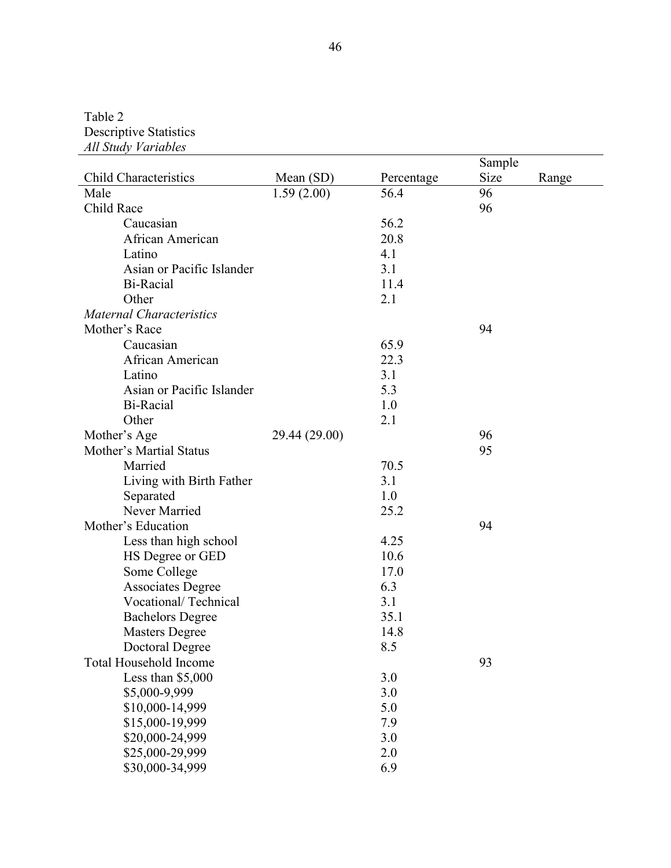Table 2 Descriptive Statistics *All Study Variables*

|                                 |               |            | Sample |       |
|---------------------------------|---------------|------------|--------|-------|
| <b>Child Characteristics</b>    | Mean $(SD)$   | Percentage | Size   | Range |
| Male                            | 1.59(2.00)    | 56.4       | 96     |       |
| Child Race                      |               |            | 96     |       |
| Caucasian                       |               | 56.2       |        |       |
| African American                |               | 20.8       |        |       |
| Latino                          |               | 4.1        |        |       |
| Asian or Pacific Islander       |               | 3.1        |        |       |
| Bi-Racial                       |               | 11.4       |        |       |
| Other                           |               | 2.1        |        |       |
| <b>Maternal Characteristics</b> |               |            |        |       |
| Mother's Race                   |               |            | 94     |       |
| Caucasian                       |               | 65.9       |        |       |
| African American                |               | 22.3       |        |       |
| Latino                          |               | 3.1        |        |       |
| Asian or Pacific Islander       |               | 5.3        |        |       |
| Bi-Racial                       |               | 1.0        |        |       |
| Other                           |               | 2.1        |        |       |
| Mother's Age                    | 29.44 (29.00) |            | 96     |       |
| Mother's Martial Status         |               |            | 95     |       |
| Married                         |               | 70.5       |        |       |
| Living with Birth Father        |               | 3.1        |        |       |
| Separated                       |               | 1.0        |        |       |
| Never Married                   |               | 25.2       |        |       |
| Mother's Education              |               |            | 94     |       |
| Less than high school           |               | 4.25       |        |       |
| HS Degree or GED                |               | 10.6       |        |       |
| Some College                    |               | 17.0       |        |       |
| <b>Associates Degree</b>        |               | 6.3        |        |       |
| Vocational/Technical            |               | 3.1        |        |       |
| <b>Bachelors Degree</b>         |               | 35.1       |        |       |
| <b>Masters Degree</b>           |               | 14.8       |        |       |
| Doctoral Degree                 |               | 8.5        |        |       |
| <b>Total Household Income</b>   |               |            | 93     |       |
| Less than \$5,000               |               | 3.0        |        |       |
| \$5,000-9,999                   |               | 3.0        |        |       |
| \$10,000-14,999                 |               | 5.0        |        |       |
| \$15,000-19,999                 |               | 7.9        |        |       |
| \$20,000-24,999                 |               | 3.0        |        |       |
| \$25,000-29,999                 |               | 2.0        |        |       |
| \$30,000-34,999                 |               | 6.9        |        |       |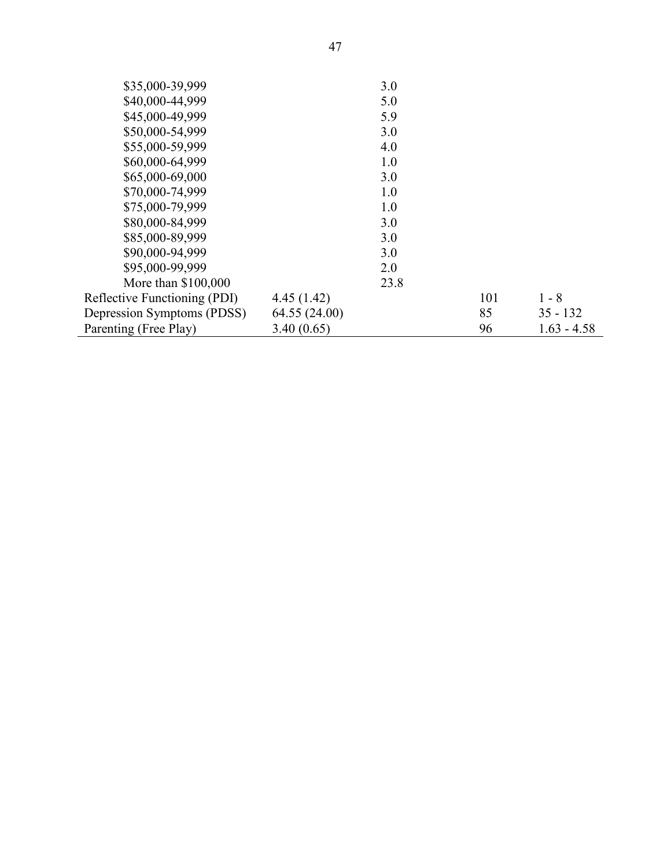| \$35,000-39,999                     |               | 3.0  |     |               |
|-------------------------------------|---------------|------|-----|---------------|
| \$40,000-44,999                     |               | 5.0  |     |               |
| \$45,000-49,999                     |               | 5.9  |     |               |
| \$50,000-54,999                     |               | 3.0  |     |               |
| \$55,000-59,999                     |               | 4.0  |     |               |
| \$60,000-64,999                     |               | 1.0  |     |               |
| \$65,000-69,000                     |               | 3.0  |     |               |
| \$70,000-74,999                     |               | 1.0  |     |               |
| \$75,000-79,999                     |               | 1.0  |     |               |
| \$80,000-84,999                     |               | 3.0  |     |               |
| \$85,000-89,999                     |               | 3.0  |     |               |
| \$90,000-94,999                     |               | 3.0  |     |               |
| \$95,000-99,999                     |               | 2.0  |     |               |
| More than \$100,000                 |               | 23.8 |     |               |
| <b>Reflective Functioning (PDI)</b> | 4.45(1.42)    |      | 101 | $1 - 8$       |
| Depression Symptoms (PDSS)          | 64.55 (24.00) |      | 85  | $35 - 132$    |
| Parenting (Free Play)               | 3.40(0.65)    |      | 96  | $1.63 - 4.58$ |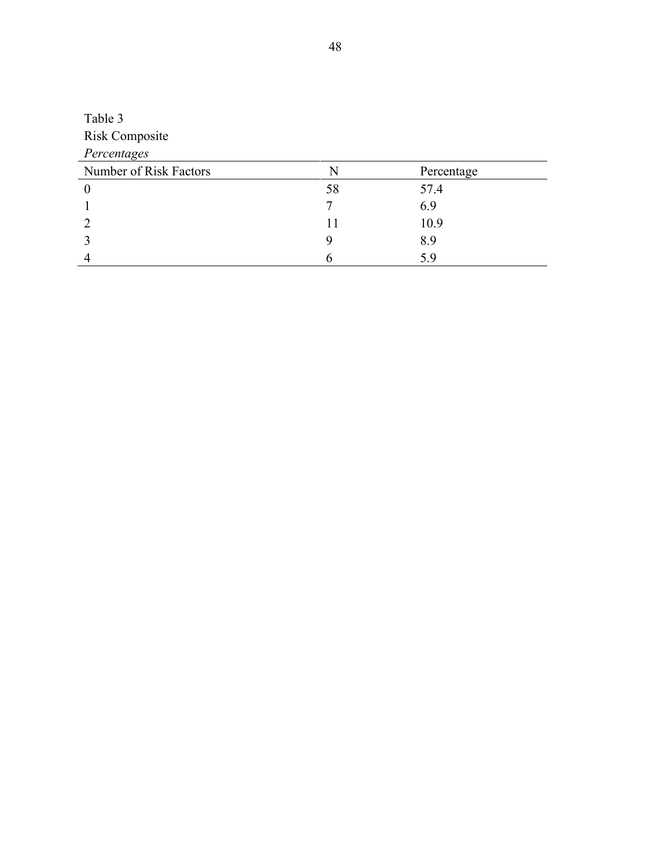| Table 3                |    |            |  |
|------------------------|----|------------|--|
| <b>Risk Composite</b>  |    |            |  |
| Percentages            |    |            |  |
| Number of Risk Factors | N  | Percentage |  |
| $\theta$               | 58 | 57.4       |  |
|                        |    | 6.9        |  |
|                        | 11 | 10.9       |  |
|                        | 9  | 8.9        |  |
|                        |    | 5.9        |  |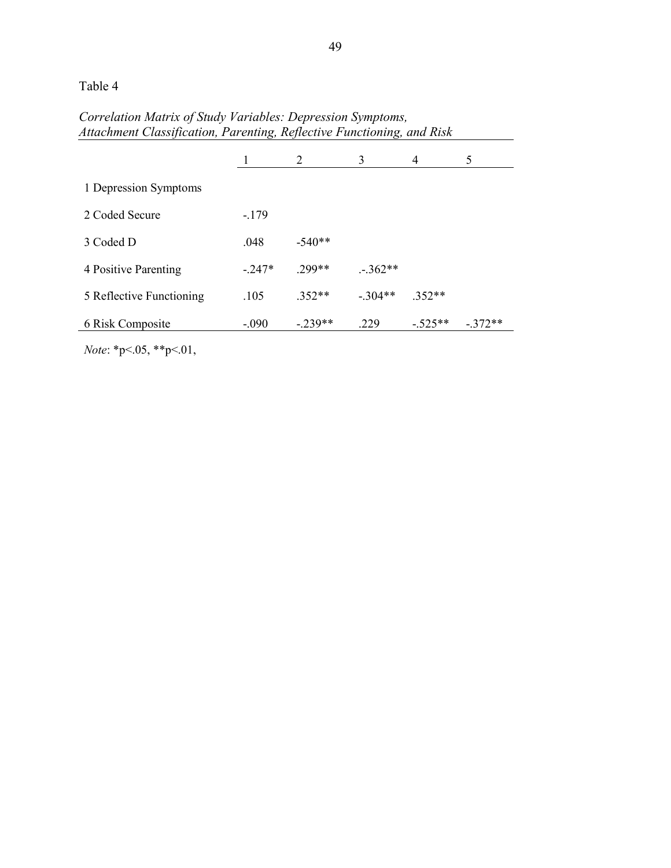Table 4

# *Correlation Matrix of Study Variables: Depression Symptoms, Attachment Classification, Parenting, Reflective Functioning, and Risk*

|                          |         | 2        | 3        | $\overline{4}$ | 5        |
|--------------------------|---------|----------|----------|----------------|----------|
| 1 Depression Symptoms    |         |          |          |                |          |
| 2 Coded Secure           | $-179$  |          |          |                |          |
| 3 Coded D                | .048    | $-540**$ |          |                |          |
| 4 Positive Parenting     | $-247*$ | 299**    | $-362**$ |                |          |
| 5 Reflective Functioning | .105    | $352**$  | $-304**$ | $.352**$       |          |
| 6 Risk Composite         | $-.090$ | $-239**$ | .229     | $-525**$       | $-372**$ |

*Note*: \*p<.05, \*\*p<.01,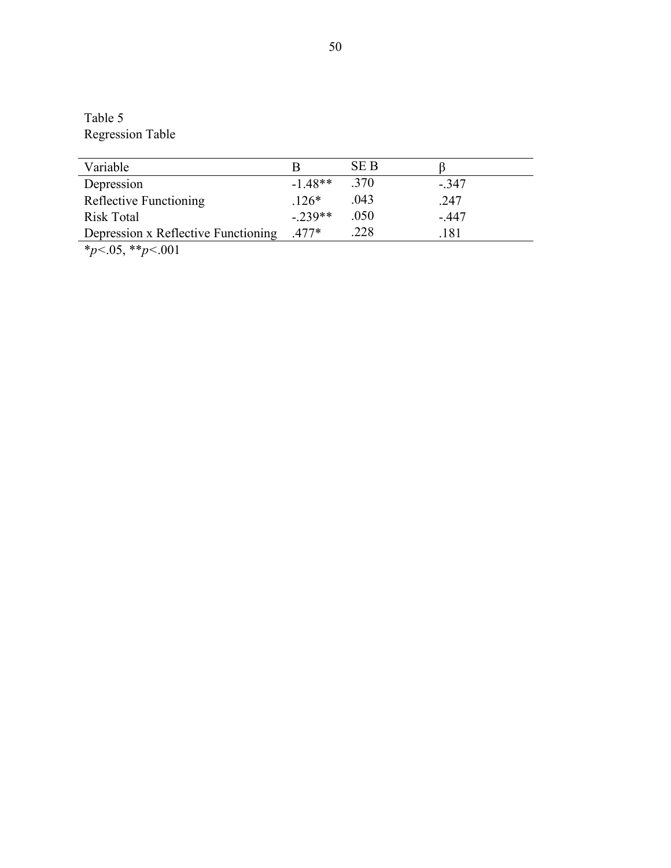Table 5 Regression Table

| Variable                                                                                                                                                                                                                                                                                                                           |           | SE B |        |
|------------------------------------------------------------------------------------------------------------------------------------------------------------------------------------------------------------------------------------------------------------------------------------------------------------------------------------|-----------|------|--------|
| Depression                                                                                                                                                                                                                                                                                                                         | $-1.48**$ | .370 | $-347$ |
| Reflective Functioning                                                                                                                                                                                                                                                                                                             | $.126*$   | .043 | .247   |
| <b>Risk Total</b>                                                                                                                                                                                                                                                                                                                  | $-239**$  | .050 | $-447$ |
| Depression x Reflective Functioning                                                                                                                                                                                                                                                                                                | $.477*$   | .228 | .181   |
| $\mathbf{a}$ $\mathbf{b}$ $\mathbf{c}$ $\mathbf{c}$ $\mathbf{c}$ $\mathbf{c}$ $\mathbf{c}$ $\mathbf{c}$ $\mathbf{c}$ $\mathbf{c}$ $\mathbf{c}$ $\mathbf{c}$ $\mathbf{c}$ $\mathbf{c}$ $\mathbf{c}$ $\mathbf{c}$ $\mathbf{c}$ $\mathbf{c}$ $\mathbf{c}$ $\mathbf{c}$ $\mathbf{c}$ $\mathbf{c}$ $\mathbf{c}$ $\mathbf{c}$ $\mathbf{$ |           |      |        |

\**p<*.05, \*\**p<*.001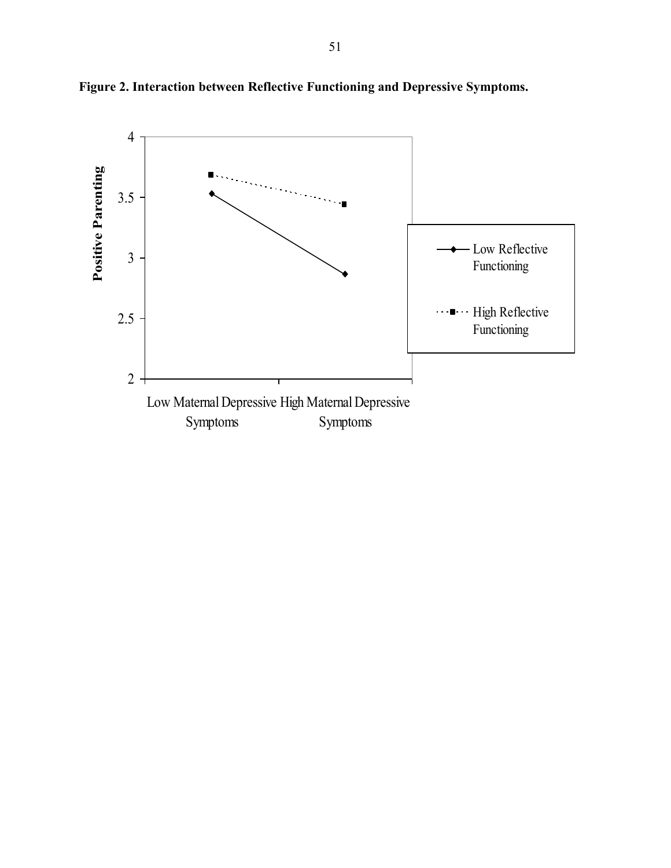

**Figure 2. Interaction between Reflective Functioning and Depressive Symptoms.**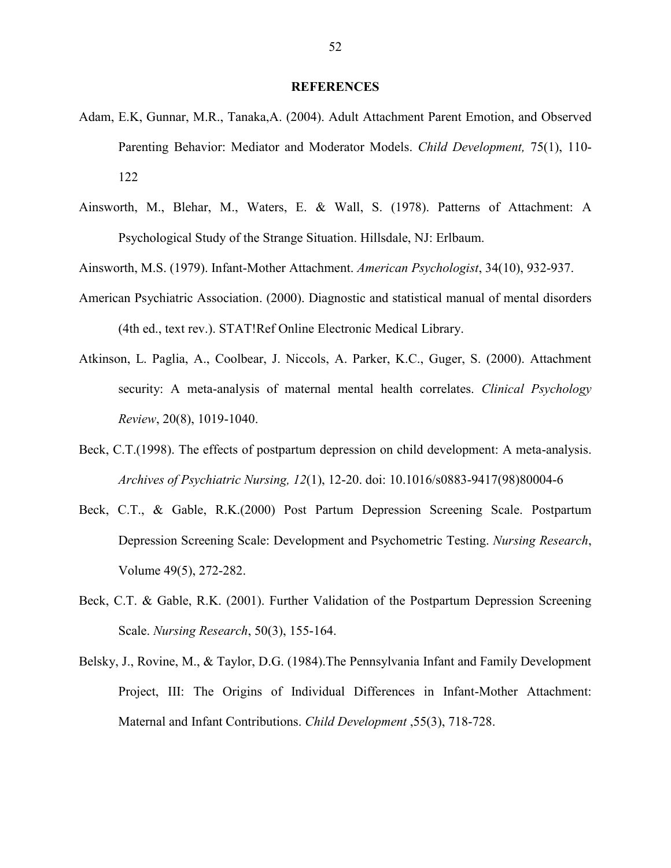#### **REFERENCES**

- Adam, E.K, Gunnar, M.R., Tanaka,A. (2004). Adult Attachment Parent Emotion, and Observed Parenting Behavior: Mediator and Moderator Models. *Child Development,* 75(1), 110- 122
- Ainsworth, M., Blehar, M., Waters, E. & Wall, S. (1978). Patterns of Attachment: A Psychological Study of the Strange Situation. Hillsdale, NJ: Erlbaum.

Ainsworth, M.S. (1979). Infant-Mother Attachment. *American Psychologist*, 34(10), 932-937.

- American Psychiatric Association. (2000). Diagnostic and statistical manual of mental disorders (4th ed., text rev.). STAT!Ref Online Electronic Medical Library.
- Atkinson, L. Paglia, A., Coolbear, J. Niccols, A. Parker, K.C., Guger, S. (2000). Attachment security: A meta-analysis of maternal mental health correlates. *Clinical Psychology Review*, 20(8), 1019-1040.
- Beck, C.T.(1998). The effects of postpartum depression on child development: A meta-analysis. *Archives of Psychiatric Nursing, 12*(1), 12-20. doi: 10.1016/s0883-9417(98)80004-6
- Beck, C.T., & Gable, R.K.(2000) Post Partum Depression Screening Scale. Postpartum Depression Screening Scale: Development and Psychometric Testing. *Nursing Research*, Volume 49(5), 272-282.
- Beck, C.T. & Gable, R.K. (2001). Further Validation of the Postpartum Depression Screening Scale. *Nursing Research*, 50(3), 155-164.
- Belsky, J., Rovine, M., & Taylor, D.G. (1984).The Pennsylvania Infant and Family Development Project, III: The Origins of Individual Differences in Infant-Mother Attachment: Maternal and Infant Contributions. *Child Development* ,55(3), 718-728.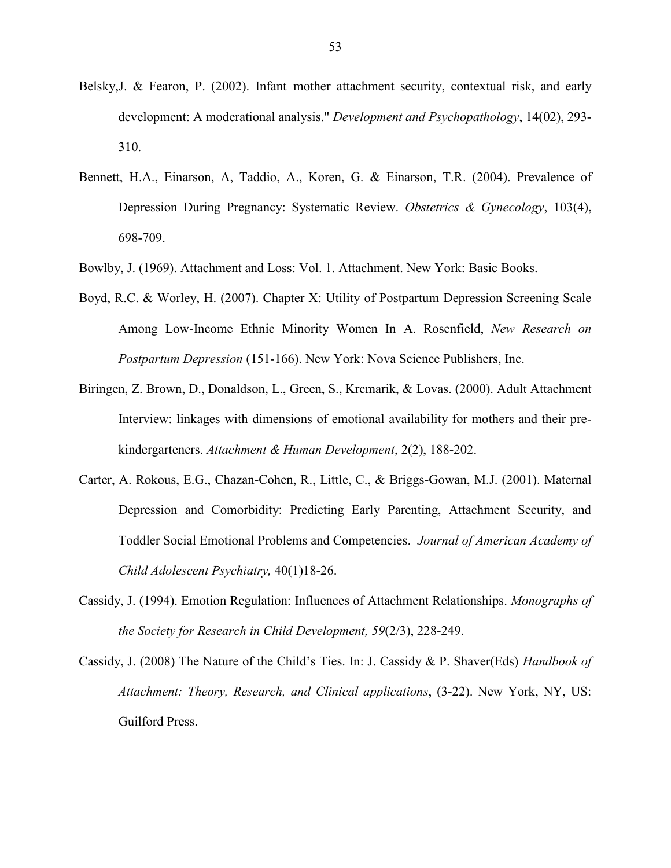- Belsky,J. & Fearon, P. (2002). Infant–mother attachment security, contextual risk, and early development: A moderational analysis." *Development and Psychopathology*, 14(02), 293- 310.
- Bennett, H.A., Einarson, A, Taddio, A., Koren, G. & Einarson, T.R. (2004). Prevalence of Depression During Pregnancy: Systematic Review. *Obstetrics & Gynecology*, 103(4), 698-709.
- Bowlby, J. (1969). Attachment and Loss: Vol. 1. Attachment. New York: Basic Books.
- Boyd, R.C. & Worley, H. (2007). Chapter X: Utility of Postpartum Depression Screening Scale Among Low-Income Ethnic Minority Women In A. Rosenfield, *New Research on Postpartum Depression* (151-166). New York: Nova Science Publishers, Inc.
- Biringen, Z. Brown, D., Donaldson, L., Green, S., Krcmarik, & Lovas. (2000). Adult Attachment Interview: linkages with dimensions of emotional availability for mothers and their prekindergarteners. *Attachment & Human Development*, 2(2), 188-202.
- Carter, A. Rokous, E.G., Chazan-Cohen, R., Little, C., & Briggs-Gowan, M.J. (2001). Maternal Depression and Comorbidity: Predicting Early Parenting, Attachment Security, and Toddler Social Emotional Problems and Competencies. *Journal of American Academy of Child Adolescent Psychiatry,* 40(1)18-26.
- Cassidy, J. (1994). Emotion Regulation: Influences of Attachment Relationships. *Monographs of the Society for Research in Child Development, 59*(2/3), 228-249.
- Cassidy, J. (2008) The Nature of the Child's Ties. In: J. Cassidy & P. Shaver(Eds) *Handbook of Attachment: Theory, Research, and Clinical applications*, (3-22). New York, NY, US: Guilford Press.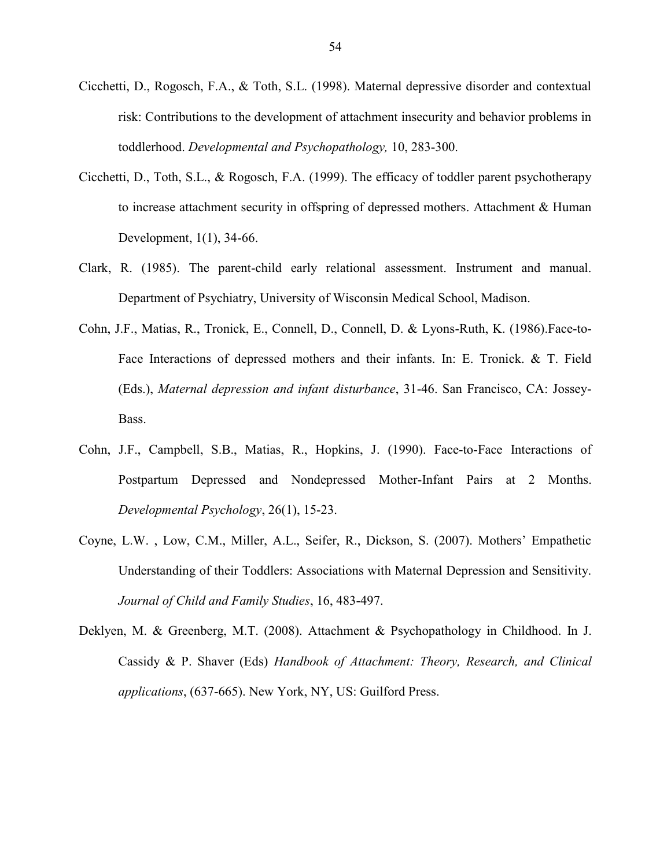- Cicchetti, D., Rogosch, F.A., & Toth, S.L. (1998). Maternal depressive disorder and contextual risk: Contributions to the development of attachment insecurity and behavior problems in toddlerhood. *Developmental and Psychopathology,* 10, 283-300.
- Cicchetti, D., Toth, S.L., & Rogosch, F.A. (1999). The efficacy of toddler parent psychotherapy to increase attachment security in offspring of depressed mothers. Attachment & Human Development, 1(1), 34-66.
- Clark, R. (1985). The parent-child early relational assessment. Instrument and manual. Department of Psychiatry, University of Wisconsin Medical School, Madison.
- Cohn, J.F., Matias, R., Tronick, E., Connell, D., Connell, D. & Lyons-Ruth, K. (1986).Face-to-Face Interactions of depressed mothers and their infants. In: E. Tronick. & T. Field (Eds.), *Maternal depression and infant disturbance*, 31-46. San Francisco, CA: Jossey-Bass.
- Cohn, J.F., Campbell, S.B., Matias, R., Hopkins, J. (1990). Face-to-Face Interactions of Postpartum Depressed and Nondepressed Mother-Infant Pairs at 2 Months. *Developmental Psychology*, 26(1), 15-23.
- Coyne, L.W. , Low, C.M., Miller, A.L., Seifer, R., Dickson, S. (2007). Mothers' Empathetic Understanding of their Toddlers: Associations with Maternal Depression and Sensitivity. *Journal of Child and Family Studies*, 16, 483-497.
- Deklyen, M. & Greenberg, M.T. (2008). Attachment & Psychopathology in Childhood. In J. Cassidy & P. Shaver (Eds) *Handbook of Attachment: Theory, Research, and Clinical applications*, (637-665). New York, NY, US: Guilford Press.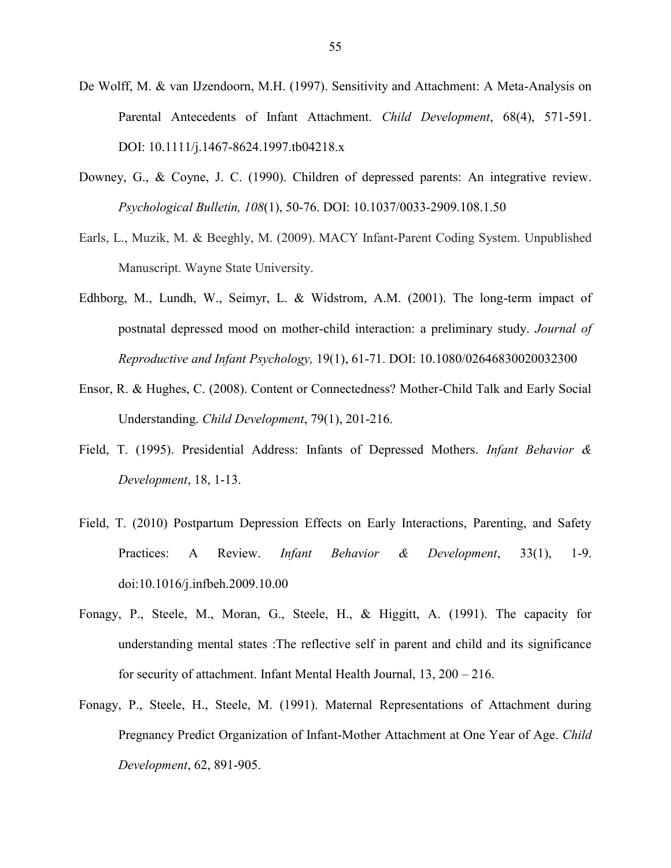- De Wolff, M. & van IJzendoorn, M.H. (1997). Sensitivity and Attachment: A Meta-Analysis on Parental Antecedents of Infant Attachment. *Child Development*, 68(4), 571-591. DOI: 10.1111/j.1467-8624.1997.tb04218.x
- Downey, G., & Coyne, J. C. (1990). Children of depressed parents: An integrative review. *Psychological Bulletin, 108*(1), 50-76. DOI: 10.1037/0033-2909.108.1.50
- Earls, L., Muzik, M. & Beeghly, M. (2009). MACY Infant-Parent Coding System. Unpublished Manuscript. Wayne State University.
- Edhborg, M., Lundh, W., Seimyr, L. & Widstrom, A.M. (2001). The long-term impact of postnatal depressed mood on mother-child interaction: a preliminary study. *Journal of Reproductive and Infant Psychology,* 19(1), 61-71. DOI: 10.1080/02646830020032300
- Ensor, R. & Hughes, C. (2008). Content or Connectedness? Mother-Child Talk and Early Social Understanding. *Child Development*, 79(1), 201-216.
- Field, T. (1995). Presidential Address: Infants of Depressed Mothers. *Infant Behavior & Development*, 18, 1-13.
- Field, T. (2010) Postpartum Depression Effects on Early Interactions, Parenting, and Safety Practices: A Review. *Infant Behavior & Development*, 33(1), 1-9. doi:10.1016/j.infbeh.2009.10.00
- Fonagy, P., Steele, M., Moran, G., Steele, H., & Higgitt, A. (1991). The capacity for understanding mental states :The reflective self in parent and child and its significance for security of attachment. Infant Mental Health Journal, 13, 200 – 216.
- Fonagy, P., Steele, H., Steele, M. (1991). Maternal Representations of Attachment during Pregnancy Predict Organization of Infant-Mother Attachment at One Year of Age. *Child Development*, 62, 891-905.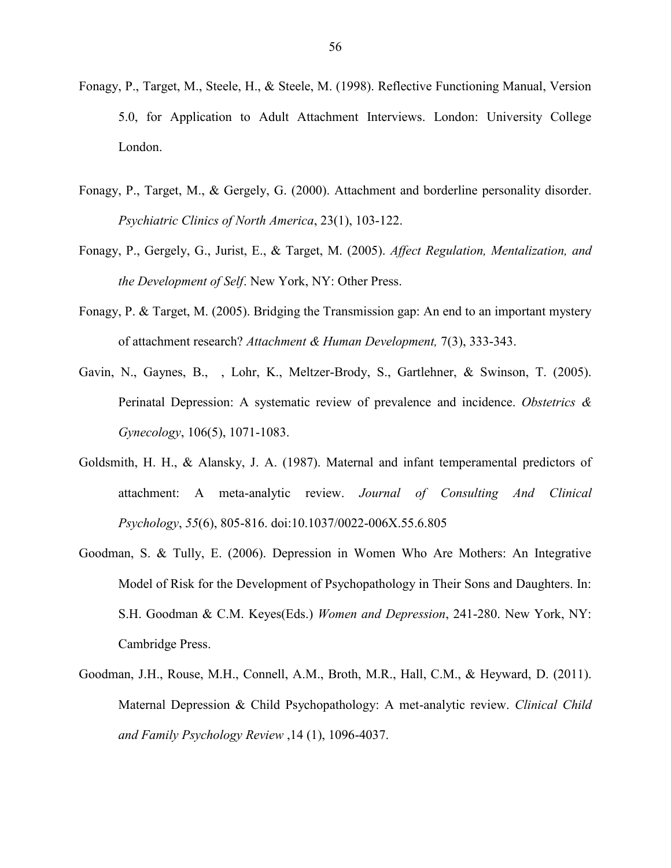- Fonagy, P., Target, M., Steele, H., & Steele, M. (1998). Reflective Functioning Manual, Version 5.0, for Application to Adult Attachment Interviews. London: University College London.
- Fonagy, P., Target, M., & Gergely, G. (2000). Attachment and borderline personality disorder. *Psychiatric Clinics of North America*, 23(1), 103-122.
- Fonagy, P., Gergely, G., Jurist, E., & Target, M. (2005). *Affect Regulation, Mentalization, and the Development of Self*. New York, NY: Other Press.
- Fonagy, P. & Target, M. (2005). Bridging the Transmission gap: An end to an important mystery of attachment research? *Attachment & Human Development,* 7(3), 333-343.
- Gavin, N., Gaynes, B., , Lohr, K., Meltzer-Brody, S., Gartlehner, & Swinson, T. (2005). Perinatal Depression: A systematic review of prevalence and incidence. *Obstetrics & Gynecology*, 106(5), 1071-1083.
- Goldsmith, H. H., & Alansky, J. A. (1987). Maternal and infant temperamental predictors of attachment: A meta-analytic review. *Journal of Consulting And Clinical Psychology*, *55*(6), 805-816. doi:10.1037/0022-006X.55.6.805
- Goodman, S. & Tully, E. (2006). Depression in Women Who Are Mothers: An Integrative Model of Risk for the Development of Psychopathology in Their Sons and Daughters. In: S.H. Goodman & C.M. Keyes(Eds.) *Women and Depression*, 241-280. New York, NY: Cambridge Press.
- Goodman, J.H., Rouse, M.H., Connell, A.M., Broth, M.R., Hall, C.M., & Heyward, D. (2011). Maternal Depression & Child Psychopathology: A met-analytic review. *Clinical Child and Family Psychology Review* ,14 (1), 1096-4037.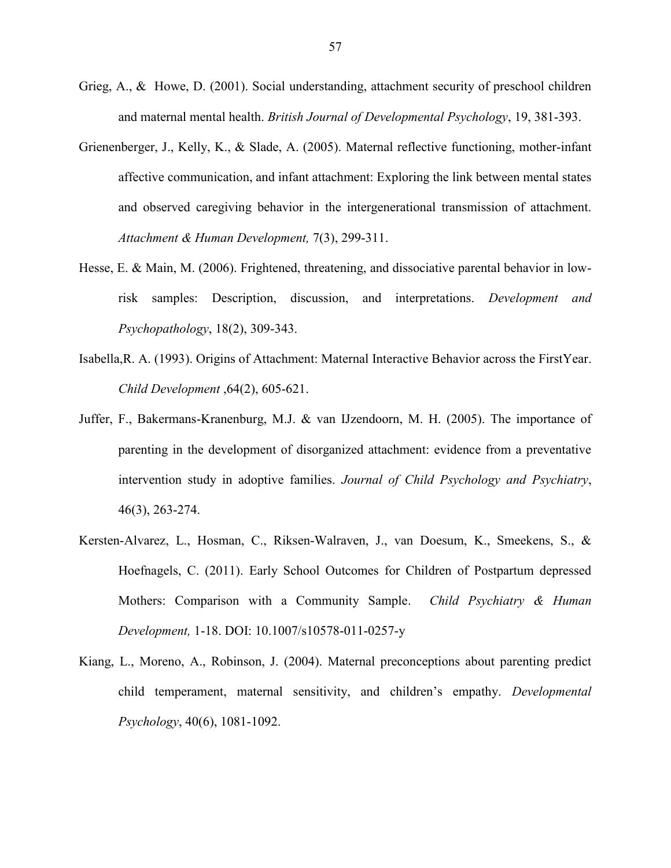- Grieg, A., & Howe, D. (2001). Social understanding, attachment security of preschool children and maternal mental health. *British Journal of Developmental Psychology*, 19, 381-393.
- Grienenberger, J., Kelly, K., & Slade, A. (2005). Maternal reflective functioning, mother-infant affective communication, and infant attachment: Exploring the link between mental states and observed caregiving behavior in the intergenerational transmission of attachment. *Attachment & Human Development,* 7(3), 299-311.
- Hesse, E. & Main, M. (2006). Frightened, threatening, and dissociative parental behavior in lowrisk samples: Description, discussion, and interpretations. *Development and Psychopathology*, 18(2), 309-343.
- Isabella,R. A. (1993). Origins of Attachment: Maternal Interactive Behavior across the FirstYear. *Child Development* ,64(2), 605-621.
- Juffer, F., Bakermans-Kranenburg, M.J. & van IJzendoorn, M. H. (2005). The importance of parenting in the development of disorganized attachment: evidence from a preventative intervention study in adoptive families. *Journal of Child Psychology and Psychiatry*, 46(3), 263-274.
- Kersten-Alvarez, L., Hosman, C., Riksen-Walraven, J., van Doesum, K., Smeekens, S., & Hoefnagels, C. (2011). Early School Outcomes for Children of Postpartum depressed Mothers: Comparison with a Community Sample. *Child Psychiatry & Human Development,* 1-18. DOI: 10.1007/s10578-011-0257-y
- Kiang, L., Moreno, A., Robinson, J. (2004). Maternal preconceptions about parenting predict child temperament, maternal sensitivity, and children's empathy. *Developmental Psychology*, 40(6), 1081-1092.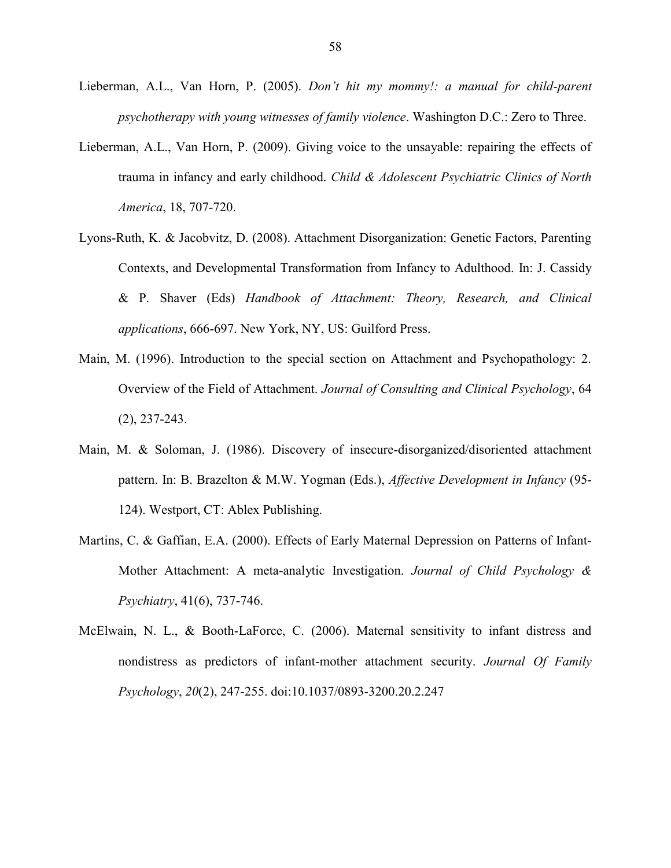- Lieberman, A.L., Van Horn, P. (2005). *Don't hit my mommy!: a manual for child-parent psychotherapy with young witnesses of family violence*. Washington D.C.: Zero to Three.
- Lieberman, A.L., Van Horn, P. (2009). Giving voice to the unsayable: repairing the effects of trauma in infancy and early childhood. *Child & Adolescent Psychiatric Clinics of North America*, 18, 707-720.
- Lyons-Ruth, K. & Jacobvitz, D. (2008). Attachment Disorganization: Genetic Factors, Parenting Contexts, and Developmental Transformation from Infancy to Adulthood. In: J. Cassidy & P. Shaver (Eds) *Handbook of Attachment: Theory, Research, and Clinical applications*, 666-697. New York, NY, US: Guilford Press.
- Main, M. (1996). Introduction to the special section on Attachment and Psychopathology: 2. Overview of the Field of Attachment. *Journal of Consulting and Clinical Psychology*, 64 (2), 237-243.
- Main, M. & Soloman, J. (1986). Discovery of insecure-disorganized/disoriented attachment pattern. In: B. Brazelton & M.W. Yogman (Eds.), *Affective Development in Infancy* (95- 124). Westport, CT: Ablex Publishing.
- Martins, C. & Gaffian, E.A. (2000). Effects of Early Maternal Depression on Patterns of Infant-Mother Attachment: A meta-analytic Investigation. *Journal of Child Psychology & Psychiatry*, 41(6), 737-746.
- McElwain, N. L., & Booth-LaForce, C. (2006). Maternal sensitivity to infant distress and nondistress as predictors of infant-mother attachment security. *Journal Of Family Psychology*, *20*(2), 247-255. doi:10.1037/0893-3200.20.2.247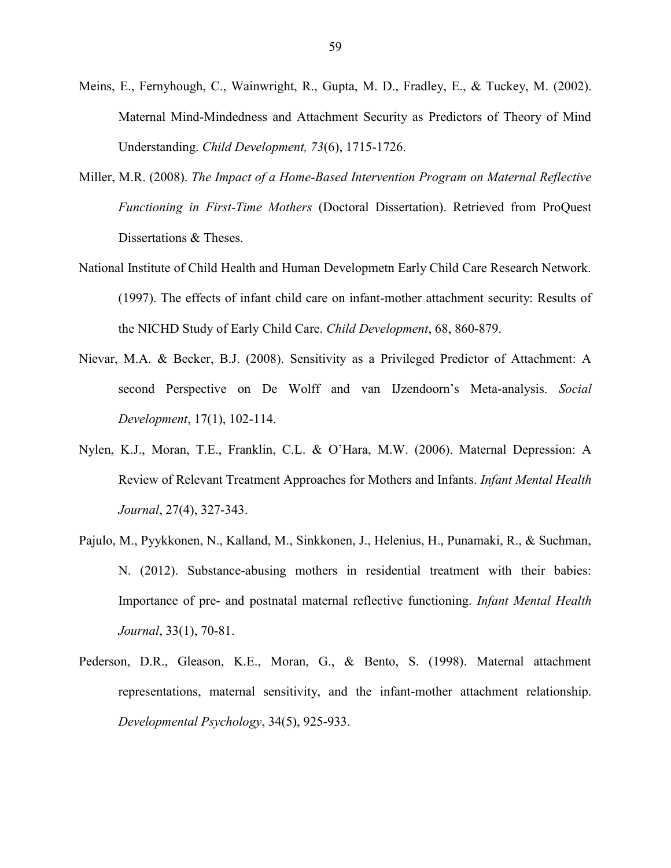- Meins, E., Fernyhough, C., Wainwright, R., Gupta, M. D., Fradley, E., & Tuckey, M. (2002). Maternal Mind-Mindedness and Attachment Security as Predictors of Theory of Mind Understanding. *Child Development, 73*(6), 1715-1726.
- Miller, M.R. (2008). *The Impact of a Home-Based Intervention Program on Maternal Reflective Functioning in First-Time Mothers* (Doctoral Dissertation). Retrieved from ProQuest Dissertations & Theses.
- National Institute of Child Health and Human Developmetn Early Child Care Research Network. (1997). The effects of infant child care on infant-mother attachment security: Results of the NICHD Study of Early Child Care. *Child Development*, 68, 860-879.
- Nievar, M.A. & Becker, B.J. (2008). Sensitivity as a Privileged Predictor of Attachment: A second Perspective on De Wolff and van IJzendoorn's Meta-analysis. *Social Development*, 17(1), 102-114.
- Nylen, K.J., Moran, T.E., Franklin, C.L. & O'Hara, M.W. (2006). Maternal Depression: A Review of Relevant Treatment Approaches for Mothers and Infants. *Infant Mental Health Journal*, 27(4), 327-343.
- Pajulo, M., Pyykkonen, N., Kalland, M., Sinkkonen, J., Helenius, H., Punamaki, R., & Suchman, N. (2012). Substance-abusing mothers in residential treatment with their babies: Importance of pre- and postnatal maternal reflective functioning. *Infant Mental Health Journal*, 33(1), 70-81.
- Pederson, D.R., Gleason, K.E., Moran, G., & Bento, S. (1998). Maternal attachment representations, maternal sensitivity, and the infant-mother attachment relationship. *Developmental Psychology*, 34(5), 925-933.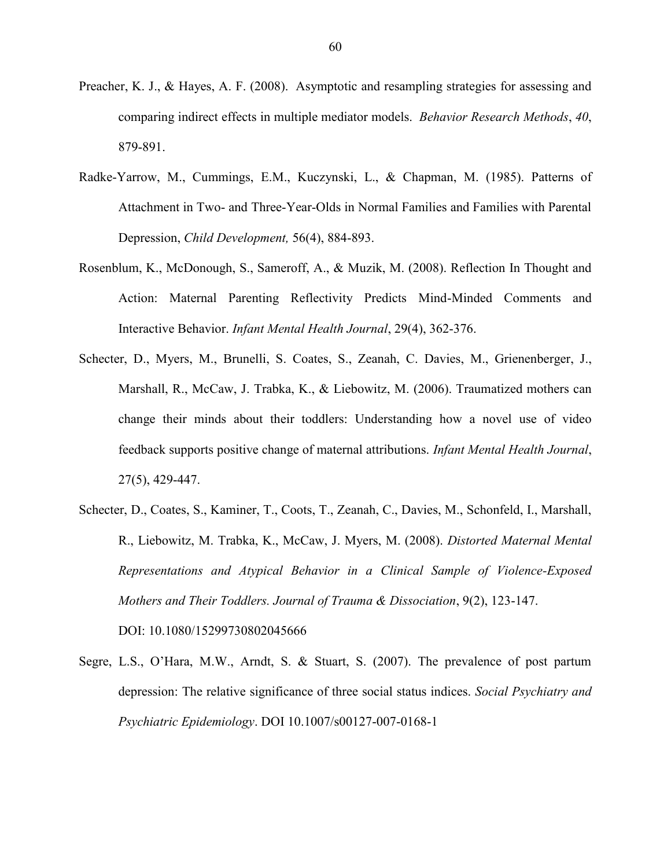- Preacher, K. J., & Hayes, A. F. (2008). Asymptotic and resampling strategies for assessing and comparing indirect effects in multiple mediator models. *Behavior Research Methods*, *40*, 879-891.
- Radke-Yarrow, M., Cummings, E.M., Kuczynski, L., & Chapman, M. (1985). Patterns of Attachment in Two- and Three-Year-Olds in Normal Families and Families with Parental Depression, *Child Development,* 56(4), 884-893.
- Rosenblum, K., McDonough, S., Sameroff, A., & Muzik, M. (2008). Reflection In Thought and Action: Maternal Parenting Reflectivity Predicts Mind-Minded Comments and Interactive Behavior. *Infant Mental Health Journal*, 29(4), 362-376.
- Schecter, D., Myers, M., Brunelli, S. Coates, S., Zeanah, C. Davies, M., Grienenberger, J., Marshall, R., McCaw, J. Trabka, K., & Liebowitz, M. (2006). Traumatized mothers can change their minds about their toddlers: Understanding how a novel use of video feedback supports positive change of maternal attributions. *Infant Mental Health Journal*, 27(5), 429-447.
- Schecter, D., Coates, S., Kaminer, T., Coots, T., Zeanah, C., Davies, M., Schonfeld, I., Marshall, R., Liebowitz, M. Trabka, K., McCaw, J. Myers, M. (2008). *Distorted Maternal Mental Representations and Atypical Behavior in a Clinical Sample of Violence-Exposed Mothers and Their Toddlers. Journal of Trauma & Dissociation*, 9(2), 123-147.

DOI: 10.1080/15299730802045666

Segre, L.S., O'Hara, M.W., Arndt, S. & Stuart, S. (2007). The prevalence of post partum depression: The relative significance of three social status indices. *Social Psychiatry and Psychiatric Epidemiology*. DOI 10.1007/s00127-007-0168-1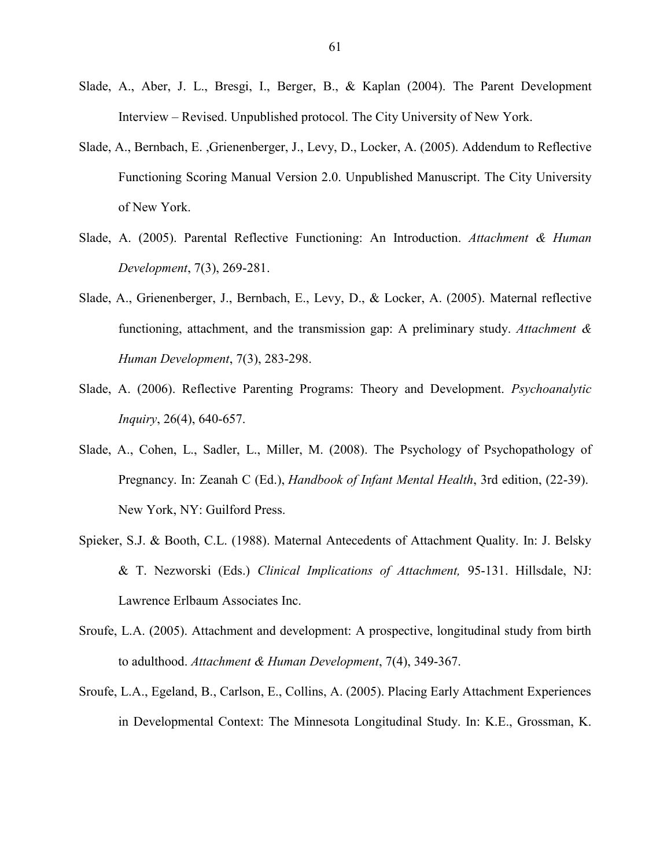- Slade, A., Aber, J. L., Bresgi, I., Berger, B., & Kaplan (2004). The Parent Development Interview – Revised. Unpublished protocol. The City University of New York.
- Slade, A., Bernbach, E. ,Grienenberger, J., Levy, D., Locker, A. (2005). Addendum to Reflective Functioning Scoring Manual Version 2.0. Unpublished Manuscript. The City University of New York.
- Slade, A. (2005). Parental Reflective Functioning: An Introduction. *Attachment & Human Development*, 7(3), 269-281.
- Slade, A., Grienenberger, J., Bernbach, E., Levy, D., & Locker, A. (2005). Maternal reflective functioning, attachment, and the transmission gap: A preliminary study. *Attachment & Human Development*, 7(3), 283-298.
- Slade, A. (2006). Reflective Parenting Programs: Theory and Development. *Psychoanalytic Inquiry*, 26(4), 640-657.
- Slade, A., Cohen, L., Sadler, L., Miller, M. (2008). The Psychology of Psychopathology of Pregnancy. In: Zeanah C (Ed.), *Handbook of Infant Mental Health*, 3rd edition, (22-39). New York, NY: Guilford Press.
- Spieker, S.J. & Booth, C.L. (1988). Maternal Antecedents of Attachment Quality. In: J. Belsky & T. Nezworski (Eds.) *Clinical Implications of Attachment,* 95-131. Hillsdale, NJ: Lawrence Erlbaum Associates Inc.
- Sroufe, L.A. (2005). Attachment and development: A prospective, longitudinal study from birth to adulthood. *Attachment & Human Development*, 7(4), 349-367.
- Sroufe, L.A., Egeland, B., Carlson, E., Collins, A. (2005). Placing Early Attachment Experiences in Developmental Context: The Minnesota Longitudinal Study. In: K.E., Grossman, K.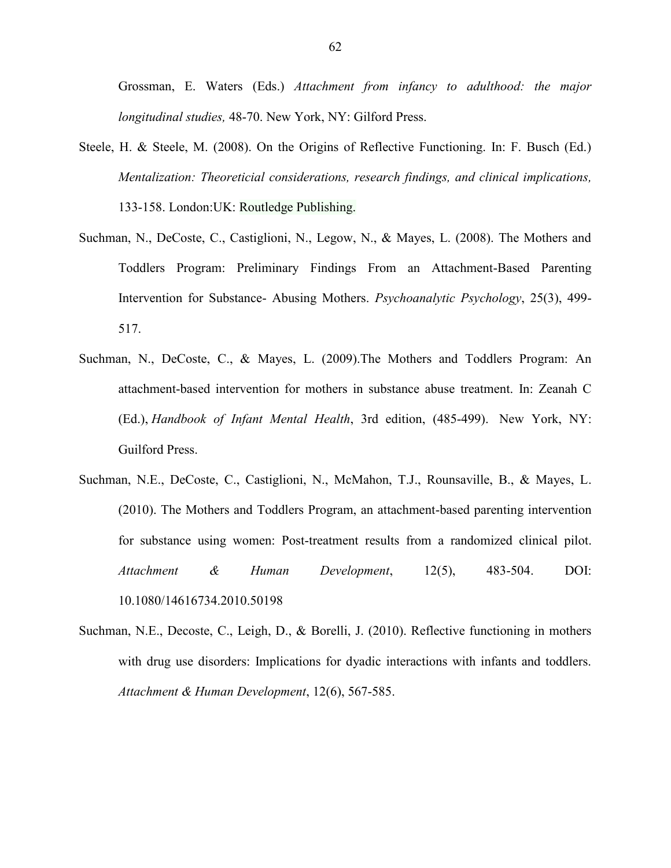Grossman, E. Waters (Eds.) *Attachment from infancy to adulthood: the major longitudinal studies,* 48-70. New York, NY: Gilford Press.

- Steele, H. & Steele, M. (2008). On the Origins of Reflective Functioning. In: F. Busch (Ed.) *Mentalization: Theoreticial considerations, research findings, and clinical implications,*  133-158. London:UK: Routledge Publishing.
- Suchman, N., DeCoste, C., Castiglioni, N., Legow, N., & Mayes, L. (2008). The Mothers and Toddlers Program: Preliminary Findings From an Attachment-Based Parenting Intervention for Substance- Abusing Mothers. *Psychoanalytic Psychology*, 25(3), 499- 517.
- Suchman, N., DeCoste, C., & Mayes, L. (2009).The Mothers and Toddlers Program: An attachment-based intervention for mothers in substance abuse treatment. In: Zeanah C (Ed.), *Handbook of Infant Mental Health*, 3rd edition, (485-499). New York, NY: Guilford Press.
- Suchman, N.E., DeCoste, C., Castiglioni, N., McMahon, T.J., Rounsaville, B., & Mayes, L. (2010). The Mothers and Toddlers Program, an attachment-based parenting intervention for substance using women: Post-treatment results from a randomized clinical pilot. *Attachment & Human Development*, 12(5), 483-504. DOI: 10.1080/14616734.2010.50198
- Suchman, N.E., Decoste, C., Leigh, D., & Borelli, J. (2010). Reflective functioning in mothers with drug use disorders: Implications for dyadic interactions with infants and toddlers. *Attachment & Human Development*, 12(6), 567-585.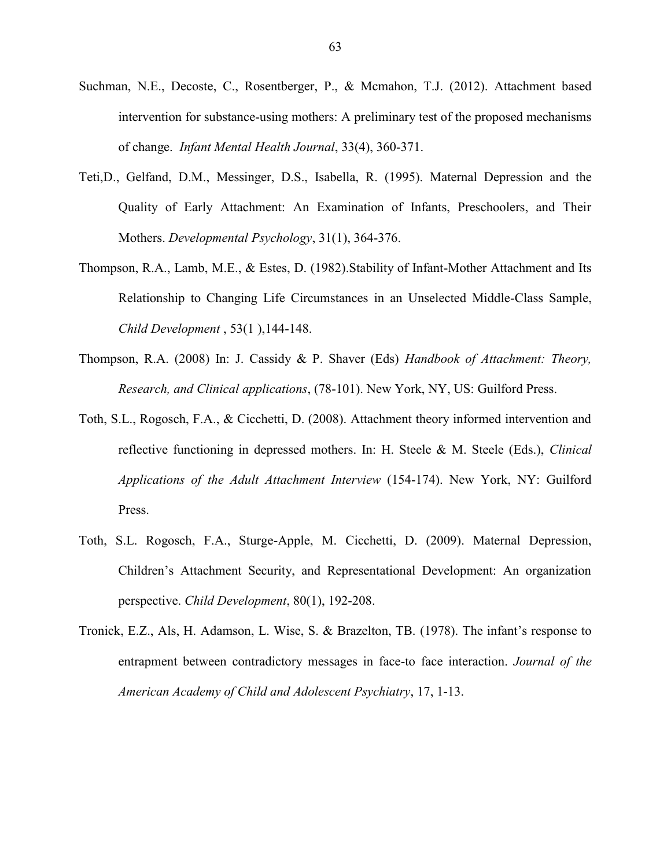- Suchman, N.E., Decoste, C., Rosentberger, P., & Mcmahon, T.J. (2012). Attachment based intervention for substance-using mothers: A preliminary test of the proposed mechanisms of change. *Infant Mental Health Journal*, 33(4), 360-371.
- Teti,D., Gelfand, D.M., Messinger, D.S., Isabella, R. (1995). Maternal Depression and the Quality of Early Attachment: An Examination of Infants, Preschoolers, and Their Mothers. *Developmental Psychology*, 31(1), 364-376.
- Thompson, R.A., Lamb, M.E., & Estes, D. (1982).Stability of Infant-Mother Attachment and Its Relationship to Changing Life Circumstances in an Unselected Middle-Class Sample, *Child Development* , 53(1 ),144-148.
- Thompson, R.A. (2008) In: J. Cassidy & P. Shaver (Eds) *Handbook of Attachment: Theory, Research, and Clinical applications*, (78-101). New York, NY, US: Guilford Press.
- Toth, S.L., Rogosch, F.A., & Cicchetti, D. (2008). Attachment theory informed intervention and reflective functioning in depressed mothers. In: H. Steele & M. Steele (Eds.), *Clinical Applications of the Adult Attachment Interview* (154-174). New York, NY: Guilford Press.
- Toth, S.L. Rogosch, F.A., Sturge-Apple, M. Cicchetti, D. (2009). Maternal Depression, Children's Attachment Security, and Representational Development: An organization perspective. *Child Development*, 80(1), 192-208.
- Tronick, E.Z., Als, H. Adamson, L. Wise, S. & Brazelton, TB. (1978). The infant's response to entrapment between contradictory messages in face-to face interaction. *Journal of the American Academy of Child and Adolescent Psychiatry*, 17, 1-13.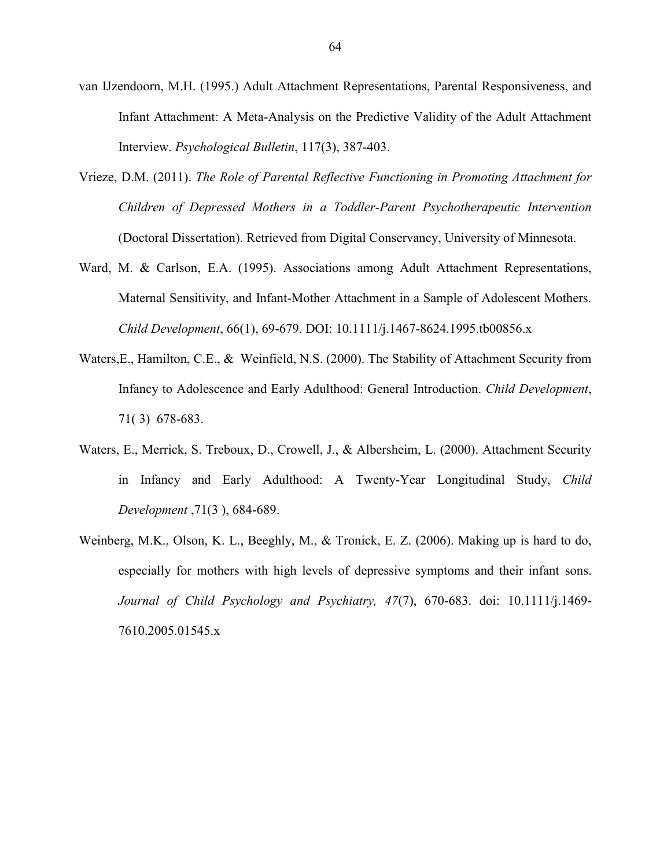- van IJzendoorn, M.H. (1995.) Adult Attachment Representations, Parental Responsiveness, and Infant Attachment: A Meta-Analysis on the Predictive Validity of the Adult Attachment Interview. *Psychological Bulletin*, 117(3), 387-403.
- Vrieze, D.M. (2011). *The Role of Parental Reflective Functioning in Promoting Attachment for Children of Depressed Mothers in a Toddler-Parent Psychotherapeutic Intervention* (Doctoral Dissertation). Retrieved from Digital Conservancy, University of Minnesota.
- Ward, M. & Carlson, E.A. (1995). Associations among Adult Attachment Representations, Maternal Sensitivity, and Infant-Mother Attachment in a Sample of Adolescent Mothers. *Child Development*, 66(1), 69-679. DOI: 10.1111/j.1467-8624.1995.tb00856.x
- Waters,E., Hamilton, C.E., & Weinfield, N.S. (2000). The Stability of Attachment Security from Infancy to Adolescence and Early Adulthood: General Introduction. *Child Development*, 71( 3) 678-683.
- Waters, E., Merrick, S. Treboux, D., Crowell, J., & Albersheim, L. (2000). Attachment Security in Infancy and Early Adulthood: A Twenty-Year Longitudinal Study, *Child Development* ,71(3 ), 684-689.
- Weinberg, M.K., Olson, K. L., Beeghly, M., & Tronick, E. Z. (2006). Making up is hard to do, especially for mothers with high levels of depressive symptoms and their infant sons. *Journal of Child Psychology and Psychiatry, 47*(7), 670-683. doi: 10.1111/j.1469- 7610.2005.01545.x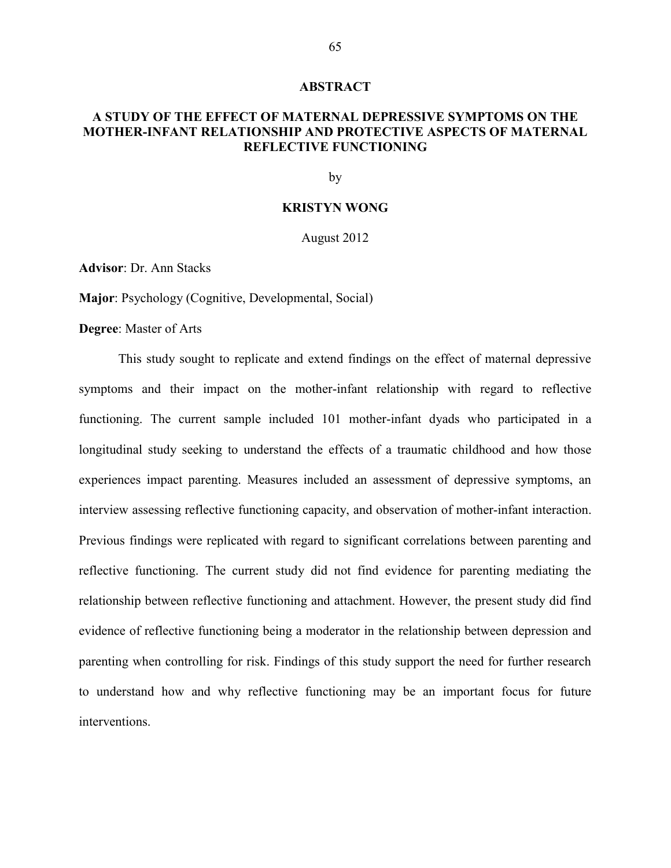#### **ABSTRACT**

# **A STUDY OF THE EFFECT OF MATERNAL DEPRESSIVE SYMPTOMS ON THE MOTHER-INFANT RELATIONSHIP AND PROTECTIVE ASPECTS OF MATERNAL REFLECTIVE FUNCTIONING**

by

## **KRISTYN WONG**

August 2012

**Advisor**: Dr. Ann Stacks

**Major**: Psychology (Cognitive, Developmental, Social)

**Degree**: Master of Arts

This study sought to replicate and extend findings on the effect of maternal depressive symptoms and their impact on the mother-infant relationship with regard to reflective functioning. The current sample included 101 mother-infant dyads who participated in a longitudinal study seeking to understand the effects of a traumatic childhood and how those experiences impact parenting. Measures included an assessment of depressive symptoms, an interview assessing reflective functioning capacity, and observation of mother-infant interaction. Previous findings were replicated with regard to significant correlations between parenting and reflective functioning. The current study did not find evidence for parenting mediating the relationship between reflective functioning and attachment. However, the present study did find evidence of reflective functioning being a moderator in the relationship between depression and parenting when controlling for risk. Findings of this study support the need for further research to understand how and why reflective functioning may be an important focus for future interventions.